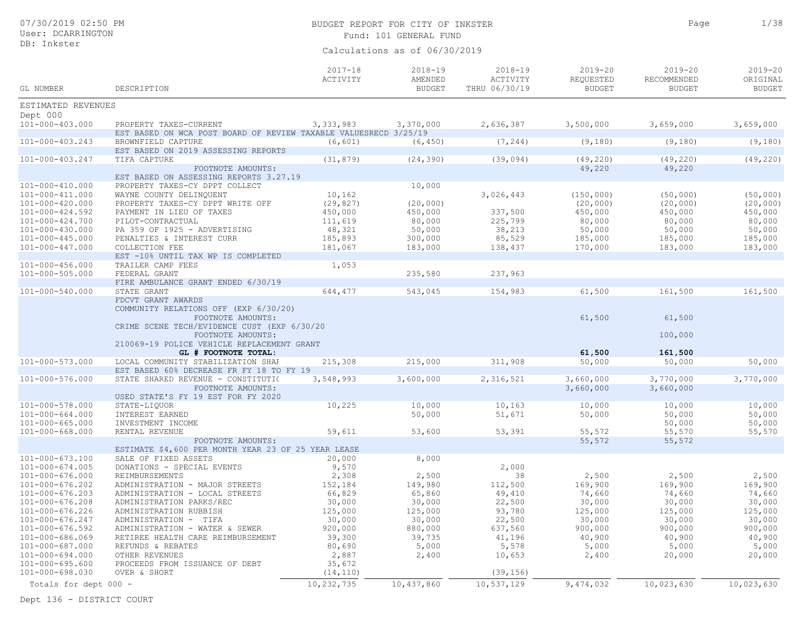| 07/30/2019 02:50 PM<br>User: DCARRINGTON |                                                                                |                         | BUDGET REPORT FOR CITY OF INKSTER<br>Fund: 101 GENERAL FUND | Page                                     | 1/38                                      |                                             |                                          |
|------------------------------------------|--------------------------------------------------------------------------------|-------------------------|-------------------------------------------------------------|------------------------------------------|-------------------------------------------|---------------------------------------------|------------------------------------------|
| DB: Inkster                              |                                                                                |                         | Calculations as of 06/30/2019                               |                                          |                                           |                                             |                                          |
| GL NUMBER                                | DESCRIPTION                                                                    | $2017 - 18$<br>ACTIVITY | $2018 - 19$<br>AMENDED<br><b>BUDGET</b>                     | $2018 - 19$<br>ACTIVITY<br>THRU 06/30/19 | $2019 - 20$<br>REQUESTED<br><b>BUDGET</b> | $2019 - 20$<br>RECOMMENDED<br><b>BUDGET</b> | $2019 - 20$<br>ORIGINAL<br><b>BUDGET</b> |
| ESTIMATED REVENUES                       |                                                                                |                         |                                                             |                                          |                                           |                                             |                                          |
| Dept 000                                 |                                                                                |                         |                                                             |                                          |                                           |                                             |                                          |
| $101 - 000 - 403.000$                    | PROPERTY TAXES-CURRENT                                                         | 3,333,983               | 3,370,000                                                   | 2,636,387                                | 3,500,000                                 | 3,659,000                                   | 3,659,000                                |
|                                          | EST BASED ON WCA POST BOARD OF REVIEW TAXABLE VALUESRECD 3/25/19               |                         |                                                             |                                          |                                           |                                             |                                          |
| $101 - 000 - 403.243$                    | BROWNFIELD CAPTURE                                                             | (6, 601)                | (6, 450)                                                    | (7, 244)                                 | (9,180)                                   | (9,180)                                     | (9,180)                                  |
| 101-000-403.247                          | EST BASED ON 2019 ASSESSING REPORTS<br>TIFA CAPTURE                            | (31, 879)               | (24, 390)                                                   | (39, 094)                                | (49, 220)                                 | (49, 220)                                   | (49, 220)                                |
|                                          | FOOTNOTE AMOUNTS:                                                              |                         |                                                             |                                          | 49,220                                    | 49,220                                      |                                          |
|                                          | EST BASED ON ASSESSING REPORTS 3.27.19                                         |                         |                                                             |                                          |                                           |                                             |                                          |
| 101-000-410.000                          | PROPERTY TAXES-CY DPPT COLLECT                                                 |                         | 10,000                                                      |                                          |                                           |                                             |                                          |
| 101-000-411.000                          | WAYNE COUNTY DELINQUENT                                                        | 10,162                  |                                                             | 3,026,443                                | (150, 000)                                | (50,000)                                    | (50,000)                                 |
| 101-000-420.000                          | PROPERTY TAXES-CY DPPT WRITE OFF                                               | (29, 827)               | (20,000)                                                    |                                          | (20, 000)                                 | (20, 000)                                   | (20, 000)                                |
| 101-000-424.592                          | PAYMENT IN LIEU OF TAXES                                                       | 450,000                 | 450,000                                                     | 337,500                                  | 450,000                                   | 450,000                                     | 450,000                                  |
| 101-000-424.700                          | PILOT-CONTRACTUAL                                                              | 111,619                 | 80,000                                                      | 225,799                                  | 80,000                                    | 80,000                                      | 80,000                                   |
| 101-000-430.000                          | PA 359 OF 1925 - ADVERTISING                                                   | 48,321                  | 50,000                                                      | 38,213                                   | 50,000                                    | 50,000                                      | 50,000                                   |
| $101 - 000 - 445.000$                    | PENALTIES & INTEREST CURR                                                      | 185,893                 | 300,000                                                     | 85,529                                   | 185,000                                   | 185,000                                     | 185,000                                  |
| 101-000-447.000                          | COLLECTION FEE                                                                 | 181,067                 | 183,000                                                     | 138,437                                  | 170,000                                   | 183,000                                     | 183,000                                  |
|                                          | EST -10% UNTIL TAX WP IS COMPLETED<br>TRAILER CAMP FEES                        |                         |                                                             |                                          |                                           |                                             |                                          |
| 101-000-456.000<br>101-000-505.000       | FEDERAL GRANT                                                                  | 1,053                   | 235,580                                                     | 237,963                                  |                                           |                                             |                                          |
|                                          | FIRE AMBULANCE GRANT ENDED 6/30/19                                             |                         |                                                             |                                          |                                           |                                             |                                          |
| 101-000-540.000                          | STATE GRANT                                                                    | 644,477                 | 543,045                                                     | 154,983                                  | 61,500                                    | 161,500                                     | 161,500                                  |
|                                          | FDCVT GRANT AWARDS                                                             |                         |                                                             |                                          |                                           |                                             |                                          |
|                                          | COMMUNITY RELATIONS OFF (EXP 6/30/20)                                          |                         |                                                             |                                          |                                           |                                             |                                          |
|                                          | FOOTNOTE AMOUNTS:                                                              |                         |                                                             |                                          | 61,500                                    | 61,500                                      |                                          |
|                                          | CRIME SCENE TECH/EVIDENCE CUST (EXP 6/30/20                                    |                         |                                                             |                                          |                                           |                                             |                                          |
|                                          | FOOTNOTE AMOUNTS:                                                              |                         |                                                             |                                          |                                           | 100,000                                     |                                          |
|                                          | 210069-19 POLICE VEHICLE REPLACEMENT GRANT                                     |                         |                                                             |                                          |                                           |                                             |                                          |
|                                          | GL # FOOTNOTE TOTAL:                                                           |                         |                                                             |                                          | 61,500                                    | 161,500                                     |                                          |
| $101 - 000 - 573.000$                    | LOCAL COMMUNITY STABILIZATION SHAF                                             | 215,308                 | 215,000                                                     | 311,908                                  | 50,000                                    | 50,000                                      | 50,000                                   |
| 101-000-576.000                          | EST BASED 60% DECREASE FR FY 18 TO FY 19<br>STATE SHARED REVENUE - CONSTITUTIO | 3,548,993               | 3,600,000                                                   | 2,316,521                                | 3,660,000                                 | 3,770,000                                   | 3,770,000                                |
|                                          | FOOTNOTE AMOUNTS:                                                              |                         |                                                             |                                          | 3,660,000                                 | 3,660,000                                   |                                          |
|                                          | USED STATE'S FY 19 EST FOR FY 2020                                             |                         |                                                             |                                          |                                           |                                             |                                          |
| 101-000-578.000                          | STATE-LIQUOR                                                                   | 10,225                  | 10,000                                                      | 10,163                                   | 10,000                                    | 10,000                                      | 10,000                                   |
| 101-000-664.000                          | INTEREST EARNED                                                                |                         | 50,000                                                      | 51,671                                   | 50,000                                    | 50,000                                      | 50,000                                   |
| $101 - 000 - 665.000$                    | INVESTMENT INCOME                                                              |                         |                                                             |                                          |                                           | 50,000                                      | 50,000                                   |
| 101-000-668.000                          | RENTAL REVENUE                                                                 | 59,611                  | 53,600                                                      | 53,391                                   | 55,572                                    | 55,570                                      | 55,570                                   |
|                                          | FOOTNOTE AMOUNTS:                                                              |                         |                                                             |                                          | 55,572                                    | 55,572                                      |                                          |
|                                          | ESTIMATE \$4,600 PER MONTH YEAR 23 OF 25 YEAR LEASE                            |                         |                                                             |                                          |                                           |                                             |                                          |
| 101-000-673.100                          | SALE OF FIXED ASSETS                                                           | 20,000                  | 8,000                                                       |                                          |                                           |                                             |                                          |
| $101 - 000 - 674.005$                    | DONATIONS - SPECIAL EVENTS                                                     | 9,570                   |                                                             | 2,000                                    |                                           |                                             |                                          |
| 101-000-676.000                          | REIMBURSEMENTS                                                                 | 2,308                   | 2,500                                                       | 38                                       | 2,500                                     | 2,500                                       | 2,500                                    |
| 101-000-676.202                          | ADMINISTRATION - MAJOR STREETS                                                 | 152,184                 | 149,980                                                     | 112,500                                  | 169,900                                   | 169,900                                     | 169,900                                  |
| 101-000-676.203                          | ADMINISTRATION - LOCAL STREETS                                                 | 66,829                  | 65,860                                                      | 49,410                                   | 74,660                                    | 74,660                                      | 74,660                                   |
| 101-000-676.208                          | ADMINISTRATION PARKS/REC                                                       | 30,000                  | 30,000                                                      | 22,500                                   | 30,000                                    | 30,000                                      | 30,000                                   |
| 101-000-676.226                          | ADMINISTRATION RUBBISH                                                         | 125,000                 | 125,000                                                     | 93,780                                   | 125,000                                   | 125,000                                     | 125,000                                  |
| 101-000-676.247                          | ADMINISTRATION - TIFA                                                          | 30,000                  | 30,000                                                      | 22,500                                   | 30,000                                    | 30,000                                      | 30,000                                   |
| 101-000-676.592                          | ADMINISTRATION - WATER & SEWER                                                 | 920,000                 | 880,000                                                     | 637,560                                  | 900,000                                   | 900,000                                     | 900,000                                  |
| 101-000-686.069                          | RETIREE HEALTH CARE REIMBURSEMENT                                              | 39,300                  | 39,735                                                      | 41,196                                   | 40,900                                    | 40,900                                      | 40,900                                   |
| 101-000-687.000                          | REFUNDS & REBATES                                                              | 80,690                  | 5,000                                                       | 5,578                                    | 5,000                                     | 5,000                                       | 5,000                                    |
| 101-000-694.000<br>101-000-695.600       | OTHER REVENUES<br>PROCEEDS FROM ISSUANCE OF DEBT                               | 2,887                   | 2,400                                                       | 10,653                                   | 2,400                                     | 20,000                                      | 20,000                                   |
| 101-000-698.030                          | OVER & SHORT                                                                   | 35,672<br>(14, 110)     |                                                             | (39, 156)                                |                                           |                                             |                                          |
|                                          |                                                                                |                         |                                                             |                                          |                                           |                                             |                                          |
| Totals for dept 000 -                    |                                                                                | 10,232,735              | 10,437,860                                                  | 10,537,129                               | 9,474,032                                 | 10,023,630                                  | 10,023,630                               |

Dept 136 - DISTRICT COURT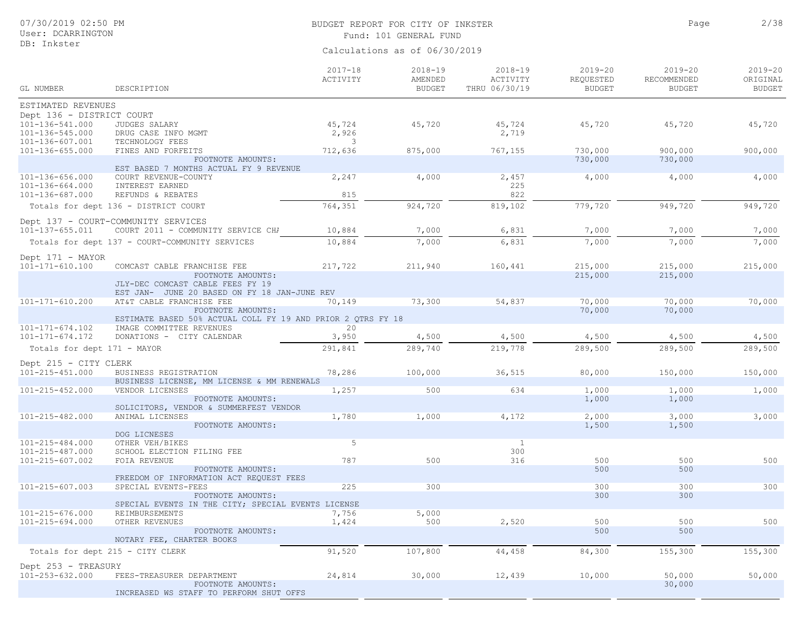## BUDGET REPORT FOR CITY OF INKSTER **EXECUTE 1999** Page 2/38 Fund: 101 GENERAL FUND

Calculations as of 06/30/2019

| GL NUMBER                                       | DESCRIPTION                                                                      | $2017 - 18$<br>ACTIVITY | $2018 - 19$<br>AMENDED<br><b>BUDGET</b> | $2018 - 19$<br>ACTIVITY<br>THRU 06/30/19 | $2019 - 20$<br>REQUESTED<br><b>BUDGET</b> | $2019 - 20$<br>RECOMMENDED<br><b>BUDGET</b> | $2019 - 20$<br>ORIGINAL<br><b>BUDGET</b> |
|-------------------------------------------------|----------------------------------------------------------------------------------|-------------------------|-----------------------------------------|------------------------------------------|-------------------------------------------|---------------------------------------------|------------------------------------------|
|                                                 |                                                                                  |                         |                                         |                                          |                                           |                                             |                                          |
| ESTIMATED REVENUES<br>Dept 136 - DISTRICT COURT |                                                                                  |                         |                                         |                                          |                                           |                                             |                                          |
| 101-136-541.000                                 | JUDGES SALARY                                                                    | 45,724                  | 45,720                                  | 45,724                                   | 45,720                                    | 45,720                                      | 45,720                                   |
| 101-136-545.000                                 | DRUG CASE INFO MGMT                                                              | 2,926                   |                                         | 2,719                                    |                                           |                                             |                                          |
| 101-136-607.001                                 | TECHNOLOGY FEES                                                                  | 3                       |                                         |                                          |                                           |                                             |                                          |
| $101 - 136 - 655.000$                           | FINES AND FORFEITS                                                               | 712,636                 | 875,000                                 | 767,155                                  | 730,000                                   | 900,000                                     | 900,000                                  |
|                                                 | FOOTNOTE AMOUNTS:<br>EST BASED 7 MONTHS ACTUAL FY 9 REVENUE                      |                         |                                         |                                          | 730,000                                   | 730,000                                     |                                          |
| 101-136-656.000                                 | COURT REVENUE-COUNTY                                                             | 2,247                   | 4,000                                   | 2,457                                    | 4,000                                     | 4,000                                       | 4,000                                    |
| 101-136-664.000                                 | INTEREST EARNED                                                                  |                         |                                         | 225                                      |                                           |                                             |                                          |
| 101-136-687.000                                 | REFUNDS & REBATES                                                                | 815                     |                                         | 822                                      |                                           |                                             |                                          |
|                                                 | Totals for dept 136 - DISTRICT COURT                                             | 764,351                 | 924,720                                 | 819,102                                  | 779,720                                   | 949,720                                     | 949,720                                  |
|                                                 | Dept 137 - COURT-COMMUNITY SERVICES                                              |                         |                                         |                                          |                                           |                                             |                                          |
| 101-137-655.011                                 | COURT 2011 - COMMUNITY SERVICE CHA                                               | 10,884                  | 7,000                                   | 6,831                                    | 7,000                                     | 7,000                                       | 7,000                                    |
|                                                 | Totals for dept 137 - COURT-COMMUNITY SERVICES                                   | 10,884                  | 7,000                                   | 6,831                                    | 7,000                                     | 7,000                                       | 7,000                                    |
| Dept 171 - MAYOR                                |                                                                                  |                         |                                         |                                          |                                           |                                             |                                          |
| $101 - 171 - 610.100$                           | COMCAST CABLE FRANCHISE FEE                                                      | 217,722                 | 211,940                                 | 160,441                                  | 215,000                                   | 215,000                                     | 215,000                                  |
|                                                 | FOOTNOTE AMOUNTS:                                                                |                         |                                         |                                          | 215,000                                   | 215,000                                     |                                          |
|                                                 | JLY-DEC COMCAST CABLE FEES FY 19<br>EST JAN- JUNE 20 BASED ON FY 18 JAN-JUNE REV |                         |                                         |                                          |                                           |                                             |                                          |
| 101-171-610.200                                 | AT&T CABLE FRANCHISE FEE                                                         | 70,149                  | 73,300                                  | 54,837                                   | 70,000                                    | 70,000                                      | 70,000                                   |
|                                                 | FOOTNOTE AMOUNTS:                                                                |                         |                                         |                                          | 70,000                                    | 70,000                                      |                                          |
|                                                 | ESTIMATE BASED 50% ACTUAL COLL FY 19 AND PRIOR 2 QTRS FY 18                      |                         |                                         |                                          |                                           |                                             |                                          |
| $101 - 171 - 674.102$<br>$101 - 171 - 674.172$  | IMAGE COMMITTEE REVENUES<br>DONATIONS - CITY CALENDAR                            | 20<br>3,950             | 4,500                                   | 4,500                                    | 4,500                                     | 4,500                                       | 4,500                                    |
| Totals for dept 171 - MAYOR                     |                                                                                  | 291,841                 | 289,740                                 | 219,778                                  | 289,500                                   | 289,500                                     | 289,500                                  |
|                                                 |                                                                                  |                         |                                         |                                          |                                           |                                             |                                          |
| Dept 215 - CITY CLERK                           |                                                                                  |                         |                                         |                                          |                                           |                                             |                                          |
| 101-215-451.000                                 | BUSINESS REGISTRATION<br>BUSINESS LICENSE, MM LICENSE & MM RENEWALS              | 78,286                  | 100,000                                 | 36,515                                   | 80,000                                    | 150,000                                     | 150,000                                  |
| 101-215-452.000                                 | VENDOR LICENSES                                                                  | 1,257                   | 500                                     | 634                                      | 1,000                                     | 1,000                                       | 1,000                                    |
|                                                 | FOOTNOTE AMOUNTS:                                                                |                         |                                         |                                          | 1,000                                     | 1,000                                       |                                          |
|                                                 | SOLICITORS, VENDOR & SUMMERFEST VENDOR                                           |                         |                                         |                                          |                                           |                                             |                                          |
| 101-215-482.000                                 | ANIMAL LICENSES<br>FOOTNOTE AMOUNTS:                                             | 1,780                   | 1,000                                   | 4,172                                    | 2,000<br>1,500                            | 3,000<br>1,500                              | 3,000                                    |
|                                                 | DOG LICNESES                                                                     |                         |                                         |                                          |                                           |                                             |                                          |
| 101-215-484.000                                 | OTHER VEH/BIKES                                                                  | 5                       |                                         | <sup>1</sup>                             |                                           |                                             |                                          |
| 101-215-487.000                                 | SCHOOL ELECTION FILING FEE                                                       |                         |                                         | 300                                      |                                           |                                             |                                          |
| 101-215-607.002                                 | FOIA REVENUE<br>FOOTNOTE AMOUNTS:                                                | 787                     | 500                                     | 316                                      | 500<br>500                                | 500<br>500                                  | 500                                      |
|                                                 | FREEDOM OF INFORMATION ACT REQUEST FEES                                          |                         |                                         |                                          |                                           |                                             |                                          |
| 101-215-607.003                                 | SPECIAL EVENTS-FEES                                                              | 225                     | 300                                     |                                          | 300                                       | 300                                         | 300                                      |
|                                                 | FOOTNOTE AMOUNTS:                                                                |                         |                                         |                                          | 300                                       | 300                                         |                                          |
|                                                 | SPECIAL EVENTS IN THE CITY; SPECIAL EVENTS LICENSE<br>REIMBURSEMENTS             | 7,756                   |                                         |                                          |                                           |                                             |                                          |
| 101-215-676.000<br>$101 - 215 - 694.000$        | OTHER REVENUES                                                                   | 1,424                   | 5,000<br>500                            | 2,520                                    | 500                                       | 500                                         | 500                                      |
|                                                 | FOOTNOTE AMOUNTS:                                                                |                         |                                         |                                          | 500                                       | 500                                         |                                          |
|                                                 | NOTARY FEE, CHARTER BOOKS                                                        |                         |                                         |                                          |                                           |                                             |                                          |
|                                                 | Totals for dept 215 - CITY CLERK                                                 | 91,520                  | 107,800                                 | 44,458                                   | 84,300                                    | 155,300                                     | 155,300                                  |
| Dept 253 - TREASURY                             |                                                                                  |                         |                                         |                                          |                                           |                                             |                                          |
| 101-253-632.000                                 | FEES-TREASURER DEPARTMENT                                                        | 24,814                  | 30,000                                  | 12,439                                   | 10,000                                    | 50,000                                      | 50,000                                   |
|                                                 | FOOTNOTE AMOUNTS:                                                                |                         |                                         |                                          |                                           | 30,000                                      |                                          |
|                                                 | INCREASED WS STAFF TO PERFORM SHUT OFFS                                          |                         |                                         |                                          |                                           |                                             |                                          |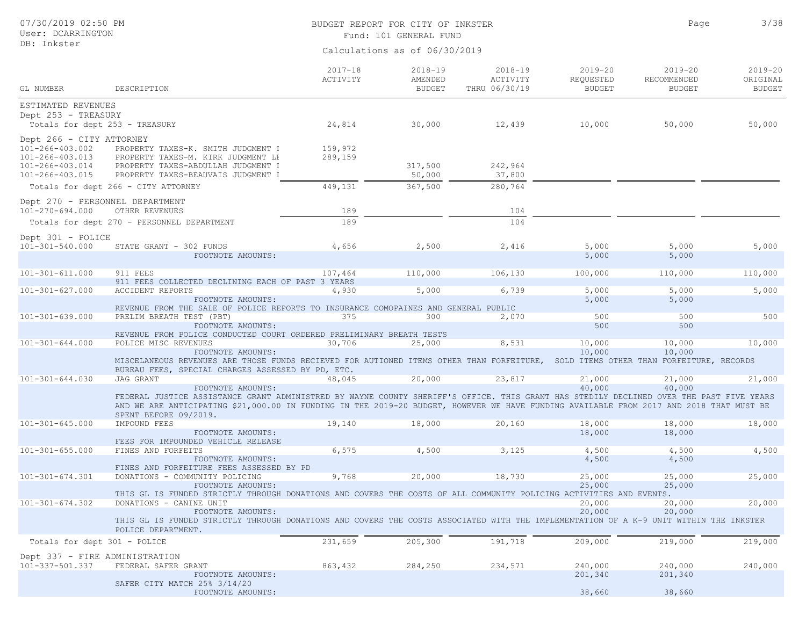## BUDGET REPORT FOR CITY OF INKSTER **1999** Page 3/38 Fund: 101 GENERAL FUND

Page

|                                                    |                                                                                                                                                                  | $2017 - 18$<br>ACTIVITY | $2018 - 19$<br>AMENDED | $2018 - 19$<br>ACTIVITY | $2019 - 20$<br>REQUESTED | $2019 - 20$<br>RECOMMENDED                | $2019 - 20$<br>ORIGINAL |
|----------------------------------------------------|------------------------------------------------------------------------------------------------------------------------------------------------------------------|-------------------------|------------------------|-------------------------|--------------------------|-------------------------------------------|-------------------------|
| GL NUMBER                                          | DESCRIPTION                                                                                                                                                      |                         | <b>BUDGET</b>          | THRU 06/30/19           | <b>BUDGET</b>            | <b>BUDGET</b>                             | <b>BUDGET</b>           |
| ESTIMATED REVENUES<br>Dept 253 - TREASURY          |                                                                                                                                                                  |                         |                        |                         |                          |                                           |                         |
| Totals for dept 253 - TREASURY                     |                                                                                                                                                                  | 24,814                  | 30,000                 | 12,439                  | 10,000                   | 50,000                                    | 50,000                  |
| Dept 266 - CITY ATTORNEY                           |                                                                                                                                                                  |                         |                        |                         |                          |                                           |                         |
| 101-266-403.002                                    | PROPERTY TAXES-K. SMITH JUDGMENT I                                                                                                                               | 159,972                 |                        |                         |                          |                                           |                         |
| 101-266-403.013                                    | PROPERTY TAXES-M. KIRK JUDGMENT LE                                                                                                                               | 289,159                 |                        |                         |                          |                                           |                         |
| 101-266-403.014<br>101-266-403.015                 | PROPERTY TAXES-ABDULLAH JUDGMENT I<br>PROPERTY TAXES-BEAUVAIS JUDGMENT I                                                                                         |                         | 317,500<br>50,000      | 242,964<br>37,800       |                          |                                           |                         |
|                                                    | Totals for dept 266 - CITY ATTORNEY                                                                                                                              | 449,131                 | 367,500                | 280,764                 |                          |                                           |                         |
|                                                    |                                                                                                                                                                  |                         |                        |                         |                          |                                           |                         |
| Dept 270 - PERSONNEL DEPARTMENT<br>101-270-694.000 | OTHER REVENUES                                                                                                                                                   | 189                     |                        | 104                     |                          |                                           |                         |
|                                                    | Totals for dept 270 - PERSONNEL DEPARTMENT                                                                                                                       | 189                     |                        | 104                     |                          |                                           |                         |
|                                                    |                                                                                                                                                                  |                         |                        |                         |                          |                                           |                         |
| Dept 301 - POLICE<br>101-301-540.000               | STATE GRANT - 302 FUNDS                                                                                                                                          | 4,656                   | 2,500                  | 2,416                   | 5,000                    | 5,000                                     | 5,000                   |
|                                                    | FOOTNOTE AMOUNTS:                                                                                                                                                |                         |                        |                         | 5,000                    | 5,000                                     |                         |
|                                                    |                                                                                                                                                                  |                         |                        |                         |                          |                                           |                         |
| $101 - 301 - 611.000$                              | 911 FEES                                                                                                                                                         | 107,464                 | 110,000                | 106,130                 | 100,000                  | 110,000                                   | 110,000                 |
| $101 - 301 - 627.000$                              | 911 FEES COLLECTED DECLINING EACH OF PAST 3 YEARS<br><b>ACCIDENT REPORTS</b>                                                                                     | 4,930                   | 5,000                  | 6,739                   | 5,000                    | 5,000                                     | 5,000                   |
|                                                    | FOOTNOTE AMOUNTS:                                                                                                                                                |                         |                        |                         | 5,000                    | 5,000                                     |                         |
|                                                    | REVENUE FROM THE SALE OF POLICE REPORTS TO INSURANCE COMOPAINES AND GENERAL PUBLIC                                                                               |                         |                        |                         |                          |                                           |                         |
| $101 - 301 - 639.000$                              | PRELIM BREATH TEST (PBT)                                                                                                                                         | 375                     | 300                    | 2,070                   | 500                      | 500                                       | 500                     |
|                                                    | FOOTNOTE AMOUNTS:                                                                                                                                                |                         |                        |                         | 500                      | 500                                       |                         |
| $101 - 301 - 644.000$                              | REVENUE FROM POLICE CONDUCTED COURT ORDERED PRELIMINARY BREATH TESTS<br>POLICE MISC REVENUES                                                                     | 30,706                  | 25,000                 | 8,531                   | 10,000                   | 10,000                                    | 10,000                  |
|                                                    | FOOTNOTE AMOUNTS:                                                                                                                                                |                         |                        |                         | 10,000                   | 10,000                                    |                         |
|                                                    | MISCELANEOUS REVENUES ARE THOSE FUNDS RECIEVED FOR AUTIONED ITEMS OTHER THAN FORFEITURE,<br>BUREAU FEES, SPECIAL CHARGES ASSESSED BY PD, ETC.                    |                         |                        |                         |                          | SOLD ITEMS OTHER THAN FORFEITURE, RECORDS |                         |
| $101 - 301 - 644.030$                              | JAG GRANT                                                                                                                                                        | 48,045                  | 20,000                 | 23,817                  | 21,000                   | 21,000                                    | 21,000                  |
|                                                    | FOOTNOTE AMOUNTS:<br>FEDERAL JUSTICE ASSISTANCE GRANT ADMINISTRED BY WAYNE COUNTY SHERIFF'S OFFICE. THIS GRANT HAS STEDILY DECLINED OVER THE PAST FIVE YEARS     |                         |                        |                         | 40,000                   | 40,000                                    |                         |
|                                                    | AND WE ARE ANTICIPATING \$21,000.00 IN FUNDING IN THE 2019-20 BUDGET, HOWEVER WE HAVE FUNDING AVAILABLE FROM 2017 AND 2018 THAT MUST BE<br>SPENT BEFORE 09/2019. |                         |                        |                         |                          |                                           |                         |
| $101 - 301 - 645.000$                              | IMPOUND FEES                                                                                                                                                     | 19,140                  | 18,000                 | 20,160                  | 18,000                   | 18,000                                    | 18,000                  |
|                                                    | FOOTNOTE AMOUNTS:                                                                                                                                                |                         |                        |                         | 18,000                   | 18,000                                    |                         |
| $101 - 301 - 655.000$                              | FEES FOR IMPOUNDED VEHICLE RELEASE<br>FINES AND FORFEITS                                                                                                         | 6,575                   | 4,500                  | 3,125                   | 4,500                    | 4,500                                     | 4,500                   |
|                                                    | FOOTNOTE AMOUNTS:                                                                                                                                                |                         |                        |                         | 4,500                    | 4,500                                     |                         |
|                                                    | FINES AND FORFEITURE FEES ASSESSED BY PD                                                                                                                         |                         |                        |                         |                          |                                           |                         |
| $101 - 301 - 674.301$                              | DONATIONS - COMMUNITY POLICING                                                                                                                                   | 9,768                   | 20,000                 | 18,730                  | 25,000                   | 25,000                                    | 25,000                  |
|                                                    | FOOTNOTE AMOUNTS:<br>THIS GL IS FUNDED STRICTLY THROUGH DONATIONS AND COVERS THE COSTS OF ALL COMMUNITY POLICING ACTIVITIES AND EVENTS.                          |                         |                        |                         | 25,000                   | 25,000                                    |                         |
| $101 - 301 - 674.302$                              | DONATIONS - CANINE UNIT                                                                                                                                          |                         |                        |                         | 20,000                   | 20,000                                    | 20,000                  |
|                                                    | FOOTNOTE AMOUNTS:                                                                                                                                                |                         |                        |                         | 20,000                   | 20,000                                    |                         |
|                                                    | THIS GL IS FUNDED STRICTLY THROUGH DONATIONS AND COVERS THE COSTS ASSOCIATED WITH THE IMPLEMENTATION OF A K-9 UNIT WITHIN THE INKSTER                            |                         |                        |                         |                          |                                           |                         |
|                                                    | POLICE DEPARTMENT.                                                                                                                                               |                         |                        |                         |                          |                                           |                         |
| Totals for dept 301 - POLICE                       |                                                                                                                                                                  | 231,659                 | 205,300                | 191,718                 | 209,000                  | 219,000                                   | 219,000                 |
| Dept 337 - FIRE ADMINISTRATION                     |                                                                                                                                                                  |                         |                        |                         |                          |                                           |                         |
| 101-337-501.337                                    | FEDERAL SAFER GRANT                                                                                                                                              | 863,432                 | 284,250                | 234,571                 | 240,000                  | 240,000                                   | 240,000                 |
|                                                    | FOOTNOTE AMOUNTS:<br>SAFER CITY MATCH 25% 3/14/20                                                                                                                |                         |                        |                         | 201,340                  | 201,340                                   |                         |
|                                                    | FOOTNOTE AMOUNTS:                                                                                                                                                |                         |                        |                         | 38,660                   | 38,660                                    |                         |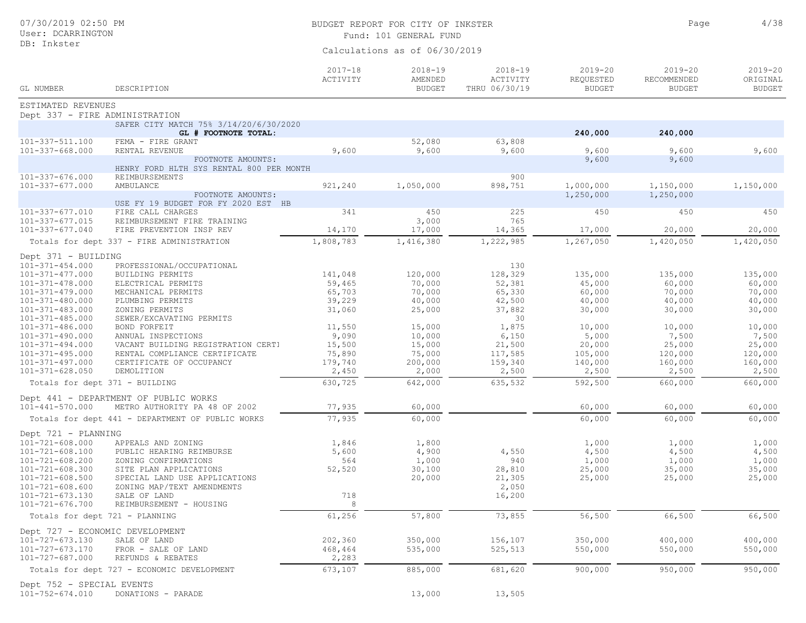| 07/30/2019 02:50 PM<br>User: DCARRINGTON     |                                                                |                         | BUDGET REPORT FOR CITY OF INKSTER<br>Fund: 101 GENERAL FUND | Page                                            | 4/38                                      |                                             |                                          |
|----------------------------------------------|----------------------------------------------------------------|-------------------------|-------------------------------------------------------------|-------------------------------------------------|-------------------------------------------|---------------------------------------------|------------------------------------------|
| DB: Inkster                                  |                                                                |                         | Calculations as of 06/30/2019                               |                                                 |                                           |                                             |                                          |
| <b>GL NUMBER</b>                             | DESCRIPTION                                                    | $2017 - 18$<br>ACTIVITY | $2018 - 19$<br>AMENDED<br><b>BUDGET</b>                     | $2018 - 19$<br><b>ACTIVITY</b><br>THRU 06/30/19 | $2019 - 20$<br>REQUESTED<br><b>BUDGET</b> | $2019 - 20$<br>RECOMMENDED<br><b>BUDGET</b> | $2019 - 20$<br>ORIGINAL<br><b>BUDGET</b> |
| ESTIMATED REVENUES                           |                                                                |                         |                                                             |                                                 |                                           |                                             |                                          |
| Dept 337 - FIRE ADMINISTRATION               |                                                                |                         |                                                             |                                                 |                                           |                                             |                                          |
|                                              | SAFER CITY MATCH 75% 3/14/20/6/30/2020<br>GL # FOOTNOTE TOTAL: |                         |                                                             |                                                 | 240,000                                   | 240,000                                     |                                          |
| 101-337-511.100                              | FEMA - FIRE GRANT                                              |                         | 52,080                                                      | 63,808                                          |                                           |                                             |                                          |
| $101 - 337 - 668.000$                        | RENTAL REVENUE                                                 | 9,600                   | 9,600                                                       | 9,600                                           | 9,600                                     | 9,600                                       | 9,600                                    |
|                                              | FOOTNOTE AMOUNTS:<br>HENRY FORD HLTH SYS RENTAL 800 PER MONTH  |                         |                                                             |                                                 | 9,600                                     | 9,600                                       |                                          |
| $101 - 337 - 676.000$                        | REIMBURSEMENTS                                                 |                         |                                                             | 900                                             |                                           |                                             |                                          |
| $101 - 337 - 677.000$                        | AMBULANCE                                                      | 921,240                 | 1,050,000                                                   | 898,751                                         | 1,000,000                                 | 1,150,000                                   | 1,150,000                                |
|                                              | FOOTNOTE AMOUNTS:                                              |                         |                                                             |                                                 | 1,250,000                                 | 1,250,000                                   |                                          |
|                                              | USE FY 19 BUDGET FOR FY 2020 EST HB                            |                         |                                                             |                                                 |                                           |                                             |                                          |
| 101-337-677.010<br>$101 - 337 - 677.015$     | FIRE CALL CHARGES                                              | 341                     | 450                                                         | 225<br>765                                      | 450                                       | 450                                         | 450                                      |
| 101-337-677.040                              | REIMBURSEMENT FIRE TRAINING<br>FIRE PREVENTION INSP REV        | 14,170                  | 3,000<br>17,000                                             | 14,365                                          | 17,000                                    | 20,000                                      | 20,000                                   |
|                                              | Totals for dept 337 - FIRE ADMINISTRATION                      | 1,808,783               | 1,416,380                                                   | 1,222,985                                       | 1,267,050                                 | 1,420,050                                   | 1,420,050                                |
|                                              |                                                                |                         |                                                             |                                                 |                                           |                                             |                                          |
| Dept 371 - BUILDING                          |                                                                |                         |                                                             |                                                 |                                           |                                             |                                          |
| $101 - 371 - 454.000$                        | PROFESSIONAL/OCCUPATIONAL                                      |                         | 120,000                                                     | 130<br>128,329                                  | 135,000                                   | 135,000                                     | 135,000                                  |
| 101-371-477.000<br>$101 - 371 - 478.000$     | BUILDING PERMITS<br>ELECTRICAL PERMITS                         | 141,048<br>59,465       | 70,000                                                      | 52,381                                          | 45,000                                    | 60,000                                      | 60,000                                   |
| $101 - 371 - 479.000$                        | MECHANICAL PERMITS                                             | 65,703                  | 70,000                                                      | 65,330                                          | 60,000                                    | 70,000                                      | 70,000                                   |
| $101 - 371 - 480.000$                        | PLUMBING PERMITS                                               | 39,229                  | 40,000                                                      | 42,500                                          | 40,000                                    | 40,000                                      | 40,000                                   |
| 101-371-483.000                              | ZONING PERMITS                                                 | 31,060                  | 25,000                                                      | 37,882                                          | 30,000                                    | 30,000                                      | 30,000                                   |
| $101 - 371 - 485.000$                        | SEWER/EXCAVATING PERMITS                                       |                         |                                                             | 30                                              |                                           |                                             |                                          |
| 101-371-486.000                              | BOND FORFEIT                                                   | 11,550                  | 15,000                                                      | 1,875                                           | 10,000                                    | 10,000                                      | 10,000                                   |
| 101-371-490.000                              | ANNUAL INSPECTIONS                                             | 9,090                   | 10,000                                                      | 6,150                                           | 5,000                                     | 7,500                                       | 7,500                                    |
| $101 - 371 - 494.000$                        | VACANT BUILDING REGISTRATION CERTI                             | 15,500                  | 15,000                                                      | 21,500                                          | 20,000                                    | 25,000                                      | 25,000                                   |
| $101 - 371 - 495.000$                        | RENTAL COMPLIANCE CERTIFICATE                                  | 75,890                  | 75,000                                                      | 117,585                                         | 105,000                                   | 120,000                                     | 120,000                                  |
| $101 - 371 - 497.000$                        | CERTIFICATE OF OCCUPANCY                                       | 179,740                 | 200,000                                                     | 159,340                                         | 140,000                                   | 160,000                                     | 160,000                                  |
| $101 - 371 - 628.050$                        | DEMOLITION                                                     | 2,450                   | 2,000                                                       | 2,500                                           | 2,500                                     | 2,500                                       | 2,500                                    |
| Totals for dept 371 - BUILDING               |                                                                | 630,725                 | 642,000                                                     | 635,532                                         | 592,500                                   | 660,000                                     | 660,000                                  |
|                                              | Dept 441 - DEPARTMENT OF PUBLIC WORKS                          |                         |                                                             |                                                 |                                           |                                             |                                          |
| $101 - 441 - 570.000$                        | METRO AUTHORITY PA 48 OF 2002                                  | 77,935                  | 60,000                                                      |                                                 | 60,000                                    | 60,000                                      | 60,000                                   |
|                                              | Totals for dept 441 - DEPARTMENT OF PUBLIC WORKS               | 77,935                  | 60,000                                                      |                                                 | 60,000                                    | 60,000                                      | 60,000                                   |
| Dept 721 - PLANNING                          |                                                                |                         |                                                             |                                                 |                                           |                                             |                                          |
| $101 - 721 - 608.000$                        | APPEALS AND ZONING                                             | 1,846                   | 1,800                                                       |                                                 | 1,000                                     | 1,000                                       | 1,000                                    |
| $101 - 721 - 608.100$                        | PUBLIC HEARING REIMBURSE                                       | 5,600                   | 4,900                                                       | 4,550                                           | 4,500                                     | 4,500                                       | 4,500                                    |
| $101 - 721 - 608.200$                        | ZONING CONFIRMATIONS                                           | 564                     | 1,000                                                       | 940                                             | 1,000                                     | 1,000                                       | 1,000                                    |
| $101 - 721 - 608.300$                        | SITE PLAN APPLICATIONS                                         | 52,520                  | 30,100                                                      | 28,810                                          | 25,000                                    | 35,000                                      | 35,000                                   |
| $101 - 721 - 608.500$                        | SPECIAL LAND USE APPLICATIONS                                  |                         | 20,000                                                      | 21,305                                          | 25,000                                    | 25,000                                      | 25,000                                   |
| $101 - 721 - 608.600$                        | ZONING MAP/TEXT AMENDMENTS                                     |                         |                                                             | 2,050                                           |                                           |                                             |                                          |
| 101-721-673.130                              | SALE OF LAND                                                   | 718                     |                                                             | 16,200                                          |                                           |                                             |                                          |
| $101 - 721 - 676.700$                        | REIMBURSEMENT - HOUSING                                        | 8                       |                                                             |                                                 |                                           |                                             |                                          |
| Totals for dept 721 - PLANNING               |                                                                | 61,256                  | 57,800                                                      | 73,855                                          | 56,500                                    | 66,500                                      | 66,500                                   |
| Dept 727 - ECONOMIC DEVELOPMENT              |                                                                |                         |                                                             |                                                 |                                           |                                             |                                          |
| 101-727-673.130                              | SALE OF LAND                                                   | 202,360                 | 350,000                                                     | 156,107                                         | 350,000                                   | 400,000                                     | 400,000                                  |
| 101-727-673.170                              | FROR - SALE OF LAND                                            | 468,464                 | 535,000                                                     | 525,513                                         | 550,000                                   | 550,000                                     | 550,000                                  |
| 101-727-687.000                              | REFUNDS & REBATES                                              | 2,283                   |                                                             |                                                 |                                           |                                             |                                          |
|                                              | Totals for dept 727 - ECONOMIC DEVELOPMENT                     | 673,107                 | 885,000                                                     | 681,620                                         | 900,000                                   | 950,000                                     | 950,000                                  |
| Dept 752 - SPECIAL EVENTS<br>101-752-674.010 |                                                                |                         | 13,000                                                      | 13,505                                          |                                           |                                             |                                          |
|                                              | DONATIONS - PARADE                                             |                         |                                                             |                                                 |                                           |                                             |                                          |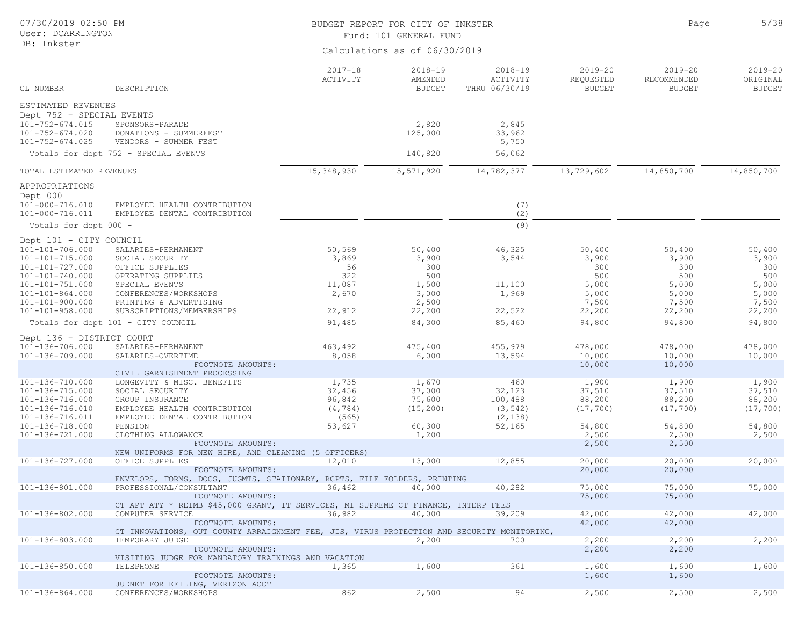| 07/30/2019 02:50 PM<br>User: DCARRINGTON                                                       |                                                                                                         | BUDGET REPORT FOR CITY OF INKSTER<br>Fund: 101 GENERAL FUND | Page                                    | 5/38                                     |                                           |                                             |                                          |
|------------------------------------------------------------------------------------------------|---------------------------------------------------------------------------------------------------------|-------------------------------------------------------------|-----------------------------------------|------------------------------------------|-------------------------------------------|---------------------------------------------|------------------------------------------|
| DB: Inkster                                                                                    |                                                                                                         |                                                             | Calculations as of 06/30/2019           |                                          |                                           |                                             |                                          |
| GL NUMBER                                                                                      | DESCRIPTION                                                                                             | $2017 - 18$<br>ACTIVITY                                     | $2018 - 19$<br>AMENDED<br><b>BUDGET</b> | $2018 - 19$<br>ACTIVITY<br>THRU 06/30/19 | $2019 - 20$<br>REQUESTED<br><b>BUDGET</b> | $2019 - 20$<br>RECOMMENDED<br><b>BUDGET</b> | $2019 - 20$<br>ORIGINAL<br><b>BUDGET</b> |
| ESTIMATED REVENUES                                                                             |                                                                                                         |                                                             |                                         |                                          |                                           |                                             |                                          |
| Dept 752 - SPECIAL EVENTS<br>101-752-674.015<br>$101 - 752 - 674.020$<br>$101 - 752 - 674.025$ | SPONSORS-PARADE<br>DONATIONS - SUMMERFEST<br>VENDORS - SUMMER FEST                                      |                                                             | 2,820<br>125,000                        | 2,845<br>33,962<br>5,750                 |                                           |                                             |                                          |
|                                                                                                | Totals for dept 752 - SPECIAL EVENTS                                                                    |                                                             | 140,820                                 | 56,062                                   |                                           |                                             |                                          |
| TOTAL ESTIMATED REVENUES                                                                       |                                                                                                         | 15,348,930                                                  | 15,571,920                              | 14,782,377                               | 13,729,602                                | 14,850,700                                  | 14,850,700                               |
| APPROPRIATIONS                                                                                 |                                                                                                         |                                                             |                                         |                                          |                                           |                                             |                                          |
| Dept 000<br>101-000-716.010<br>101-000-716.011                                                 | EMPLOYEE HEALTH CONTRIBUTION<br>EMPLOYEE DENTAL CONTRIBUTION                                            |                                                             |                                         | (7)<br>(2)                               |                                           |                                             |                                          |
| Totals for dept 000 -                                                                          |                                                                                                         |                                                             |                                         | (9)                                      |                                           |                                             |                                          |
| Dept 101 - CITY COUNCIL                                                                        |                                                                                                         |                                                             |                                         |                                          |                                           |                                             |                                          |
| 101-101-706.000<br>101-101-715.000                                                             | SALARIES-PERMANENT<br>SOCIAL SECURITY                                                                   | 50,569<br>3,869                                             | 50,400<br>3,900                         | 46,325<br>3,544                          | 50,400<br>3,900                           | 50,400<br>3,900                             | 50,400<br>3,900                          |
| 101-101-727.000<br>101-101-740.000                                                             | OFFICE SUPPLIES<br>OPERATING SUPPLIES                                                                   | 56<br>322                                                   | 300<br>500                              |                                          | 300<br>500                                | 300<br>500                                  | 300<br>500                               |
| $101 - 101 - 751.000$                                                                          | SPECIAL EVENTS                                                                                          | 11,087                                                      | 1,500                                   | 11,100                                   | 5,000                                     | 5,000                                       | 5,000                                    |
| $101 - 101 - 864.000$                                                                          | CONFERENCES/WORKSHOPS                                                                                   | 2,670                                                       | 3,000                                   | 1,969                                    | 5,000                                     | 5,000                                       | 5,000                                    |
| 101-101-900.000<br>$101 - 101 - 958.000$                                                       | PRINTING & ADVERTISING<br>SUBSCRIPTIONS/MEMBERSHIPS                                                     | 22,912                                                      | 2,500<br>22,200                         | 22,522                                   | 7,500<br>22,200                           | 7,500<br>22,200                             | 7,500<br>22,200                          |
|                                                                                                | Totals for dept 101 - CITY COUNCIL                                                                      | 91,485                                                      | 84,300                                  | 85,460                                   | 94,800                                    | 94,800                                      | 94,800                                   |
|                                                                                                |                                                                                                         |                                                             |                                         |                                          |                                           |                                             |                                          |
| Dept 136 - DISTRICT COURT<br>101-136-706.000                                                   | SALARIES-PERMANENT                                                                                      | 463,492                                                     | 475,400                                 | 455,979                                  | 478,000                                   | 478,000                                     | 478,000                                  |
| 101-136-709.000                                                                                | SALARIES-OVERTIME                                                                                       | 8,058                                                       | 6,000                                   | 13,594                                   | 10,000                                    | 10,000                                      | 10,000                                   |
|                                                                                                | FOOTNOTE AMOUNTS:                                                                                       |                                                             |                                         |                                          | 10,000                                    | 10,000                                      |                                          |
| 101-136-710.000                                                                                | CIVIL GARNISHMENT PROCESSING<br>LONGEVITY & MISC. BENEFITS                                              | 1,735                                                       | 1,670                                   | 460                                      | 1,900                                     | 1,900                                       | 1,900                                    |
| 101-136-715.000                                                                                | SOCIAL SECURITY                                                                                         | 32,456                                                      | 37,000                                  | 32,123                                   | 37,510                                    | 37,510                                      | 37,510                                   |
| 101-136-716.000                                                                                | GROUP INSURANCE                                                                                         | 96,842                                                      | 75,600                                  | 100,488                                  | 88,200                                    | 88,200                                      | 88,200                                   |
| 101-136-716.010                                                                                | EMPLOYEE HEALTH CONTRIBUTION                                                                            | (4, 784)                                                    | (15, 200)                               | (3, 542)                                 | (17, 700)                                 | (17, 700)                                   | (17, 700)                                |
| 101-136-716.011                                                                                | EMPLOYEE DENTAL CONTRIBUTION                                                                            | (565)                                                       |                                         | (2, 138)                                 |                                           |                                             |                                          |
| 101-136-718.000                                                                                | PENSION                                                                                                 | 53,627                                                      | 60,300                                  | 52,165                                   | 54,800                                    | 54,800                                      | 54,800                                   |
| 101-136-721.000                                                                                | CLOTHING ALLOWANCE<br>FOOTNOTE AMOUNTS:                                                                 |                                                             | 1,200                                   |                                          | 2,500<br>2,500                            | 2,500<br>2,500                              | 2,500                                    |
|                                                                                                | NEW UNIFORMS FOR NEW HIRE, AND CLEANING (5 OFFICERS)                                                    |                                                             |                                         |                                          |                                           |                                             |                                          |
| 101-136-727.000                                                                                | OFFICE SUPPLIES                                                                                         | 12,010                                                      | 13,000                                  | 12,855                                   | 20,000                                    | 20,000                                      | 20,000                                   |
|                                                                                                | FOOTNOTE AMOUNTS:                                                                                       |                                                             |                                         |                                          | 20,000                                    | 20,000                                      |                                          |
|                                                                                                | ENVELOPS, FORMS, DOCS, JUGMTS, STATIONARY, RCPTS, FILE FOLDERS, PRINTING                                |                                                             |                                         |                                          |                                           |                                             |                                          |
| 101-136-801.000                                                                                | PROFESSIONAL/CONSULTANT                                                                                 | 36,462                                                      | 40,000                                  | 40,282                                   | 75,000                                    | 75,000                                      | 75,000                                   |
|                                                                                                | FOOTNOTE AMOUNTS:<br>CT APT ATY * REIMB \$45,000 GRANT, IT SERVICES, MI SUPREME CT FINANCE, INTERP FEES |                                                             |                                         |                                          | 75,000                                    | 75,000                                      |                                          |
| 101-136-802.000                                                                                | COMPUTER SERVICE                                                                                        | 36,982                                                      | 40,000                                  | 39,209                                   | 42,000                                    | 42,000                                      | 42,000                                   |
|                                                                                                | FOOTNOTE AMOUNTS:                                                                                       |                                                             |                                         |                                          | 42,000                                    | 42,000                                      |                                          |
|                                                                                                | CT INNOVATIONS, OUT COUNTY ARRAIGNMENT FEE, JIS, VIRUS PROTECTION AND SECURITY MONITORING,              |                                                             |                                         |                                          |                                           |                                             |                                          |
| 101-136-803.000                                                                                | TEMPORARY JUDGE                                                                                         |                                                             | 2,200                                   | 700                                      | 2,200                                     | 2,200                                       | 2,200                                    |
|                                                                                                | FOOTNOTE AMOUNTS:<br>VISITING JUDGE FOR MANDATORY TRAININGS AND VACATION                                |                                                             |                                         |                                          | 2,200                                     | 2,200                                       |                                          |
| 101-136-850.000                                                                                | TELEPHONE                                                                                               | 1,365                                                       | 1,600                                   | 361                                      | 1,600                                     | 1,600                                       | 1,600                                    |
|                                                                                                | FOOTNOTE AMOUNTS:                                                                                       |                                                             |                                         |                                          | 1,600                                     | 1,600                                       |                                          |
|                                                                                                | JUDNET FOR EFILING, VERIZON ACCT                                                                        |                                                             |                                         |                                          |                                           |                                             |                                          |
| 101-136-864.000                                                                                | CONFERENCES/WORKSHOPS                                                                                   | 862                                                         | 2,500                                   | 94                                       | 2,500                                     | 2,500                                       | 2,500                                    |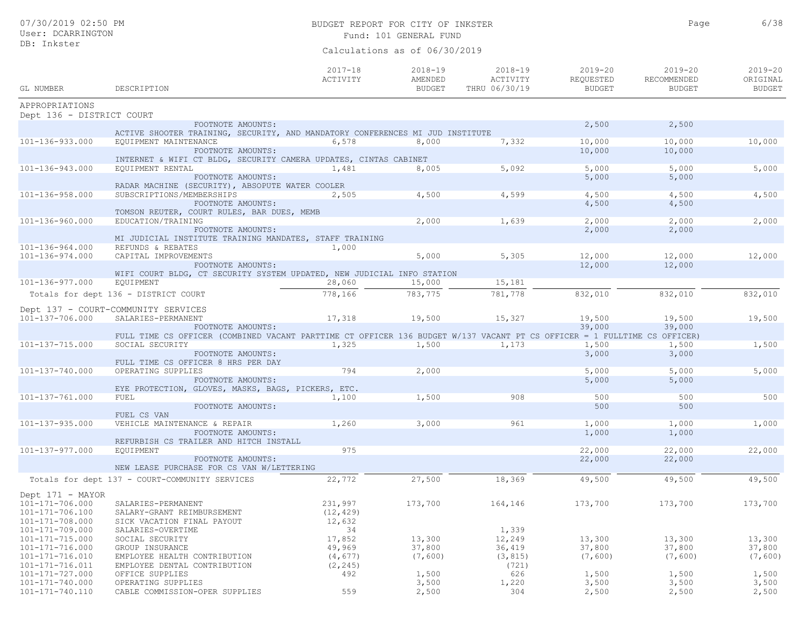|                                             |                                                                                                    | $2017 - 18$<br>ACTIVITY | $2018 - 19$<br>AMENDED | 2018-19<br>ACTIVITY | $2019 - 20$<br>REQUESTED | 2019-20<br>RECOMMENDED | $2019 - 20$<br>ORIGINAL |
|---------------------------------------------|----------------------------------------------------------------------------------------------------|-------------------------|------------------------|---------------------|--------------------------|------------------------|-------------------------|
| GL NUMBER                                   | DESCRIPTION                                                                                        |                         | BUDGET                 | THRU 06/30/19       | BUDGET                   | BUDGET                 | <b>BUDGET</b>           |
| APPROPRIATIONS<br>Dept 136 - DISTRICT COURT |                                                                                                    |                         |                        |                     |                          |                        |                         |
|                                             | FOOTNOTE AMOUNTS:<br>ACTIVE SHOOTER TRAINING, SECURITY, AND MANDATORY CONFERENCES MI JUD INSTITUTE |                         |                        |                     | 2,500                    | 2,500                  |                         |
| 101-136-933.000                             | EQUIPMENT MAINTENANCE                                                                              | 6,578                   | 8,000                  | 7,332               | 10,000                   | 10,000                 | 10,000                  |
|                                             | FOOTNOTE AMOUNTS:<br>INTERNET & WIFI CT BLDG, SECURITY CAMERA UPDATES, CINTAS CABINET              |                         |                        |                     | 10,000                   | 10,000                 |                         |
| 101-136-943.000                             | EQUIPMENT RENTAL                                                                                   | 1,481                   | 8,005                  | 5,092               | 5,000                    | 5,000                  | 5,000                   |
|                                             | FOOTNOTE AMOUNTS:<br>RADAR MACHINE (SECURITY), ABSOPUTE WATER COOLER                               |                         |                        |                     | 5,000                    | 5,000                  |                         |
| 101-136-958.000                             | SUBSCRIPTIONS/MEMBERSHIPS                                                                          | 2,505                   | 4,500                  | 4,599               | 4,500                    | 4,500                  | 4,500                   |
|                                             | FOOTNOTE AMOUNTS:<br>TOMSON REUTER, COURT RULES, BAR DUES, MEMB                                    |                         |                        |                     | 4,500                    | 4,500                  |                         |
| 101-136-960.000                             | EDUCATION/TRAINING                                                                                 |                         | 2,000                  | 1,639               | 2,000                    | 2,000                  | 2,000                   |
|                                             | FOOTNOTE AMOUNTS:                                                                                  |                         |                        |                     | 2,000                    | 2,000                  |                         |

|                                     | MI JUDICIAL INSTITUTE TRAINING MANDATES, STAFF TRAINING                                                                  |           |         |         |         |         |         |
|-------------------------------------|--------------------------------------------------------------------------------------------------------------------------|-----------|---------|---------|---------|---------|---------|
| 101-136-964.000                     | REFUNDS & REBATES                                                                                                        | 1,000     |         |         |         |         |         |
| 101-136-974.000                     | CAPITAL IMPROVEMENTS                                                                                                     |           | 5,000   | 5,305   | 12,000  | 12,000  | 12,000  |
|                                     | FOOTNOTE AMOUNTS:                                                                                                        |           |         |         | 12,000  | 12,000  |         |
|                                     | WIFI COURT BLDG, CT SECURITY SYSTEM UPDATED, NEW JUDICIAL INFO STATION                                                   |           |         |         |         |         |         |
| $101 - 136 - 977.000$               | EQUIPMENT                                                                                                                | 28,060    | 15,000  | 15,181  |         |         |         |
|                                     | Totals for dept 136 - DISTRICT COURT                                                                                     | 778,166   | 783,775 | 781,778 | 832,010 | 832,010 | 832,010 |
|                                     | Dept 137 - COURT-COMMUNITY SERVICES                                                                                      |           |         |         |         |         |         |
| 101-137-706.000                     | SALARIES-PERMANENT                                                                                                       | 17,318    | 19,500  | 15,327  | 19,500  | 19,500  | 19,500  |
|                                     | FOOTNOTE AMOUNTS:                                                                                                        |           |         |         | 39,000  | 39,000  |         |
|                                     | FULL TIME CS OFFICER (COMBINED VACANT PARTTIME CT OFFICER 136 BUDGET W/137 VACANT PT CS OFFICER = 1 FULLTIME CS OFFICER) |           |         |         |         |         |         |
| 101-137-715.000                     | SOCIAL SECURITY                                                                                                          | 1,325     | 1,500   | 1,173   | 1,500   | 1,500   | 1,500   |
|                                     | FOOTNOTE AMOUNTS:<br>FULL TIME CS OFFICER 8 HRS PER DAY                                                                  |           |         |         | 3,000   | 3,000   |         |
| 101-137-740.000                     | OPERATING SUPPLIES                                                                                                       | 794       | 2,000   |         | 5,000   | 5,000   | 5,000   |
|                                     | FOOTNOTE AMOUNTS:<br>EYE PROTECTION, GLOVES, MASKS, BAGS, PICKERS, ETC.                                                  |           |         |         | 5,000   | 5,000   |         |
| 101-137-761.000                     | FUEL                                                                                                                     | 1,100     | 1,500   | 908     | 500     | 500     | 500     |
|                                     | FOOTNOTE AMOUNTS:<br>FUEL CS VAN                                                                                         |           |         |         | 500     | 500     |         |
| $101 - 137 - 935.000$               | VEHICLE MAINTENANCE & REPAIR                                                                                             | 1,260     | 3,000   | 961     | 1,000   | 1,000   | 1,000   |
|                                     | FOOTNOTE AMOUNTS:<br>REFURBISH CS TRAILER AND HITCH INSTALL                                                              |           |         |         | 1,000   | 1,000   |         |
| 101-137-977.000                     | EQUIPMENT                                                                                                                | 975       |         |         | 22,000  | 22,000  | 22,000  |
|                                     | FOOTNOTE AMOUNTS:<br>NEW LEASE PURCHASE FOR CS VAN W/LETTERING                                                           |           |         |         | 22,000  | 22,000  |         |
|                                     | Totals for dept 137 - COURT-COMMUNITY SERVICES                                                                           | 22,772    | 27,500  | 18,369  | 49,500  | 49,500  | 49,500  |
| Dept 171 - MAYOR<br>101-171-706.000 | SALARIES-PERMANENT                                                                                                       | 231,997   | 173,700 | 164,146 | 173,700 | 173,700 | 173,700 |
| 101-171-706.100                     | SALARY-GRANT REIMBURSEMENT                                                                                               | (12, 429) |         |         |         |         |         |

101-171-706.100 SALARY-GRANT REIMBURSEMENT (12,429) 101-171-708.000 SICK VACATION FINAL PAYOUT 12,632<br>101-171-709.000 SALARIES-OVERTIME 34 101-171-709.000 SALARIES-OVERTIME 34 34<br>1101-171-715.000 SOCIAL SECURITY 17.852 13,300 12,249 101-171-715.000 SOCIAL SECURITY 17,852 13,300 12,249 13,300 13,300 13,300 101-171-716.000 GROUP INSURANCE 49,969 37,800 36,419 37,800 37,800 37,800 37,800 37,800 37,800 37,800 37,800 37,800 101-171-716.010 EMPLOYEE HEALTH CONTRIBUTION (4,677) (7,600) (3,815) (7,600) (7,600) (7,600) (7,600) (7,600) (7,600)<br>101-171-716.011 EMPLOYEE DENTAL CONTRIBUTION (2,245) (2,245) (721) 101-171-716.011 EMPLOYEE DENTAL CONTRIBUTION (2,245) (721) 101-171-727.000 OFFICE SUPPLIES 492 1,500 626 1,500 1,500 1,500 101-171-740.000 OPERATING SUPPLIES 3,500 1,220 3,500 3,500 3,500 101-171-740.110 CABLE COMMISSION-OPER SUPPLIES 559 2,500 304 2,500 2,500 2,500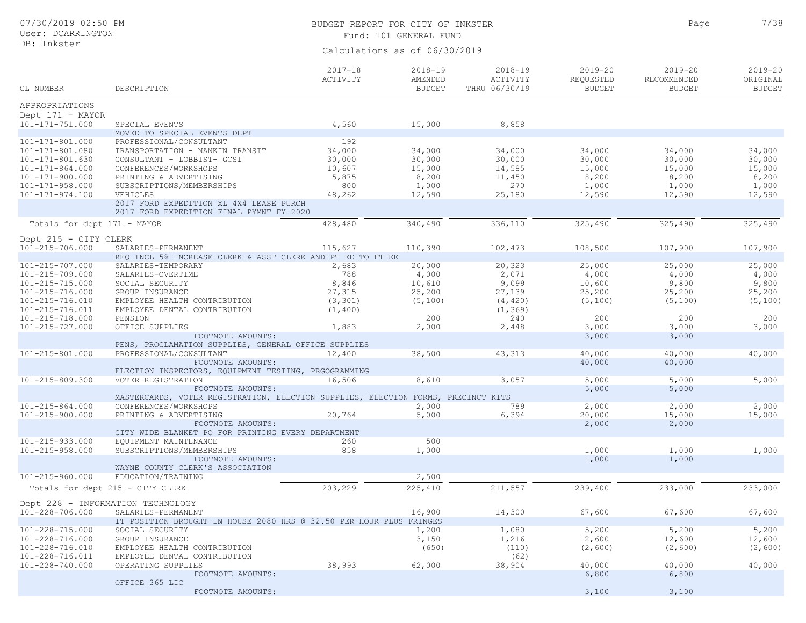## BUDGET REPORT FOR CITY OF INKSTER **1999** Page 2/38 Fund: 101 GENERAL FUND

Page

| GL NUMBER                                | DESCRIPTION                                                                         | $2017 - 18$<br>ACTIVITY | $2018 - 19$<br>AMENDED<br><b>BUDGET</b> | $2018 - 19$<br>ACTIVITY<br>THRU 06/30/19 | 2019-20<br>REQUESTED<br><b>BUDGET</b> | $2019 - 20$<br>RECOMMENDED<br><b>BUDGET</b> | $2019 - 20$<br>ORIGINAL<br><b>BUDGET</b> |
|------------------------------------------|-------------------------------------------------------------------------------------|-------------------------|-----------------------------------------|------------------------------------------|---------------------------------------|---------------------------------------------|------------------------------------------|
|                                          |                                                                                     |                         |                                         |                                          |                                       |                                             |                                          |
| APPROPRIATIONS<br>Dept 171 - MAYOR       |                                                                                     |                         |                                         |                                          |                                       |                                             |                                          |
| $101 - 171 - 751.000$                    | SPECIAL EVENTS                                                                      | 4,560                   | 15,000                                  | 8,858                                    |                                       |                                             |                                          |
|                                          | MOVED TO SPECIAL EVENTS DEPT                                                        |                         |                                         |                                          |                                       |                                             |                                          |
| 101-171-801.000                          | PROFESSIONAL/CONSULTANT                                                             | 192                     |                                         |                                          |                                       |                                             |                                          |
| 101-171-801.080                          | TRANSPORTATION - NANKIN TRANSIT                                                     | 34,000                  | 34,000                                  | 34,000                                   | 34,000                                | 34,000                                      | 34,000                                   |
| 101-171-801.630<br>$101 - 171 - 864.000$ | CONSULTANT - LOBBIST- GCSI<br>CONFERENCES/WORKSHOPS                                 | 30,000<br>10,607        | 30,000<br>15,000                        | 30,000<br>14,585                         | 30,000<br>15,000                      | 30,000<br>15,000                            | 30,000<br>15,000                         |
| 101-171-900.000                          | PRINTING & ADVERTISING                                                              | 5,875                   | 8,200                                   | 11,450                                   | 8,200                                 | 8,200                                       | 8,200                                    |
| $101 - 171 - 958.000$                    | SUBSCRIPTIONS/MEMBERSHIPS                                                           | 800                     | 1,000                                   | 270                                      | 1,000                                 | 1,000                                       | 1,000                                    |
| 101-171-974.100                          | VEHICLES                                                                            | 48,262                  | 12,590                                  | 25,180                                   | 12,590                                | 12,590                                      | 12,590                                   |
|                                          | 2017 FORD EXPEDITION XL 4X4 LEASE PURCH<br>2017 FORD EXPEDITION FINAL PYMNT FY 2020 |                         |                                         |                                          |                                       |                                             |                                          |
| Totals for dept 171 - MAYOR              |                                                                                     | 428,480                 | 340,490                                 | 336,110                                  | 325,490                               | 325,490                                     | 325,490                                  |
| Dept 215 - CITY CLERK                    |                                                                                     |                         |                                         |                                          |                                       |                                             |                                          |
| 101-215-706.000                          | SALARIES-PERMANENT                                                                  | 115,627                 | 110,390                                 | 102,473                                  | 108,500                               | 107,900                                     | 107,900                                  |
|                                          | REQ INCL 5% INCREASE CLERK & ASST CLERK AND PT EE TO FT EE                          |                         |                                         |                                          |                                       |                                             |                                          |
| 101-215-707.000                          | SALARIES-TEMPORARY                                                                  | 2,683                   | 20,000                                  | 20,323                                   | 25,000                                | 25,000                                      | 25,000                                   |
| 101-215-709.000<br>101-215-715.000       | SALARIES-OVERTIME<br>SOCIAL SECURITY                                                | 788<br>8,846            | 4,000<br>10,610                         | 2,071<br>9,099                           | 4,000<br>10,600                       | 4,000<br>9,800                              | 4,000<br>9,800                           |
| 101-215-716.000                          | GROUP INSURANCE                                                                     | 27,315                  | 25,200                                  | 27,139                                   | 25,200                                | 25,200                                      | 25,200                                   |
| 101-215-716.010                          | EMPLOYEE HEALTH CONTRIBUTION                                                        | (3, 301)                | (5, 100)                                | (4, 420)                                 | (5, 100)                              | (5, 100)                                    | (5, 100)                                 |
| 101-215-716.011                          | EMPLOYEE DENTAL CONTRIBUTION                                                        | (1, 400)                |                                         | (1, 369)                                 |                                       |                                             |                                          |
| 101-215-718.000                          | PENSION                                                                             |                         | 200                                     | 240                                      | 200                                   | 200                                         | 200                                      |
| 101-215-727.000                          | OFFICE SUPPLIES                                                                     | 1,883                   | 2,000                                   | 2,448                                    | 3,000                                 | 3,000                                       | 3,000                                    |
|                                          | FOOTNOTE AMOUNTS:<br>PENS, PROCLAMATION SUPPLIES, GENERAL OFFICE SUPPLIES           |                         |                                         |                                          | 3,000                                 | 3,000                                       |                                          |
| 101-215-801.000                          | PROFESSIONAL/CONSULTANT                                                             | 12,400                  | 38,500                                  | 43,313                                   | 40,000                                | 40,000                                      | 40,000                                   |
|                                          | FOOTNOTE AMOUNTS:                                                                   |                         |                                         |                                          | 40,000                                | 40,000                                      |                                          |
|                                          | ELECTION INSPECTORS, EQUIPMENT TESTING, PRGOGRAMMING                                |                         |                                         |                                          |                                       |                                             |                                          |
| 101-215-809.300                          | VOTER REGISTRATION<br>FOOTNOTE AMOUNTS:                                             | 16,506                  | 8,610                                   | 3,057                                    | 5,000<br>5,000                        | 5,000<br>5,000                              | 5,000                                    |
|                                          | MASTERCARDS, VOTER REGISTRATION, ELECTION SUPPLIES, ELECTION FORMS, PRECINCT KITS   |                         |                                         |                                          |                                       |                                             |                                          |
| 101-215-864.000                          | CONFERENCES/WORKSHOPS                                                               |                         | 2,000                                   | 789                                      | 2,000                                 | 2,000                                       | 2,000                                    |
| 101-215-900.000                          | PRINTING & ADVERTISING                                                              | 20,764                  | 5,000                                   | 6,394                                    | 20,000                                | 15,000                                      | 15,000                                   |
|                                          | FOOTNOTE AMOUNTS:                                                                   |                         |                                         |                                          | 2,000                                 | 2,000                                       |                                          |
| 101-215-933.000                          | CITY WIDE BLANKET PO FOR PRINTING EVERY DEPARTMENT<br>EQUIPMENT MAINTENANCE         | 260                     | 500                                     |                                          |                                       |                                             |                                          |
| 101-215-958.000                          | SUBSCRIPTIONS/MEMBERSHIPS                                                           | 858                     | 1,000                                   |                                          | 1,000                                 | 1,000                                       | 1,000                                    |
|                                          | FOOTNOTE AMOUNTS:                                                                   |                         |                                         |                                          | 1,000                                 | 1,000                                       |                                          |
|                                          | WAYNE COUNTY CLERK'S ASSOCIATION                                                    |                         |                                         |                                          |                                       |                                             |                                          |
| $101 - 215 - 960.000$                    | EDUCATION/TRAINING                                                                  |                         | 2,500                                   |                                          |                                       |                                             |                                          |
| Totals for dept 215 - CITY CLERK         |                                                                                     | 203,229                 | 225,410                                 | 211,557                                  | 239,400                               | 233,000                                     | 233,000                                  |
| Dept 228 - INFORMATION TECHNOLOGY        |                                                                                     |                         |                                         |                                          |                                       |                                             |                                          |
| 101-228-706.000                          | SALARIES-PERMANENT                                                                  |                         | 16,900                                  | 14,300                                   | 67,600                                | 67,600                                      | 67,600                                   |
|                                          | IT POSITION BROUGHT IN HOUSE 2080 HRS @ 32.50 PER HOUR PLUS FRINGES                 |                         |                                         |                                          |                                       |                                             |                                          |
| 101-228-715.000                          | SOCIAL SECURITY                                                                     |                         | 1,200                                   | 1,080                                    | 5,200                                 | 5,200                                       | 5,200                                    |
| 101-228-716.000<br>101-228-716.010       | GROUP INSURANCE<br>EMPLOYEE HEALTH CONTRIBUTION                                     |                         | 3,150<br>(650)                          | 1,216                                    | 12,600<br>(2, 600)                    | 12,600<br>(2, 600)                          | 12,600<br>(2, 600)                       |
| 101-228-716.011                          | EMPLOYEE DENTAL CONTRIBUTION                                                        |                         |                                         | (110)<br>(62)                            |                                       |                                             |                                          |
| 101-228-740.000                          | OPERATING SUPPLIES                                                                  | 38,993                  | 62,000                                  | 38,904                                   | 40,000                                | 40,000                                      | 40,000                                   |
|                                          | FOOTNOTE AMOUNTS:                                                                   |                         |                                         |                                          | 6,800                                 | 6,800                                       |                                          |
|                                          | OFFICE 365 LIC                                                                      |                         |                                         |                                          |                                       |                                             |                                          |
|                                          | FOOTNOTE AMOUNTS:                                                                   |                         |                                         |                                          | 3,100                                 | 3,100                                       |                                          |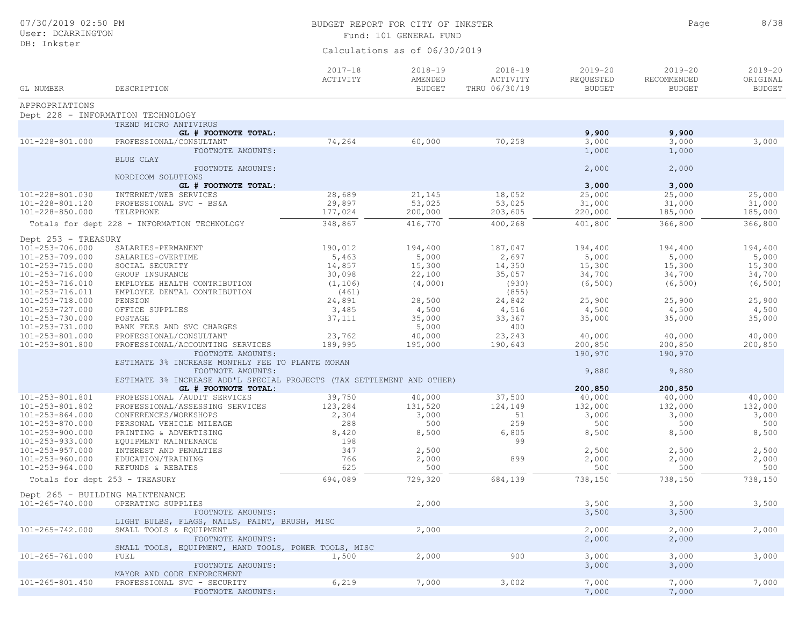| 07/30/2019 02:50 PM<br>User: DCARRINGTON |                                                                                             | BUDGET REPORT FOR CITY OF INKSTER<br>Fund: 101 GENERAL FUND | Page                                    | 8/38                                     |                                           |                                             |                                          |
|------------------------------------------|---------------------------------------------------------------------------------------------|-------------------------------------------------------------|-----------------------------------------|------------------------------------------|-------------------------------------------|---------------------------------------------|------------------------------------------|
| DB: Inkster                              |                                                                                             |                                                             | Calculations as of 06/30/2019           |                                          |                                           |                                             |                                          |
| GL NUMBER                                | DESCRIPTION                                                                                 | $2017 - 18$<br>ACTIVITY                                     | $2018 - 19$<br>AMENDED<br><b>BUDGET</b> | $2018 - 19$<br>ACTIVITY<br>THRU 06/30/19 | $2019 - 20$<br>REQUESTED<br><b>BUDGET</b> | $2019 - 20$<br>RECOMMENDED<br><b>BUDGET</b> | $2019 - 20$<br>ORIGINAL<br><b>BUDGET</b> |
| APPROPRIATIONS                           |                                                                                             |                                                             |                                         |                                          |                                           |                                             |                                          |
|                                          | Dept 228 - INFORMATION TECHNOLOGY                                                           |                                                             |                                         |                                          |                                           |                                             |                                          |
|                                          | TREND MICRO ANTIVIRUS                                                                       |                                                             |                                         |                                          |                                           |                                             |                                          |
| 101-228-801.000                          | GL # FOOTNOTE TOTAL:<br>PROFESSIONAL/CONSULTANT                                             | 74,264                                                      | 60,000                                  | 70,258                                   | 9,900<br>3,000                            | 9,900<br>3,000                              | 3,000                                    |
|                                          | FOOTNOTE AMOUNTS:                                                                           |                                                             |                                         |                                          | 1,000                                     | 1,000                                       |                                          |
|                                          | BLUE CLAY                                                                                   |                                                             |                                         |                                          |                                           |                                             |                                          |
|                                          | FOOTNOTE AMOUNTS:<br>NORDICOM SOLUTIONS                                                     |                                                             |                                         |                                          | 2,000                                     | 2,000                                       |                                          |
|                                          | GL # FOOTNOTE TOTAL:                                                                        |                                                             |                                         |                                          | 3,000                                     | 3,000                                       |                                          |
| 101-228-801.030                          | INTERNET/WEB SERVICES                                                                       | 28,689                                                      | 21,145                                  | 18,052                                   | 25,000                                    | 25,000                                      | 25,000                                   |
| 101-228-801.120                          | PROFESSIONAL SVC - BS&A                                                                     | 29,897                                                      | 53,025                                  | 53,025                                   | 31,000                                    | 31,000                                      | 31,000                                   |
| 101-228-850.000                          | TELEPHONE                                                                                   | 177,024                                                     | 200,000                                 | 203,605                                  | 220,000                                   | 185,000                                     | 185,000                                  |
|                                          | Totals for dept 228 - INFORMATION TECHNOLOGY                                                | 348,867                                                     | 416,770                                 | 400,268                                  | 401,800                                   | 366,800                                     | 366,800                                  |
| Dept 253 - TREASURY                      |                                                                                             |                                                             |                                         |                                          |                                           |                                             |                                          |
| 101-253-706.000                          | SALARIES-PERMANENT                                                                          | 190,012                                                     | 194,400                                 | 187,047                                  | 194,400                                   | 194,400                                     | 194,400                                  |
| 101-253-709.000                          | SALARIES-OVERTIME                                                                           | 5,463                                                       | 5,000                                   | 2,697                                    | 5,000                                     | 5,000                                       | 5,000                                    |
| 101-253-715.000                          | SOCIAL SECURITY                                                                             | 14,857                                                      | 15,300                                  | 14,350                                   | 15,300                                    | 15,300                                      | 15,300                                   |
| 101-253-716.000                          | GROUP INSURANCE                                                                             | 30,098                                                      | 22,100                                  | 35,057                                   | 34,700                                    | 34,700                                      | 34,700                                   |
| 101-253-716.010                          | EMPLOYEE HEALTH CONTRIBUTION                                                                | (1, 106)                                                    | (4,000)                                 | (930)                                    | (6, 500)                                  | (6, 500)                                    | (6, 500)                                 |
| 101-253-716.011                          | EMPLOYEE DENTAL CONTRIBUTION                                                                | (461)                                                       |                                         | (855)                                    |                                           |                                             |                                          |
| 101-253-718.000                          | PENSION                                                                                     | 24,891                                                      | 28,500                                  | 24,842                                   | 25,900                                    | 25,900                                      | 25,900                                   |
| 101-253-727.000                          | OFFICE SUPPLIES                                                                             | 3,485                                                       | 4,500                                   | 4,516                                    | 4,500                                     | 4,500                                       | 4,500                                    |
| 101-253-730.000                          | POSTAGE                                                                                     | 37,111                                                      | 35,000                                  | 33,367                                   | 35,000                                    | 35,000                                      | 35,000                                   |
| 101-253-731.000                          | BANK FEES AND SVC CHARGES                                                                   |                                                             | 5,000                                   | 400                                      |                                           |                                             |                                          |
| 101-253-801.000                          | PROFESSIONAL/CONSULTANT                                                                     | 23,762                                                      | 40,000                                  | 23,243                                   | 40,000                                    | 40,000                                      | 40,000                                   |
| 101-253-801.800                          | PROFESSIONAL/ACCOUNTING SERVICES                                                            | 189,995                                                     | 195,000                                 | 190,643                                  | 200,850                                   | 200,850                                     | 200,850                                  |
|                                          | FOOTNOTE AMOUNTS:                                                                           |                                                             |                                         |                                          | 190,970                                   | 190,970                                     |                                          |
|                                          | ESTIMATE 3% INCREASE MONTHLY FEE TO PLANTE MORAN                                            |                                                             |                                         |                                          |                                           |                                             |                                          |
|                                          | FOOTNOTE AMOUNTS:<br>ESTIMATE 3% INCREASE ADD'L SPECIAL PROJECTS (TAX SETTLEMENT AND OTHER) |                                                             |                                         |                                          | 9,880                                     | 9,880                                       |                                          |
|                                          | GL # FOOTNOTE TOTAL:                                                                        |                                                             |                                         |                                          | 200,850                                   | 200,850                                     |                                          |
| 101-253-801.801                          | PROFESSIONAL / AUDIT SERVICES                                                               | 39,750                                                      | 40,000                                  | 37,500                                   | 40,000                                    | 40,000                                      | 40,000                                   |
| 101-253-801.802                          | PROFESSIONAL/ASSESSING SERVICES                                                             | 123,284                                                     | 131,520                                 | 124,149                                  | 132,000                                   | 132,000                                     | 132,000                                  |
| $101 - 253 - 864.000$                    | CONFERENCES/WORKSHOPS                                                                       | 2,304                                                       | 3,000                                   | 51                                       | 3,000                                     | 3,000                                       | 3,000                                    |
| 101-253-870.000                          | PERSONAL VEHICLE MILEAGE                                                                    | 288                                                         | 500                                     | 259                                      | 500                                       | 500                                         | 500                                      |
| 101-253-900.000                          | PRINTING & ADVERTISING                                                                      | 8,420                                                       | 8,500                                   | 6,805                                    | 8,500                                     | 8,500                                       | 8,500                                    |
| $101 - 253 - 933.000$                    | EQUIPMENT MAINTENANCE                                                                       | 198                                                         |                                         | 99                                       |                                           |                                             |                                          |
| $101 - 253 - 957.000$                    | INTEREST AND PENALTIES                                                                      | 347                                                         | 2,500                                   |                                          | 2,500                                     | 2,500                                       | 2,500                                    |
| $101 - 253 - 960.000$                    | EDUCATION/TRAINING                                                                          | 766                                                         | 2,000                                   | 899                                      | 2,000                                     | 2,000                                       | 2,000                                    |
| $101 - 253 - 964.000$                    | REFUNDS & REBATES                                                                           | 625                                                         | 500                                     |                                          | 500                                       | 500                                         | 500                                      |
| Totals for dept 253 - TREASURY           |                                                                                             | 694,089                                                     | 729,320                                 | 684,139                                  | 738,150                                   | 738,150                                     | 738,150                                  |
| Dept 265 - BUILDING MAINTENANCE          |                                                                                             |                                                             |                                         |                                          |                                           |                                             |                                          |
| 101-265-740.000                          | OPERATING SUPPLIES                                                                          |                                                             | 2,000                                   |                                          | 3,500                                     | 3,500                                       | 3,500                                    |
|                                          | FOOTNOTE AMOUNTS:                                                                           |                                                             |                                         |                                          | 3,500                                     | 3,500                                       |                                          |
|                                          | LIGHT BULBS, FLAGS, NAILS, PAINT, BRUSH, MISC                                               |                                                             |                                         |                                          |                                           |                                             |                                          |
| $101 - 265 - 742.000$                    | SMALL TOOLS & EQUIPMENT                                                                     |                                                             | 2,000                                   |                                          | 2,000                                     | 2,000                                       | 2,000                                    |
|                                          | FOOTNOTE AMOUNTS:                                                                           |                                                             |                                         |                                          | 2,000                                     | 2,000                                       |                                          |
|                                          | SMALL TOOLS, EQUIPMENT, HAND TOOLS, POWER TOOLS, MISC                                       |                                                             |                                         |                                          |                                           |                                             |                                          |
| $101 - 265 - 761.000$                    | FUEL                                                                                        | 1,500                                                       | 2,000                                   | 900                                      | 3,000                                     | 3,000                                       | 3,000                                    |
|                                          | FOOTNOTE AMOUNTS:                                                                           |                                                             |                                         |                                          | 3,000                                     | 3,000                                       |                                          |
| $101 - 265 - 801.450$                    | MAYOR AND CODE ENFORCEMENT<br>PROFESSIONAL SVC - SECURITY                                   | 6,219                                                       | 7,000                                   | 3,002                                    | 7,000                                     | 7,000                                       | 7,000                                    |
|                                          | FOOTNOTE AMOUNTS:                                                                           |                                                             |                                         |                                          | 7,000                                     | 7,000                                       |                                          |
|                                          |                                                                                             |                                                             |                                         |                                          |                                           |                                             |                                          |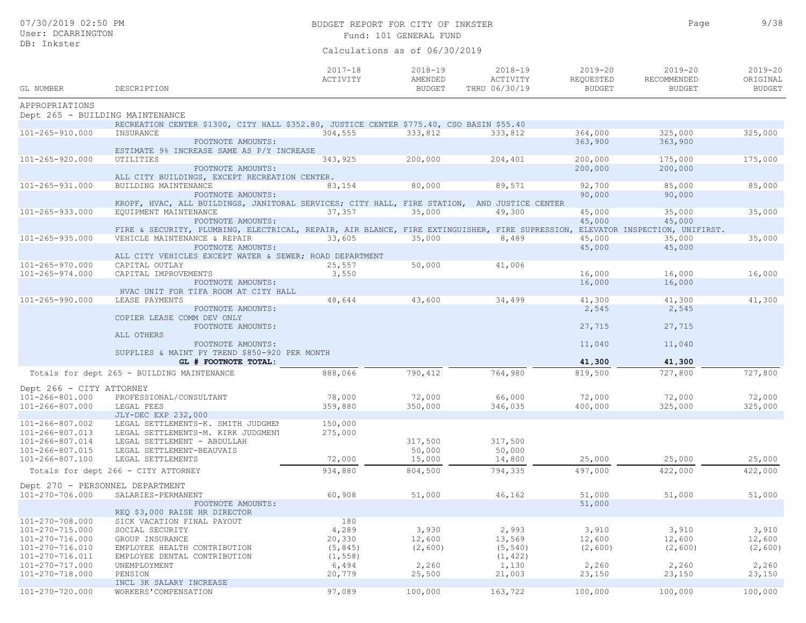| 07/30/2019 02:50 PM<br>User: DCARRINGTON |                                                                                                |                         | BUDGET REPORT FOR CITY OF INKSTER<br>Fund: 101 GENERAL FUND |                                          |                                           |                                             |                                          |
|------------------------------------------|------------------------------------------------------------------------------------------------|-------------------------|-------------------------------------------------------------|------------------------------------------|-------------------------------------------|---------------------------------------------|------------------------------------------|
| DB: Inkster                              |                                                                                                |                         | Calculations as of 06/30/2019                               |                                          |                                           |                                             |                                          |
| GL NUMBER                                | DESCRIPTION                                                                                    | $2017 - 18$<br>ACTIVITY | $2018 - 19$<br>AMENDED<br><b>BUDGET</b>                     | $2018 - 19$<br>ACTIVITY<br>THRU 06/30/19 | $2019 - 20$<br>REQUESTED<br><b>BUDGET</b> | $2019 - 20$<br>RECOMMENDED<br><b>BUDGET</b> | $2019 - 20$<br>ORIGINAL<br><b>BUDGET</b> |
| APPROPRIATIONS                           |                                                                                                |                         |                                                             |                                          |                                           |                                             |                                          |
| Dept 265 - BUILDING MAINTENANCE          |                                                                                                |                         |                                                             |                                          |                                           |                                             |                                          |
|                                          | RECREATION CENTER \$1300, CITY HALL \$352.80, JUSTICE CENTER \$775.40, CSO BASIN \$55.40       |                         |                                                             |                                          |                                           |                                             |                                          |
| 101-265-910.000                          | INSURANCE                                                                                      | 304,555                 | 333,812                                                     | 333,812                                  | 364,000                                   | 325,000                                     | 325,000                                  |
|                                          | FOOTNOTE AMOUNTS:                                                                              |                         |                                                             |                                          | 363,900                                   | 363,900                                     |                                          |
|                                          | ESTIMATE 9% INCREASE SAME AS P/Y INCREASE                                                      |                         |                                                             |                                          |                                           |                                             |                                          |
| $101 - 265 - 920.000$                    | UTILITIES                                                                                      | 343,925                 | 200,000                                                     | 204,401                                  | 200,000                                   | 175,000                                     | 175,000                                  |
|                                          | FOOTNOTE AMOUNTS:                                                                              |                         |                                                             |                                          | 200,000                                   | 200,000                                     |                                          |
|                                          | ALL CITY BUILDINGS, EXCEPT RECREATION CENTER.                                                  |                         |                                                             |                                          |                                           |                                             |                                          |
| $101 - 265 - 931.000$                    | BUILDING MAINTENANCE                                                                           | 83,154                  | 80,000                                                      | 89,571                                   | 92,700                                    | 85,000                                      | 85,000                                   |
|                                          | FOOTNOTE AMOUNTS:                                                                              |                         |                                                             |                                          | 90,000                                    | 90,000                                      |                                          |
|                                          | KROPF, HVAC, ALL BUILDINGS, JANITORAL SERVICES; CITY HALL, FIRE STATION, AND JUSTICE CENTER    |                         |                                                             |                                          |                                           |                                             |                                          |
| $101 - 265 - 933.000$                    | EQUIPMENT MAINTENANCE<br>FOOTNOTE AMOUNTS:                                                     | 37,357                  | 35,000                                                      | 49,300                                   | 45,000<br>45,000                          | 35,000<br>45,000                            | 35,000                                   |
|                                          | FIRE & SECURITY, PLUMBING, ELECTRICAL, REPAIR, AIR BLANCE, FIRE EXTINGUISHER, FIRE SUPRESSION, |                         |                                                             |                                          |                                           | ELEVATOR INSPECTION, UNIFIRST.              |                                          |
| $101 - 265 - 935.000$                    | VEHICLE MAINTENANCE & REPAIR                                                                   | 33,605                  | 35,000                                                      | 8,489                                    | 45,000                                    | 35,000                                      | 35,000                                   |
|                                          | FOOTNOTE AMOUNTS:                                                                              |                         |                                                             |                                          | 45,000                                    | 45,000                                      |                                          |
|                                          | ALL CITY VEHICLES EXCEPT WATER & SEWER; ROAD DEPARTMENT                                        |                         |                                                             |                                          |                                           |                                             |                                          |
| $101 - 265 - 970.000$                    | CAPITAL OUTLAY                                                                                 | 25,557                  | 50,000                                                      | 41,006                                   |                                           |                                             |                                          |
| $101 - 265 - 974.000$                    | CAPITAL IMPROVEMENTS                                                                           | 3,550                   |                                                             |                                          | 16,000                                    | 16,000                                      | 16,000                                   |
|                                          | FOOTNOTE AMOUNTS:                                                                              |                         |                                                             |                                          | 16,000                                    | 16,000                                      |                                          |
|                                          | HVAC UNIT FOR TIFA ROOM AT CITY HALL                                                           |                         |                                                             |                                          |                                           |                                             |                                          |
| 101-265-990.000                          | LEASE PAYMENTS                                                                                 | 48,644                  | 43,600                                                      | 34,499                                   | 41,300                                    | 41,300                                      | 41,300                                   |
|                                          | FOOTNOTE AMOUNTS:                                                                              |                         |                                                             |                                          | 2,545                                     | 2,545                                       |                                          |
|                                          | COPIER LEASE COMM DEV ONLY                                                                     |                         |                                                             |                                          |                                           |                                             |                                          |
|                                          | FOOTNOTE AMOUNTS:                                                                              |                         |                                                             |                                          | 27,715                                    | 27,715                                      |                                          |
|                                          | ALL OTHERS                                                                                     |                         |                                                             |                                          |                                           |                                             |                                          |
|                                          | FOOTNOTE AMOUNTS:                                                                              |                         |                                                             |                                          | 11,040                                    | 11,040                                      |                                          |
|                                          | SUPPLIES & MAINT PY TREND \$850-920 PER MONTH                                                  |                         |                                                             |                                          |                                           |                                             |                                          |
|                                          | GL # FOOTNOTE TOTAL:                                                                           |                         |                                                             |                                          | 41,300                                    | 41,300                                      |                                          |
|                                          | Totals for dept 265 - BUILDING MAINTENANCE                                                     | 888,066                 | 790,412                                                     | 764,980                                  | 819,500                                   | 727,800                                     | 727,800                                  |
| Dept 266 - CITY ATTORNEY                 |                                                                                                |                         |                                                             |                                          |                                           |                                             |                                          |
| 101-266-801.000                          | PROFESSIONAL/CONSULTANT                                                                        | 78,000                  | 72,000                                                      | 66,000                                   | 72,000                                    | 72,000                                      | 72,000                                   |
| 101-266-807.000                          | LEGAL FEES                                                                                     | 359,880                 | 350,000                                                     | 346,035                                  | 400,000                                   | 325,000                                     | 325,000                                  |
|                                          | JLY-DEC EXP 232,000                                                                            |                         |                                                             |                                          |                                           |                                             |                                          |
| 101-266-807.002                          | LEGAL SETTLEMENTS-K. SMITH JUDGMEN                                                             | 150,000                 |                                                             |                                          |                                           |                                             |                                          |
| $101 - 266 - 807.013$                    | LEGAL SETTLEMENTS-M. KIRK JUDGMENT                                                             | 275,000                 |                                                             |                                          |                                           |                                             |                                          |
| 101-266-807.014                          | LEGAL SETTLEMENT - ABDULLAH                                                                    |                         | 317,500                                                     | 317,500                                  |                                           |                                             |                                          |
| 101-266-807.015                          | LEGAL SETTLEMENT-BEAUVAIS                                                                      |                         | 50,000                                                      | 50,000                                   |                                           |                                             |                                          |
| 101-266-807.100                          | LEGAL SETTLEMENTS                                                                              | 72,000                  | 15,000                                                      | 14,800                                   | 25,000                                    | 25,000                                      | 25,000                                   |
|                                          | Totals for dept 266 - CITY ATTORNEY                                                            | 934,880                 | 804,500                                                     | 794,335                                  | 497,000                                   | 422,000                                     | 422,000                                  |
|                                          |                                                                                                |                         |                                                             |                                          |                                           |                                             |                                          |
| Dept 270 - PERSONNEL DEPARTMENT          |                                                                                                |                         |                                                             |                                          |                                           |                                             |                                          |
| 101-270-706.000                          | SALARIES-PERMANENT                                                                             | 60,908                  | 51,000                                                      | 46,162                                   | 51,000                                    | 51,000                                      | 51,000                                   |
|                                          | FOOTNOTE AMOUNTS:                                                                              |                         |                                                             |                                          | 51,000                                    |                                             |                                          |
| 101-270-708.000                          | REQ \$3,000 RAISE HR DIRECTOR                                                                  | 180                     |                                                             |                                          |                                           |                                             |                                          |
| 101-270-715.000                          | SICK VACATION FINAL PAYOUT<br>SOCIAL SECURITY                                                  | 4,289                   | 3,930                                                       | 2,993                                    | 3,910                                     | 3,910                                       | 3,910                                    |
| 101-270-716.000                          | GROUP INSURANCE                                                                                | 20,330                  | 12,600                                                      | 13,569                                   | 12,600                                    | 12,600                                      | 12,600                                   |
| 101-270-716.010                          | EMPLOYEE HEALTH CONTRIBUTION                                                                   | (5, 845)                | (2, 600)                                                    | (5, 540)                                 | (2, 600)                                  | (2, 600)                                    | (2, 600)                                 |
| 101-270-716.011                          | EMPLOYEE DENTAL CONTRIBUTION                                                                   | (1, 558)                |                                                             | (1, 422)                                 |                                           |                                             |                                          |
| 101-270-717.000                          | UNEMPLOYMENT                                                                                   | 6,494                   | 2,260                                                       | 1,130                                    | 2,260                                     | 2,260                                       | 2,260                                    |
| 101-270-718.000                          | PENSION                                                                                        | 20,779                  | 25,500                                                      | 21,003                                   | 23,150                                    | 23,150                                      | 23,150                                   |
|                                          | INCL 3K SALARY INCREASE                                                                        |                         |                                                             |                                          |                                           |                                             |                                          |
| 101-270-720.000                          | WORKERS 'COMPENSATION                                                                          | 97,089                  | 100,000                                                     | 163,722                                  | 100,000                                   | 100,000                                     | 100,000                                  |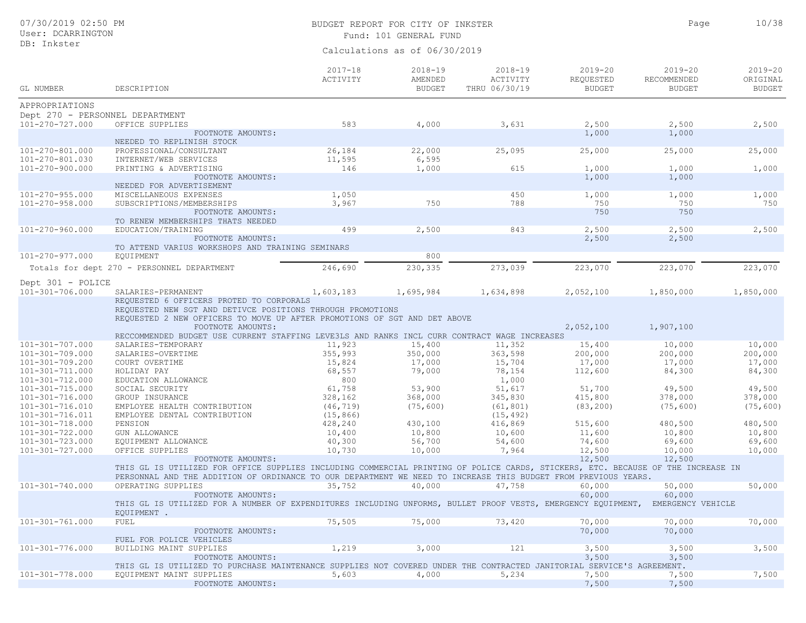## BUDGET REPORT FOR CITY OF INKSTER 10/38 Fund: 101 GENERAL FUND

Page

| <b>GL NUMBER</b>                         | DESCRIPTION                                                                                                                      | $2017 - 18$<br>ACTIVITY | $2018 - 19$<br>AMENDED<br><b>BUDGET</b> | $2018 - 19$<br>ACTIVITY<br>THRU 06/30/19 | $2019 - 20$<br>REQUESTED<br><b>BUDGET</b> | $2019 - 20$<br>RECOMMENDED<br><b>BUDGET</b> | $2019 - 20$<br>ORIGINAL<br><b>BUDGET</b> |
|------------------------------------------|----------------------------------------------------------------------------------------------------------------------------------|-------------------------|-----------------------------------------|------------------------------------------|-------------------------------------------|---------------------------------------------|------------------------------------------|
| APPROPRIATIONS                           |                                                                                                                                  |                         |                                         |                                          |                                           |                                             |                                          |
| Dept 270 - PERSONNEL DEPARTMENT          |                                                                                                                                  |                         |                                         |                                          |                                           |                                             |                                          |
| $101 - 270 - 727.000$                    | OFFICE SUPPLIES                                                                                                                  | 583                     | 4,000                                   | 3,631                                    | 2,500                                     | 2,500                                       | 2,500                                    |
|                                          | FOOTNOTE AMOUNTS:                                                                                                                |                         |                                         |                                          | 1,000                                     | 1,000                                       |                                          |
|                                          | NEEDED TO REPLINISH STOCK                                                                                                        |                         |                                         |                                          |                                           |                                             |                                          |
| 101-270-801.000                          | PROFESSIONAL/CONSULTANT                                                                                                          | 26,184                  | 22,000                                  | 25,095                                   | 25,000                                    | 25,000                                      | 25,000                                   |
| 101-270-801.030                          | INTERNET/WEB SERVICES                                                                                                            | 11,595                  | 6,595                                   |                                          |                                           |                                             |                                          |
| 101-270-900.000                          | PRINTING & ADVERTISING                                                                                                           | 146                     | 1,000                                   | 615                                      | 1,000                                     | 1,000                                       | 1,000                                    |
|                                          | FOOTNOTE AMOUNTS:                                                                                                                |                         |                                         |                                          | 1,000                                     | 1,000                                       |                                          |
|                                          | NEEDED FOR ADVERTISEMENT                                                                                                         |                         |                                         |                                          |                                           |                                             |                                          |
| $101 - 270 - 955.000$                    | MISCELLANEOUS EXPENSES                                                                                                           | 1,050                   | 750                                     | 450                                      | 1,000                                     | 1,000                                       | 1,000                                    |
| $101 - 270 - 958.000$                    | SUBSCRIPTIONS/MEMBERSHIPS<br>FOOTNOTE AMOUNTS:                                                                                   | 3,967                   |                                         | 788                                      | 750<br>750                                | 750<br>750                                  | 750                                      |
|                                          | TO RENEW MEMBERSHIPS THATS NEEDED                                                                                                |                         |                                         |                                          |                                           |                                             |                                          |
| 101-270-960.000                          | EDUCATION/TRAINING                                                                                                               | 499                     | 2,500                                   | 843                                      | 2,500                                     | 2,500                                       | 2,500                                    |
|                                          | FOOTNOTE AMOUNTS:                                                                                                                |                         |                                         |                                          | 2,500                                     | 2,500                                       |                                          |
|                                          | TO ATTEND VARIUS WORKSHOPS AND TRAINING SEMINARS                                                                                 |                         |                                         |                                          |                                           |                                             |                                          |
| 101-270-977.000                          | <b>EOUIPMENT</b>                                                                                                                 |                         | 800                                     |                                          |                                           |                                             |                                          |
|                                          | Totals for dept 270 - PERSONNEL DEPARTMENT                                                                                       | 246,690                 | 230,335                                 | 273,039                                  | 223,070                                   | 223,070                                     | 223,070                                  |
| Dept 301 - POLICE                        |                                                                                                                                  |                         |                                         |                                          |                                           |                                             |                                          |
| $101 - 301 - 706.000$                    | SALARIES-PERMANENT                                                                                                               | 1,603,183               | 1,695,984                               | 1,634,898                                | 2,052,100                                 | 1,850,000                                   | 1,850,000                                |
|                                          | REQUESTED 6 OFFICERS PROTED TO CORPORALS                                                                                         |                         |                                         |                                          |                                           |                                             |                                          |
|                                          | REQUESTED NEW SGT AND DETIVCE POSITIONS THROUGH PROMOTIONS                                                                       |                         |                                         |                                          |                                           |                                             |                                          |
|                                          | REQUESTED 2 NEW OFFICERS TO MOVE UP AFTER PROMOTIONS OF SGT AND DET ABOVE                                                        |                         |                                         |                                          |                                           |                                             |                                          |
|                                          | FOOTNOTE AMOUNTS:                                                                                                                |                         |                                         |                                          | 2,052,100                                 | 1,907,100                                   |                                          |
|                                          | RECCOMMENDED BUDGET USE CURRENT STAFFING LEVE3LS AND RANKS INCL CURR CONTRACT WAGE INCREASES                                     |                         |                                         |                                          |                                           |                                             |                                          |
| 101-301-707.000                          | SALARIES-TEMPORARY                                                                                                               | 11,923                  | 15,400                                  | 11,352                                   | 15,400                                    | 10,000                                      | 10,000                                   |
| 101-301-709.000                          | SALARIES-OVERTIME                                                                                                                | 355,993                 | 350,000                                 | 363,598                                  | 200,000                                   | 200,000                                     | 200,000                                  |
| 101-301-709.200                          | COURT OVERTIME                                                                                                                   | 15,824                  | 17,000                                  | 15,704                                   | 17,000                                    | 17,000                                      | 17,000                                   |
| 101-301-711.000<br>$101 - 301 - 712.000$ | HOLIDAY PAY<br>EDUCATION ALLOWANCE                                                                                               | 68,557<br>800           | 79,000                                  | 78,154<br>1,000                          | 112,600                                   | 84,300                                      | 84,300                                   |
| $101 - 301 - 715.000$                    | SOCIAL SECURITY                                                                                                                  | 61,758                  | 53,900                                  | 51,617                                   | 51,700                                    | 49,500                                      | 49,500                                   |
| 101-301-716.000                          | GROUP INSURANCE                                                                                                                  | 328,162                 | 368,000                                 | 345,830                                  | 415,800                                   | 378,000                                     | 378,000                                  |
| 101-301-716.010                          | EMPLOYEE HEALTH CONTRIBUTION                                                                                                     | (46, 719)               | (75, 600)                               | (61, 801)                                | (83, 200)                                 | (75, 600)                                   | (75, 600)                                |
| 101-301-716.011                          | EMPLOYEE DENTAL CONTRIBUTION                                                                                                     | (15, 866)               |                                         | (15, 492)                                |                                           |                                             |                                          |
| 101-301-718.000                          | PENSION                                                                                                                          | 428,240                 | 430,100                                 | 416,869                                  | 515,600                                   | 480,500                                     | 480,500                                  |
| 101-301-722.000                          | <b>GUN ALLOWANCE</b>                                                                                                             | 10,400                  | 10,800                                  | 10,600                                   | 11,600                                    | 10,800                                      | 10,800                                   |
| 101-301-723.000                          | EQUIPMENT ALLOWANCE                                                                                                              | 40,300                  | 56,700                                  | 54,600                                   | 74,600                                    | 69,600                                      | 69,600                                   |
| 101-301-727.000                          | OFFICE SUPPLIES                                                                                                                  | 10,730                  | 10,000                                  | 7,964                                    | 12,500                                    | 10,000                                      | 10,000                                   |
|                                          | FOOTNOTE AMOUNTS:                                                                                                                |                         |                                         |                                          | 12,500                                    | 12,500                                      |                                          |
|                                          | THIS GL IS UTILIZED FOR OFFICE SUPPLIES INCLUDING COMMERCIAL PRINTING OF POLICE CARDS, STICKERS, ETC. BECAUSE OF THE INCREASE IN |                         |                                         |                                          |                                           |                                             |                                          |
|                                          | PERSONNAL AND THE ADDITION OF ORDINANCE TO OUR DEPARTMENT WE NEED TO INCREASE THIS BUDGET FROM PREVIOUS YEARS.                   |                         |                                         |                                          |                                           |                                             |                                          |
| 101-301-740.000                          | OPERATING SUPPLIES                                                                                                               | 35,752                  | 40,000                                  | 47,758                                   | 60,000                                    | 50,000                                      | 50,000                                   |
|                                          | FOOTNOTE AMOUNTS:                                                                                                                |                         |                                         |                                          | 60,000                                    | 60,000                                      |                                          |
|                                          | THIS GL IS UTILIZED FOR A NUMBER OF EXPENDITURES INCLUDING UNFORMS, BULLET PROOF VESTS, EMERGENCY EQUIPMENT,                     |                         |                                         |                                          |                                           | EMERGENCY VEHICLE                           |                                          |
| 101-301-761.000                          | EOUIPMENT .<br>FUEL                                                                                                              | 75,505                  | 75,000                                  | 73,420                                   | 70,000                                    | 70,000                                      | 70,000                                   |
|                                          | FOOTNOTE AMOUNTS:                                                                                                                |                         |                                         |                                          | 70,000                                    | 70,000                                      |                                          |
|                                          | FUEL FOR POLICE VEHICLES                                                                                                         |                         |                                         |                                          |                                           |                                             |                                          |
| 101-301-776.000                          | BUILDING MAINT SUPPLIES                                                                                                          | 1,219                   | 3,000                                   | 121                                      | 3,500                                     | 3,500                                       | 3,500                                    |
|                                          | FOOTNOTE AMOUNTS:                                                                                                                |                         |                                         |                                          | 3,500                                     | 3,500                                       |                                          |
|                                          | THIS GL IS UTILIZED TO PURCHASE MAINTENANCE SUPPLIES NOT COVERED UNDER THE CONTRACTED JANITORIAL SERVICE'S AGREEMENT.            |                         |                                         |                                          |                                           |                                             |                                          |
| 101-301-778.000                          | EQUIPMENT MAINT SUPPLIES                                                                                                         | 5,603                   | 4,000                                   | 5,234                                    | 7,500                                     | 7,500                                       | 7,500                                    |
|                                          | FOOTNOTE AMOUNTS:                                                                                                                |                         |                                         |                                          | 7,500                                     | 7,500                                       |                                          |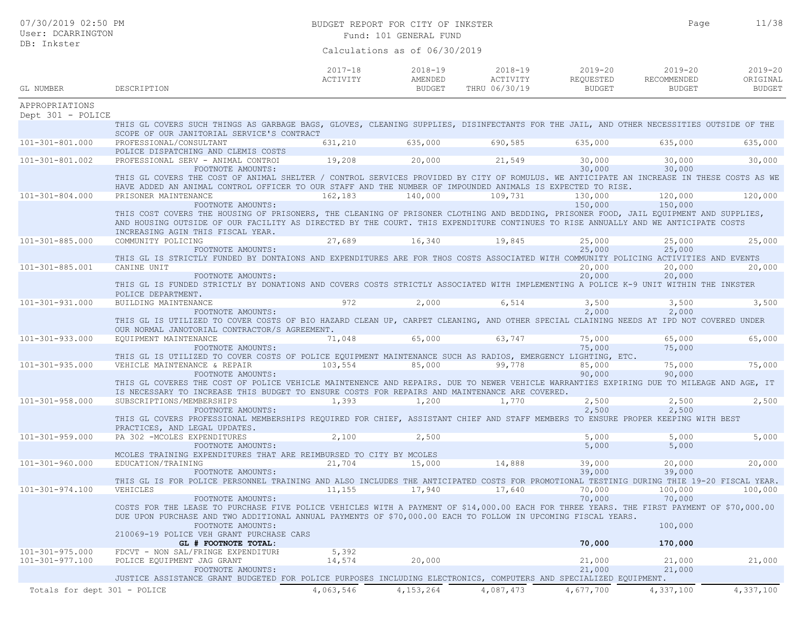| 07/30/2019 02:50 PM<br>User: DCARRINGTON |                                                                                                                                                                                                                                                                                                                                      | BUDGET REPORT FOR CITY OF INKSTER<br>Fund: 101 GENERAL FUND |                                         |                                          |                                           |                                             | 11/38                                    |
|------------------------------------------|--------------------------------------------------------------------------------------------------------------------------------------------------------------------------------------------------------------------------------------------------------------------------------------------------------------------------------------|-------------------------------------------------------------|-----------------------------------------|------------------------------------------|-------------------------------------------|---------------------------------------------|------------------------------------------|
| DB: Inkster                              |                                                                                                                                                                                                                                                                                                                                      |                                                             | Calculations as of 06/30/2019           |                                          |                                           |                                             |                                          |
| GL NUMBER                                | DESCRIPTION                                                                                                                                                                                                                                                                                                                          | $2017 - 18$<br>ACTIVITY                                     | $2018 - 19$<br>AMENDED<br><b>BUDGET</b> | $2018 - 19$<br>ACTIVITY<br>THRU 06/30/19 | $2019 - 20$<br>REQUESTED<br><b>BUDGET</b> | $2019 - 20$<br>RECOMMENDED<br><b>BUDGET</b> | $2019 - 20$<br>ORIGINAL<br><b>BUDGET</b> |
| APPROPRIATIONS                           |                                                                                                                                                                                                                                                                                                                                      |                                                             |                                         |                                          |                                           |                                             |                                          |
| Dept 301 - POLICE                        |                                                                                                                                                                                                                                                                                                                                      |                                                             |                                         |                                          |                                           |                                             |                                          |
|                                          | THIS GL COVERS SUCH THINGS AS GARBAGE BAGS, GLOVES, CLEANING SUPPLIES, DISINFECTANTS FOR THE JAIL, AND OTHER NECESSITIES OUTSIDE OF THE<br>SCOPE OF OUR JANITORIAL SERVICE'S CONTRACT                                                                                                                                                |                                                             |                                         |                                          |                                           |                                             |                                          |
| 101-301-801.000                          | PROFESSIONAL/CONSULTANT                                                                                                                                                                                                                                                                                                              | 631,210                                                     | 635,000                                 | 690,585                                  | 635,000                                   | 635,000                                     | 635,000                                  |
|                                          | POLICE DISPATCHING AND CLEMIS COSTS                                                                                                                                                                                                                                                                                                  |                                                             |                                         |                                          |                                           |                                             |                                          |
| 101-301-801.002                          | PROFESSIONAL SERV - ANIMAL CONTROI                                                                                                                                                                                                                                                                                                   | 19,208                                                      | 20,000                                  | 21,549                                   | 30,000                                    | 30,000                                      | 30,000                                   |
|                                          | FOOTNOTE AMOUNTS:<br>THIS GL COVERS THE COST OF ANIMAL SHELTER / CONTROL SERVICES PROVIDED BY CITY OF ROMULUS. WE ANTICIPATE AN INCREASE IN THESE COSTS AS WE<br>HAVE ADDED AN ANIMAL CONTROL OFFICER TO OUR STAFF AND THE NUMBER OF IMPOUNDED ANIMALS IS EXPECTED TO RISE.                                                          |                                                             |                                         |                                          | 30,000                                    | 30,000                                      |                                          |
| $101 - 301 - 804.000$                    | PRISONER MAINTENANCE                                                                                                                                                                                                                                                                                                                 | 162,183                                                     | 140,000                                 | 109,731                                  | 130,000                                   | 120,000                                     | 120,000                                  |
|                                          | FOOTNOTE AMOUNTS:<br>THIS COST COVERS THE HOUSING OF PRISONERS, THE CLEANING OF PRISONER CLOTHING AND BEDDING, PRISONER FOOD, JAIL EQUIPMENT AND SUPPLIES,<br>AND HOUSING OUTSIDE OF OUR FACILITY AS DIRECTED BY THE COURT. THIS EXPENDITURE CONTINUES TO RISE ANNUALLY AND WE ANTICIPATE COSTS<br>INCREASING AGIN THIS FISCAL YEAR. |                                                             |                                         |                                          | 150,000                                   | 150,000                                     |                                          |
| $101 - 301 - 885.000$                    | COMMUNITY POLICING<br>FOOTNOTE AMOUNTS:                                                                                                                                                                                                                                                                                              | 27,689                                                      | 16,340                                  | 19,845                                   | 25,000<br>25,000                          | 25,000<br>25,000                            | 25,000                                   |
|                                          | THIS GL IS STRICTLY FUNDED BY DONTAIONS AND EXPENDITURES ARE FOR THOS COSTS ASSOCIATED WITH COMMUNITY POLICING ACTIVITIES AND EVENTS                                                                                                                                                                                                 |                                                             |                                         |                                          |                                           |                                             |                                          |
| 101-301-885.001                          | CANINE UNIT<br>FOOTNOTE AMOUNTS:                                                                                                                                                                                                                                                                                                     |                                                             |                                         |                                          | 20,000<br>20,000                          | 20,000<br>20,000                            | 20,000                                   |
|                                          | THIS GL IS FUNDED STRICTLY BY DONATIONS AND COVERS COSTS STRICTLY ASSOCIATED WITH IMPLEMENTING A POLICE K-9 UNIT WITHIN THE INKSTER<br>POLICE DEPARTMENT.                                                                                                                                                                            |                                                             |                                         |                                          |                                           |                                             |                                          |
| $101 - 301 - 931.000$                    | BUILDING MAINTENANCE                                                                                                                                                                                                                                                                                                                 | 972                                                         | 2,000                                   | 6,514                                    | 3,500                                     | 3,500                                       | 3,500                                    |
|                                          | FOOTNOTE AMOUNTS:<br>THIS GL IS UTILIZED TO COVER COSTS OF BIO HAZARD CLEAN UP, CARPET CLEANING, AND OTHER SPECIAL CLAINING NEEDS AT IPD NOT COVERED UNDER<br>OUR NORMAL JANOTORIAL CONTRACTOR/S AGREEMENT.                                                                                                                          |                                                             |                                         |                                          | 2,000                                     | 2,000                                       |                                          |
| 101-301-933.000                          | EQUIPMENT MAINTENANCE                                                                                                                                                                                                                                                                                                                | 71,048                                                      | 65,000                                  | 63,747                                   | 75,000                                    | 65,000                                      | 65,000                                   |
|                                          | FOOTNOTE AMOUNTS:                                                                                                                                                                                                                                                                                                                    |                                                             |                                         |                                          | 75,000                                    | 75,000                                      |                                          |
|                                          | THIS GL IS UTILIZED TO COVER COSTS OF POLICE EQUIPMENT MAINTENANCE SUCH AS RADIOS, EMERGENCY LIGHTING, ETC.                                                                                                                                                                                                                          |                                                             |                                         |                                          |                                           |                                             |                                          |
| $101 - 301 - 935.000$                    | VEHICLE MAINTENANCE & REPAIR                                                                                                                                                                                                                                                                                                         | 103,554                                                     | 85,000                                  | 99,778                                   | 85,000                                    | 75,000                                      | 75,000                                   |
|                                          | FOOTNOTE AMOUNTS:                                                                                                                                                                                                                                                                                                                    |                                                             |                                         |                                          | 90,000                                    | 90,000                                      |                                          |
|                                          | THIS GL COVERES THE COST OF POLICE VEHICLE MAINTENENCE AND REPAIRS. DUE TO NEWER VEHICLE WARRANTIES EXPIRING DUE TO MILEAGE AND AGE, IT<br>IS NECESSARY TO INCREASE THIS BUDGET TO ENSURE COSTS FOR REPAIRS AND MAINTENANCE ARE COVERED.                                                                                             |                                                             |                                         |                                          |                                           |                                             |                                          |
| $101 - 301 - 958.000$                    | SUBSCRIPTIONS/MEMBERSHIPS                                                                                                                                                                                                                                                                                                            | 1,393                                                       | 1,200                                   | 1,770                                    | 2,500                                     | 2,500                                       | 2,500                                    |
|                                          | FOOTNOTE AMOUNTS:<br>THIS GL COVERS PROFESSIONAL MEMBERSHIPS REOUIRED FOR CHIEF, ASSISTANT CHIEF AND STAFF MEMBERS TO ENSURE PROPER KEEPING WITH BEST                                                                                                                                                                                |                                                             |                                         |                                          | 2,500                                     | 2,500                                       |                                          |
|                                          | PRACTICES, AND LEGAL UPDATES.                                                                                                                                                                                                                                                                                                        |                                                             |                                         |                                          |                                           |                                             |                                          |
| $101 - 301 - 959.000$                    | PA 302 -MCOLES EXPENDITURES                                                                                                                                                                                                                                                                                                          | 2,100                                                       | 2,500                                   |                                          | 5,000                                     | 5,000                                       | 5,000                                    |
|                                          | FOOTNOTE AMOUNTS:<br>MCOLES TRAINING EXPENDITURES THAT ARE REIMBURSED TO CITY BY MCOLES                                                                                                                                                                                                                                              |                                                             |                                         |                                          | 5,000                                     | 5,000                                       |                                          |
| 101-301-960.000                          | EDUCATION/TRAINING                                                                                                                                                                                                                                                                                                                   | 21,704                                                      | 15,000                                  | 14,888                                   | 39,000                                    | 20,000                                      | 20,000                                   |
|                                          | FOOTNOTE AMOUNTS:                                                                                                                                                                                                                                                                                                                    |                                                             |                                         |                                          | 39,000                                    | 39,000                                      |                                          |
|                                          | THIS GL IS FOR POLICE PERSONNEL TRAINING AND ALSO INCLUDES THE ANTICIPATED COSTS FOR PROMOTIONAL TESTINIG DURING THIE 19-20 FISCAL YEAR.                                                                                                                                                                                             |                                                             |                                         |                                          |                                           |                                             |                                          |
| 101-301-974.100                          | VEHICLES                                                                                                                                                                                                                                                                                                                             | 11,155                                                      | 17,940                                  | 17,640                                   | 70,000                                    | 100,000                                     | 100,000                                  |
|                                          | FOOTNOTE AMOUNTS:<br>COSTS FOR THE LEASE TO PURCHASE FIVE POLICE VEHICLES WITH A PAYMENT OF \$14,000.00 EACH FOR THREE YEARS. THE FIRST PAYMENT OF \$70,000.00<br>DUE UPON PURCHASE AND TWO ADDITIONAL ANNUAL PAYMENTS OF \$70,000.00 EACH TO FOLLOW IN UPCOMING FISCAL YEARS.<br>FOOTNOTE AMOUNTS:                                  |                                                             |                                         |                                          | 70,000                                    | 70,000<br>100,000                           |                                          |
|                                          | 210069-19 POLICE VEH GRANT PURCHASE CARS<br>GL # FOOTNOTE TOTAL:                                                                                                                                                                                                                                                                     |                                                             |                                         |                                          | 70,000                                    | 170,000                                     |                                          |
| $101 - 301 - 975.000$                    | FDCVT - NON SAL/FRINGE EXPENDITURE                                                                                                                                                                                                                                                                                                   | 5,392                                                       |                                         |                                          |                                           |                                             |                                          |
| 101-301-977.100                          | POLICE EQUIPMENT JAG GRANT                                                                                                                                                                                                                                                                                                           | 14,574                                                      | 20,000                                  |                                          | 21,000                                    | 21,000                                      | 21,000                                   |
|                                          | FOOTNOTE AMOUNTS:                                                                                                                                                                                                                                                                                                                    |                                                             |                                         |                                          | 21,000                                    | 21,000                                      |                                          |
|                                          | JUSTICE ASSISTANCE GRANT BUDGETED FOR POLICE PURPOSES INCLUDING ELECTRONICS, COMPUTERS AND SPECIALIZED EQUIPMENT.                                                                                                                                                                                                                    |                                                             |                                         |                                          |                                           |                                             |                                          |
| Totals for dept 301 - POLICE             |                                                                                                                                                                                                                                                                                                                                      | 4,063,546                                                   | 4, 153, 264                             | 4,087,473                                | 4,677,700                                 | 4,337,100                                   | 4,337,100                                |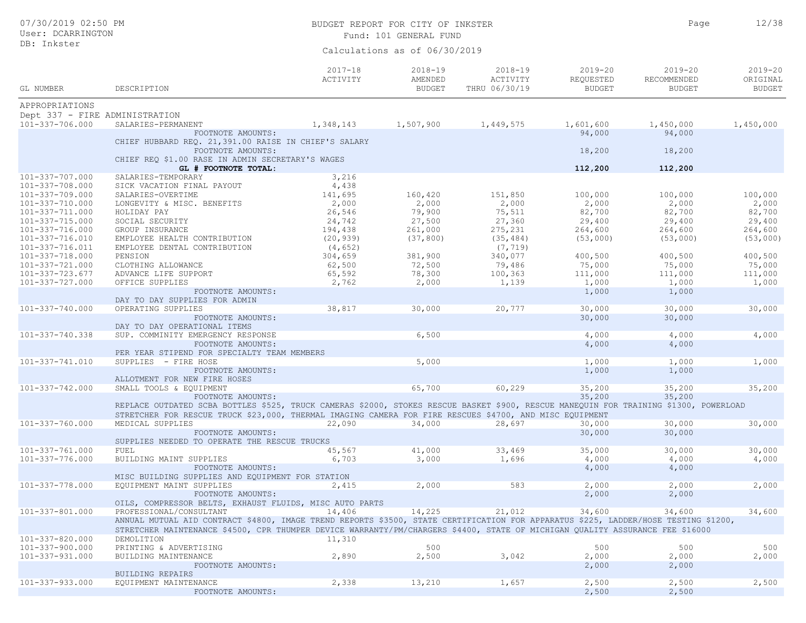| 07/30/2019 02:50 PM<br>User: DCARRINGTON |                                                                                                                                       | BUDGET REPORT FOR CITY OF INKSTER<br>Fund: 101 GENERAL FUND | Page                                    | 12/38                                    |                                           |                                             |                                          |
|------------------------------------------|---------------------------------------------------------------------------------------------------------------------------------------|-------------------------------------------------------------|-----------------------------------------|------------------------------------------|-------------------------------------------|---------------------------------------------|------------------------------------------|
| DB: Inkster                              |                                                                                                                                       |                                                             | Calculations as of 06/30/2019           |                                          |                                           |                                             |                                          |
| GL NUMBER                                | DESCRIPTION                                                                                                                           | $2017 - 18$<br>ACTIVITY                                     | $2018 - 19$<br>AMENDED<br><b>BUDGET</b> | $2018 - 19$<br>ACTIVITY<br>THRU 06/30/19 | $2019 - 20$<br>REQUESTED<br><b>BUDGET</b> | $2019 - 20$<br>RECOMMENDED<br><b>BUDGET</b> | $2019 - 20$<br>ORIGINAL<br><b>BUDGET</b> |
| APPROPRIATIONS                           |                                                                                                                                       |                                                             |                                         |                                          |                                           |                                             |                                          |
| Dept 337 - FIRE ADMINISTRATION           |                                                                                                                                       |                                                             |                                         |                                          |                                           |                                             |                                          |
| 101-337-706.000                          | SALARIES-PERMANENT                                                                                                                    | 1,348,143                                                   | 1,507,900                               | 1,449,575                                | 1,601,600                                 | 1,450,000                                   | 1,450,000                                |
|                                          | FOOTNOTE AMOUNTS:                                                                                                                     |                                                             |                                         |                                          | 94,000                                    | 94,000                                      |                                          |
|                                          | CHIEF HUBBARD REQ. 21,391.00 RAISE IN CHIEF'S SALARY                                                                                  |                                                             |                                         |                                          |                                           |                                             |                                          |
|                                          | FOOTNOTE AMOUNTS:                                                                                                                     |                                                             |                                         |                                          | 18,200                                    | 18,200                                      |                                          |
|                                          | CHIEF REO \$1.00 RASE IN ADMIN SECRETARY'S WAGES<br>GL # FOOTNOTE TOTAL:                                                              |                                                             |                                         |                                          |                                           |                                             |                                          |
| 101-337-707.000                          | SALARIES-TEMPORARY                                                                                                                    | 3,216                                                       |                                         |                                          | 112,200                                   | 112,200                                     |                                          |
| 101-337-708.000                          | SICK VACATION FINAL PAYOUT                                                                                                            | 4,438                                                       |                                         |                                          |                                           |                                             |                                          |
| 101-337-709.000                          | SALARIES-OVERTIME                                                                                                                     | 141,695                                                     | 160,420                                 | 151,850                                  | 100,000                                   | 100,000                                     | 100,000                                  |
| 101-337-710.000                          | LONGEVITY & MISC. BENEFITS                                                                                                            | 2,000                                                       | 2,000                                   | 2,000                                    | 2,000                                     | 2,000                                       | 2,000                                    |
| 101-337-711.000                          | HOLIDAY PAY                                                                                                                           | 26,546                                                      | 79,900                                  | 75,511                                   | 82,700                                    | 82,700                                      | 82,700                                   |
| 101-337-715.000                          | SOCIAL SECURITY                                                                                                                       | 24,742                                                      | 27,500                                  | 27,360                                   | 29,400                                    | 29,400                                      | 29,400                                   |
| 101-337-716.000                          | GROUP INSURANCE                                                                                                                       | 194,438                                                     | 261,000                                 | 275,231                                  | 264,600                                   | 264,600                                     | 264,600                                  |
| 101-337-716.010                          | EMPLOYEE HEALTH CONTRIBUTION                                                                                                          | (20, 939)                                                   | (37, 800)                               | (35, 484)                                | (53,000)                                  | (53,000)                                    | (53,000)                                 |
| 101-337-716.011                          | EMPLOYEE DENTAL CONTRIBUTION                                                                                                          | (4, 652)                                                    |                                         | (7, 719)                                 |                                           |                                             |                                          |
| 101-337-718.000                          | PENSION                                                                                                                               | 304,659                                                     | 381,900                                 | 340,077                                  | 400,500                                   | 400,500                                     | 400,500                                  |
| 101-337-721.000                          | CLOTHING ALLOWANCE                                                                                                                    | 62,500                                                      | 72,500                                  | 79,486                                   | 75,000                                    | 75,000                                      | 75,000                                   |
| 101-337-723.677                          | ADVANCE LIFE SUPPORT                                                                                                                  | 65,592                                                      | 78,300                                  | 100,363                                  | 111,000                                   | 111,000                                     | 111,000                                  |
| $101 - 337 - 727.000$                    | OFFICE SUPPLIES                                                                                                                       | 2,762                                                       | 2,000                                   | 1,139                                    | 1,000                                     | 1,000                                       | 1,000                                    |
|                                          | FOOTNOTE AMOUNTS:                                                                                                                     |                                                             |                                         |                                          | 1,000                                     | 1,000                                       |                                          |
| $101 - 337 - 740.000$                    | DAY TO DAY SUPPLIES FOR ADMIN                                                                                                         | 38,817                                                      | 30,000                                  | 20,777                                   |                                           |                                             | 30,000                                   |
|                                          | OPERATING SUPPLIES<br>FOOTNOTE AMOUNTS:                                                                                               |                                                             |                                         |                                          | 30,000<br>30,000                          | 30,000<br>30,000                            |                                          |
|                                          | DAY TO DAY OPERATIONAL ITEMS                                                                                                          |                                                             |                                         |                                          |                                           |                                             |                                          |
| 101-337-740.338                          | SUP. COMMINITY EMERGENCY RESPONSE                                                                                                     |                                                             | 6,500                                   |                                          | 4,000                                     | 4,000                                       | 4,000                                    |
|                                          | FOOTNOTE AMOUNTS:                                                                                                                     |                                                             |                                         |                                          | 4,000                                     | 4,000                                       |                                          |
|                                          | PER YEAR STIPEND FOR SPECIALTY TEAM MEMBERS                                                                                           |                                                             |                                         |                                          |                                           |                                             |                                          |
| 101-337-741.010                          | SUPPLIES - FIRE HOSE                                                                                                                  |                                                             | 5,000                                   |                                          | 1,000                                     | 1,000                                       | 1,000                                    |
|                                          | FOOTNOTE AMOUNTS:                                                                                                                     |                                                             |                                         |                                          | 1,000                                     | 1,000                                       |                                          |
|                                          | ALLOTMENT FOR NEW FIRE HOSES                                                                                                          |                                                             |                                         |                                          |                                           |                                             |                                          |
| 101-337-742.000                          | SMALL TOOLS & EQUIPMENT                                                                                                               |                                                             | 65,700                                  | 60,229                                   | 35,200                                    | 35,200                                      | 35,200                                   |
|                                          | FOOTNOTE AMOUNTS:                                                                                                                     |                                                             |                                         |                                          | 35,200                                    | 35,200                                      |                                          |
|                                          | REPLACE OUTDATED SCBA BOTTLES \$525, TRUCK CAMERAS \$2000, STOKES RESCUE BASKET \$900, RESCUE MANEQUIN FOR TRAINING \$1300, POWERLOAD |                                                             |                                         |                                          |                                           |                                             |                                          |
|                                          | STRETCHER FOR RESCUE TRUCK \$23,000, THERMAL IMAGING CAMERA FOR FIRE RESCUES \$4700, AND MISC EQUIPMENT                               |                                                             |                                         |                                          |                                           |                                             |                                          |
| 101-337-760.000                          | MEDICAL SUPPLIES                                                                                                                      | 22,090                                                      | 34,000                                  | 28,697                                   | 30,000                                    | 30,000                                      | 30,000                                   |
|                                          | FOOTNOTE AMOUNTS:                                                                                                                     |                                                             |                                         |                                          | 30,000                                    | 30,000                                      |                                          |
|                                          | SUPPLIES NEEDED TO OPERATE THE RESCUE TRUCKS                                                                                          |                                                             |                                         |                                          |                                           |                                             |                                          |
| 101-337-761.000                          | FUEL                                                                                                                                  | 45,567                                                      | 41,000                                  | 33,469                                   | 35,000                                    | 30,000                                      | 30,000                                   |
| 101-337-776.000                          | BUILDING MAINT SUPPLIES                                                                                                               | 6,703                                                       | 3,000                                   | 1,696                                    | 4,000                                     | 4,000                                       | 4,000                                    |
|                                          | FOOTNOTE AMOUNTS:                                                                                                                     |                                                             |                                         |                                          | 4,000                                     | 4,000                                       |                                          |
|                                          | MISC BUILDING SUPPLIES AND EQUIPMENT FOR STATION                                                                                      |                                                             |                                         |                                          |                                           |                                             |                                          |
| 101-337-778.000                          | EQUIPMENT MAINT SUPPLIES                                                                                                              | 2,415                                                       | 2,000                                   | 583                                      | 2,000                                     | 2,000                                       | 2,000                                    |
|                                          | FOOTNOTE AMOUNTS:                                                                                                                     |                                                             |                                         |                                          | 2,000                                     | 2,000                                       |                                          |
|                                          | OILS, COMPRESSOR BELTS, EXHAUST FLUIDS, MISC AUTO PARTS                                                                               |                                                             |                                         |                                          |                                           |                                             |                                          |
| 101-337-801.000                          | PROFESSIONAL/CONSULTANT                                                                                                               | 14,406                                                      | 14,225                                  | 21,012                                   | 34,600                                    | 34,600                                      | 34,600                                   |
|                                          | ANNUAL MUTUAL AID CONTRACT \$4800, IMAGE TREND REPORTS \$3500, STATE CERTIFICATION FOR APPARATUS \$225, LADDER/HOSE TESTING \$1200,   |                                                             |                                         |                                          |                                           |                                             |                                          |
|                                          | STRETCHER MAINTENANCE \$4500, CPR THUMPER DEVICE WARRANTY/PM/CHARGERS \$4400, STATE OF MICHIGAN QUALITY ASSURANCE FEE \$16000         |                                                             |                                         |                                          |                                           |                                             |                                          |
| 101-337-820.000<br>101-337-900.000       | DEMOLITION                                                                                                                            | 11,310                                                      |                                         |                                          | 500                                       | 500                                         |                                          |
|                                          | PRINTING & ADVERTISING                                                                                                                |                                                             | 500                                     | 3,042                                    | 2,000                                     | 2,000                                       | 500                                      |
| $101 - 337 - 931.000$                    | BUILDING MAINTENANCE<br>FOOTNOTE AMOUNTS:                                                                                             | 2,890                                                       | 2,500                                   |                                          | 2,000                                     | 2,000                                       | 2,000                                    |
|                                          | BUILDING REPAIRS                                                                                                                      |                                                             |                                         |                                          |                                           |                                             |                                          |
| 101-337-933.000                          | EQUIPMENT MAINTENANCE                                                                                                                 | 2,338                                                       | 13,210                                  | 1,657                                    | 2,500                                     | 2,500                                       | 2,500                                    |
|                                          | FOOTNOTE AMOUNTS:                                                                                                                     |                                                             |                                         |                                          | 2,500                                     | 2,500                                       |                                          |
|                                          |                                                                                                                                       |                                                             |                                         |                                          |                                           |                                             |                                          |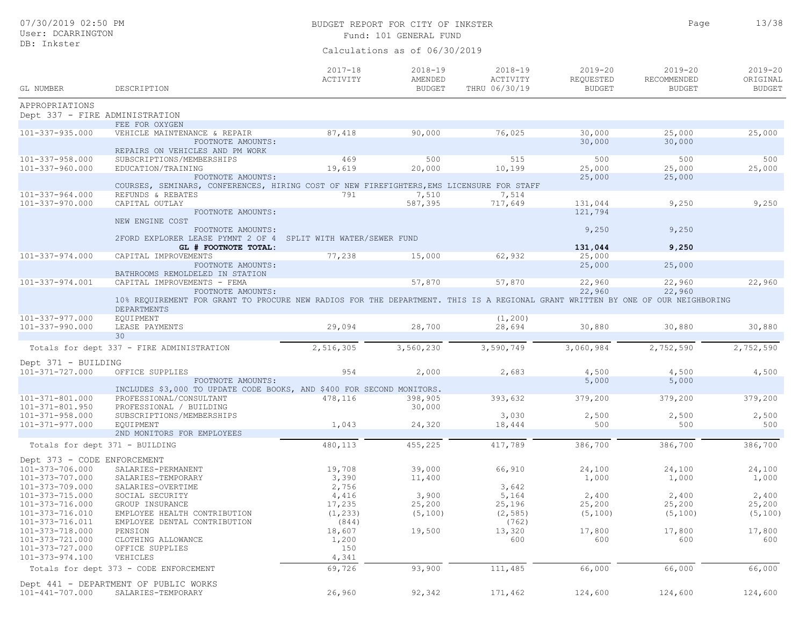## BUDGET REPORT FOR CITY OF INKSTER 13/38 Fund: 101 GENERAL FUND

Page

| GL NUMBER                                      | DESCRIPTION                                                                                                                                          | $2017 - 18$<br>ACTIVITY | $2018 - 19$<br>AMENDED<br><b>BUDGET</b> | $2018 - 19$<br>ACTIVITY<br>THRU 06/30/19 | $2019 - 20$<br>REQUESTED<br><b>BUDGET</b> | $2019 - 20$<br>RECOMMENDED<br><b>BUDGET</b> | $2019 - 20$<br>ORIGINAL<br><b>BUDGET</b> |
|------------------------------------------------|------------------------------------------------------------------------------------------------------------------------------------------------------|-------------------------|-----------------------------------------|------------------------------------------|-------------------------------------------|---------------------------------------------|------------------------------------------|
| APPROPRIATIONS                                 |                                                                                                                                                      |                         |                                         |                                          |                                           |                                             |                                          |
| Dept 337 - FIRE ADMINISTRATION                 |                                                                                                                                                      |                         |                                         |                                          |                                           |                                             |                                          |
|                                                | FEE FOR OXYGEN                                                                                                                                       |                         |                                         |                                          |                                           |                                             |                                          |
| 101-337-935.000                                | VEHICLE MAINTENANCE & REPAIR<br>FOOTNOTE AMOUNTS:                                                                                                    | 87,418                  | 90,000                                  | 76,025                                   | 30,000<br>30,000                          | 25,000<br>30,000                            | 25,000                                   |
| 101-337-958.000                                | REPAIRS ON VEHICLES AND PM WORK<br>SUBSCRIPTIONS/MEMBERSHIPS                                                                                         | 469                     | 500                                     | 515                                      | 500                                       | 500                                         | 500                                      |
| 101-337-960.000                                | EDUCATION/TRAINING                                                                                                                                   | 19,619                  | 20,000                                  | 10,199                                   | 25,000                                    | 25,000                                      | 25,000                                   |
|                                                | FOOTNOTE AMOUNTS:                                                                                                                                    |                         |                                         |                                          | 25,000                                    | 25,000                                      |                                          |
|                                                | COURSES, SEMINARS, CONFERENCES, HIRING COST OF NEW FIREFIGHTERS, EMS LICENSURE FOR STAFF                                                             |                         |                                         |                                          |                                           |                                             |                                          |
| 101-337-964.000                                | REFUNDS & REBATES                                                                                                                                    | 791                     | 7,510                                   | 7,514                                    |                                           |                                             |                                          |
| 101-337-970.000                                | CAPITAL OUTLAY                                                                                                                                       |                         | 587,395                                 | 717,649                                  | 131,044                                   | 9,250                                       | 9,250                                    |
|                                                | FOOTNOTE AMOUNTS:<br>NEW ENGINE COST                                                                                                                 |                         |                                         |                                          | 121,794                                   |                                             |                                          |
|                                                | FOOTNOTE AMOUNTS:                                                                                                                                    |                         |                                         |                                          | 9,250                                     | 9,250                                       |                                          |
|                                                | 2FORD EXPLORER LEASE PYMNT 2 OF 4 SPLIT WITH WATER/SEWER FUND                                                                                        |                         |                                         |                                          |                                           |                                             |                                          |
|                                                | GL # FOOTNOTE TOTAL:                                                                                                                                 |                         |                                         |                                          | 131,044                                   | 9,250                                       |                                          |
| 101-337-974.000                                | CAPITAL IMPROVEMENTS                                                                                                                                 | 77,238                  | 15,000                                  | 62,932                                   | 25,000                                    |                                             |                                          |
|                                                | FOOTNOTE AMOUNTS:<br>BATHROOMS REMOLDELED IN STATION                                                                                                 |                         |                                         |                                          | 25,000                                    | 25,000                                      |                                          |
| 101-337-974.001                                | CAPITAL IMPROVEMENTS - FEMA                                                                                                                          |                         | 57,870                                  | 57,870                                   | 22,960                                    | 22,960                                      | 22,960                                   |
|                                                | FOOTNOTE AMOUNTS:                                                                                                                                    |                         |                                         |                                          | 22,960                                    | 22,960                                      |                                          |
|                                                | 10% REQUIREMENT FOR GRANT TO PROCURE NEW RADIOS FOR THE DEPARTMENT. THIS IS A REGIONAL GRANT WRITTEN BY ONE OF OUR NEIGHBORING<br><b>DEPARTMENTS</b> |                         |                                         |                                          |                                           |                                             |                                          |
| 101-337-977.000                                | <b>EQUIPMENT</b>                                                                                                                                     |                         |                                         | (1, 200)                                 |                                           |                                             |                                          |
| 101-337-990.000                                | LEASE PAYMENTS                                                                                                                                       | 29,094                  | 28,700                                  | 28,694                                   | 30,880                                    | 30,880                                      | 30,880                                   |
|                                                | 30                                                                                                                                                   |                         |                                         |                                          |                                           |                                             |                                          |
|                                                | Totals for dept 337 - FIRE ADMINISTRATION                                                                                                            | 2,516,305               | 3,560,230                               | 3,590,749                                | 3,060,984                                 | 2,752,590                                   | 2,752,590                                |
|                                                |                                                                                                                                                      |                         |                                         |                                          |                                           |                                             |                                          |
| Dept 371 - BUILDING                            |                                                                                                                                                      |                         |                                         |                                          |                                           |                                             |                                          |
| 101-371-727.000                                | OFFICE SUPPLIES                                                                                                                                      | 954                     | 2,000                                   | 2,683                                    | 4,500                                     | 4,500                                       | 4,500                                    |
|                                                | FOOTNOTE AMOUNTS:                                                                                                                                    |                         |                                         |                                          | 5,000                                     | 5,000                                       |                                          |
|                                                | INCLUDES \$3,000 TO UPDATE CODE BOOKS, AND \$400 FOR SECOND MONITORS.                                                                                |                         |                                         |                                          |                                           |                                             |                                          |
| 101-371-801.000                                | PROFESSIONAL/CONSULTANT<br>PROFESSIONAL / BUILDING                                                                                                   | 478,116                 | 398,905                                 | 393,632                                  | 379,200                                   | 379,200                                     | 379,200                                  |
| $101 - 371 - 801.950$<br>$101 - 371 - 958.000$ | SUBSCRIPTIONS/MEMBERSHIPS                                                                                                                            |                         | 30,000                                  | 3,030                                    | 2,500                                     | 2,500                                       | 2,500                                    |
| 101-371-977.000                                | <b>EQUIPMENT</b>                                                                                                                                     | 1,043                   | 24,320                                  | 18,444                                   | 500                                       | 500                                         | 500                                      |
|                                                | 2ND MONITORS FOR EMPLOYEES                                                                                                                           |                         |                                         |                                          |                                           |                                             |                                          |
|                                                | Totals for dept 371 - BUILDING                                                                                                                       | 480,113                 | 455,225                                 | 417,789                                  | 386,700                                   | 386,700                                     | 386,700                                  |
| Dept 373 - CODE ENFORCEMENT                    |                                                                                                                                                      |                         |                                         |                                          |                                           |                                             |                                          |
| 101-373-706.000                                | SALARIES-PERMANENT                                                                                                                                   | 19,708                  | 39,000                                  | 66,910                                   | 24,100                                    | 24,100                                      | 24,100                                   |
| $101 - 373 - 707.000$                          | SALARIES-TEMPORARY                                                                                                                                   | 3,390                   | 11,400                                  |                                          | 1,000                                     | 1,000                                       | 1,000                                    |
| 101-373-709.000                                | SALARIES-OVERTIME                                                                                                                                    | 2,756                   |                                         | 3,642                                    |                                           |                                             |                                          |
| 101-373-715.000                                | SOCIAL SECURITY                                                                                                                                      | 4,416                   | 3,900                                   | 5,164                                    | 2,400                                     | 2,400                                       | 2,400                                    |
| 101-373-716.000                                | GROUP INSURANCE                                                                                                                                      | 17,235                  | 25,200                                  | 25,196                                   | 25,200                                    | 25,200                                      | 25,200                                   |
| 101-373-716.010                                | EMPLOYEE HEALTH CONTRIBUTION                                                                                                                         | (1, 233)                | (5, 100)                                | (2, 585)                                 | (5, 100)                                  | (5, 100)                                    | (5, 100)                                 |
| 101-373-716.011                                | EMPLOYEE DENTAL CONTRIBUTION                                                                                                                         | (844)                   |                                         | (762)                                    |                                           |                                             |                                          |
| 101-373-718.000                                | PENSION                                                                                                                                              | 18,607                  | 19,500                                  | 13,320                                   | 17,800                                    | 17,800                                      | 17,800                                   |
| 101-373-721.000                                | CLOTHING ALLOWANCE                                                                                                                                   | 1,200                   |                                         | 600                                      | 600                                       | 600                                         | 600                                      |
| 101-373-727.000                                | OFFICE SUPPLIES                                                                                                                                      | 150                     |                                         |                                          |                                           |                                             |                                          |
| 101-373-974.100                                | VEHICLES                                                                                                                                             | 4,341                   |                                         |                                          |                                           |                                             |                                          |
|                                                | Totals for dept 373 - CODE ENFORCEMENT                                                                                                               | 69,726                  | 93,900                                  | 111,485                                  | 66,000                                    | 66,000                                      | 66,000                                   |
|                                                | Dept 441 - DEPARTMENT OF PUBLIC WORKS                                                                                                                |                         |                                         |                                          |                                           |                                             |                                          |
| $101 - 441 - 707.000$                          | SALARIES-TEMPORARY                                                                                                                                   | 26,960                  | 92,342                                  | 171,462                                  | 124,600                                   | 124,600                                     | 124,600                                  |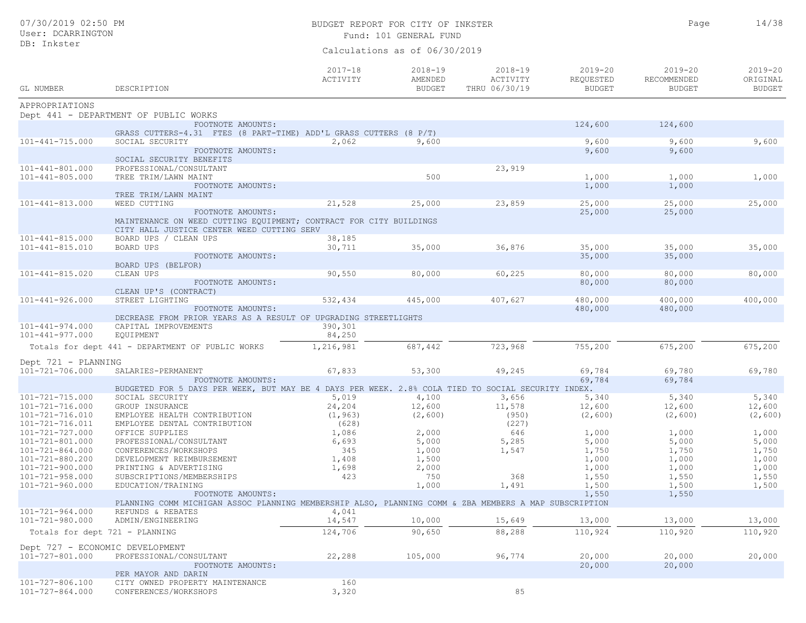## BUDGET REPORT FOR CITY OF INKSTER 14/38 Fund: 101 GENERAL FUND

Calculations as of 06/30/2019

| GL NUMBER                                      | DESCRIPTION                                                                                                      | $2017 - 18$<br>ACTIVITY | $2018 - 19$<br>AMENDED<br><b>BUDGET</b> | $2018 - 19$<br>ACTIVITY<br>THRU 06/30/19 | $2019 - 20$<br>REQUESTED<br><b>BUDGET</b> | $2019 - 20$<br>RECOMMENDED<br><b>BUDGET</b> | $2019 - 20$<br>ORIGINAL<br><b>BUDGET</b> |
|------------------------------------------------|------------------------------------------------------------------------------------------------------------------|-------------------------|-----------------------------------------|------------------------------------------|-------------------------------------------|---------------------------------------------|------------------------------------------|
| APPROPRIATIONS                                 |                                                                                                                  |                         |                                         |                                          |                                           |                                             |                                          |
|                                                | Dept 441 - DEPARTMENT OF PUBLIC WORKS                                                                            |                         |                                         |                                          |                                           |                                             |                                          |
|                                                | FOOTNOTE AMOUNTS:                                                                                                |                         |                                         |                                          | 124,600                                   | 124,600                                     |                                          |
|                                                | GRASS CUTTERS-4.31 FTES (8 PART-TIME) ADD'L GRASS CUTTERS (8 P/T)                                                |                         |                                         |                                          |                                           |                                             |                                          |
| $101 - 441 - 715.000$                          | SOCIAL SECURITY                                                                                                  | 2,062                   | 9,600                                   |                                          | 9,600                                     | 9,600                                       | 9,600                                    |
|                                                | FOOTNOTE AMOUNTS:                                                                                                |                         |                                         |                                          | 9,600                                     | 9,600                                       |                                          |
|                                                | SOCIAL SECURITY BENEFITS<br>PROFESSIONAL/CONSULTANT                                                              |                         |                                         | 23,919                                   |                                           |                                             |                                          |
| $101 - 441 - 801.000$<br>$101 - 441 - 805.000$ | TREE TRIM/LAWN MAINT                                                                                             |                         | 500                                     |                                          | 1,000                                     | 1,000                                       | 1,000                                    |
|                                                | FOOTNOTE AMOUNTS:                                                                                                |                         |                                         |                                          | 1,000                                     | 1,000                                       |                                          |
|                                                | TREE TRIM/LAWN MAINT                                                                                             |                         |                                         |                                          |                                           |                                             |                                          |
| $101 - 441 - 813.000$                          | WEED CUTTING                                                                                                     | 21,528                  | 25,000                                  | 23,859                                   | 25,000                                    | 25,000                                      | 25,000                                   |
|                                                | FOOTNOTE AMOUNTS:                                                                                                |                         |                                         |                                          | 25,000                                    | 25,000                                      |                                          |
|                                                | MAINTENANCE ON WEED CUTTING EQUIPMENT; CONTRACT FOR CITY BUILDINGS<br>CITY HALL JUSTICE CENTER WEED CUTTING SERV |                         |                                         |                                          |                                           |                                             |                                          |
| $101 - 441 - 815.000$                          | BOARD UPS / CLEAN UPS                                                                                            | 38,185                  |                                         |                                          |                                           |                                             |                                          |
| $101 - 441 - 815.010$                          | BOARD UPS                                                                                                        | 30,711                  | 35,000                                  | 36,876                                   | 35,000                                    | 35,000                                      | 35,000                                   |
|                                                | FOOTNOTE AMOUNTS:                                                                                                |                         |                                         |                                          | 35,000                                    | 35,000                                      |                                          |
|                                                | BOARD UPS (BELFOR)                                                                                               |                         |                                         |                                          |                                           |                                             |                                          |
| $101 - 441 - 815.020$                          | CLEAN UPS                                                                                                        | 90,550                  | 80,000                                  | 60,225                                   | 80,000                                    | 80,000                                      | 80,000                                   |
|                                                | FOOTNOTE AMOUNTS:                                                                                                |                         |                                         |                                          | 80,000                                    | 80,000                                      |                                          |
|                                                | CLEAN UP'S (CONTRACT)                                                                                            |                         |                                         |                                          |                                           |                                             |                                          |
| $101 - 441 - 926.000$                          | STREET LIGHTING                                                                                                  | 532,434                 | 445,000                                 | 407,627                                  | 480,000                                   | 400,000                                     | 400,000                                  |
|                                                | FOOTNOTE AMOUNTS:                                                                                                |                         |                                         |                                          | 480,000                                   | 480,000                                     |                                          |
|                                                | DECREASE FROM PRIOR YEARS AS A RESULT OF UPGRADING STREETLIGHTS                                                  |                         |                                         |                                          |                                           |                                             |                                          |
| $101 - 441 - 974.000$<br>$101 - 441 - 977.000$ | CAPITAL IMPROVEMENTS                                                                                             | 390,301                 |                                         |                                          |                                           |                                             |                                          |
|                                                | EQUIPMENT                                                                                                        | 84,250                  |                                         |                                          |                                           |                                             |                                          |
|                                                | Totals for dept 441 - DEPARTMENT OF PUBLIC WORKS                                                                 | 1,216,981               | 687,442                                 | 723,968                                  | 755,200                                   | 675,200                                     | 675,200                                  |
| Dept 721 - PLANNING                            |                                                                                                                  |                         |                                         |                                          |                                           |                                             |                                          |
| 101-721-706.000                                | SALARIES-PERMANENT                                                                                               | 67,833                  | 53,300                                  | 49,245                                   | 69,784                                    | 69,780                                      | 69,780                                   |
|                                                | FOOTNOTE AMOUNTS:                                                                                                |                         |                                         |                                          | 69,784                                    | 69,784                                      |                                          |
|                                                | BUDGETED FOR 5 DAYS PER WEEK, BUT MAY BE 4 DAYS PER WEEK. 2.8% COLA TIED TO SOCIAL SECURITY INDEX.               |                         |                                         |                                          |                                           |                                             |                                          |
| $101 - 721 - 715.000$                          | SOCIAL SECURITY                                                                                                  | 5,019                   | 4,100                                   | 3,656                                    | 5,340                                     | 5,340                                       | 5,340                                    |
| 101-721-716.000                                | GROUP INSURANCE                                                                                                  | 24,204                  | 12,600                                  | 11,578                                   | 12,600                                    | 12,600                                      | 12,600                                   |
| 101-721-716.010                                | EMPLOYEE HEALTH CONTRIBUTION                                                                                     | (1, 963)                | (2,600)                                 | (950)                                    | (2, 600)                                  | (2, 600)                                    | (2, 600)                                 |
| 101-721-716.011                                | EMPLOYEE DENTAL CONTRIBUTION                                                                                     | (628)                   |                                         | (227)                                    |                                           |                                             |                                          |
| 101-721-727.000                                | OFFICE SUPPLIES                                                                                                  | 1,086                   | 2,000                                   | 646                                      | 1,000                                     | 1,000                                       | 1,000                                    |
| 101-721-801.000                                | PROFESSIONAL/CONSULTANT                                                                                          | 6,693                   | 5,000                                   | 5,285                                    | 5,000                                     | 5,000                                       | 5,000                                    |
| $101 - 721 - 864.000$                          | CONFERENCES/WORKSHOPS                                                                                            | 345                     | 1,000                                   | 1,547                                    | 1,750                                     | 1,750                                       | 1,750                                    |
| 101-721-880.200                                | DEVELOPMENT REIMBURSEMENT                                                                                        | 1,408                   | 1,500                                   |                                          | 1,000                                     | 1,000                                       | 1,000                                    |
| 101-721-900.000                                | PRINTING & ADVERTISING                                                                                           | 1,698                   | 2,000                                   |                                          | 1,000                                     | 1,000                                       | 1,000                                    |
| $101 - 721 - 958.000$                          | SUBSCRIPTIONS/MEMBERSHIPS                                                                                        | 423                     | 750                                     | 368                                      | 1,550                                     | 1,550                                       | 1,550                                    |
| $101 - 721 - 960.000$                          | EDUCATION/TRAINING                                                                                               |                         | 1,000                                   | 1,491                                    | 1,500                                     | 1,500                                       | 1,500                                    |
|                                                | FOOTNOTE AMOUNTS:                                                                                                |                         |                                         |                                          | 1,550                                     | 1,550                                       |                                          |
|                                                | PLANNING COMM MICHIGAN ASSOC PLANNING MEMBERSHIP ALSO, PLANNING COMM & ZBA MEMBERS A MAP SUBSCRIPTION            |                         |                                         |                                          |                                           |                                             |                                          |
| 101-721-964.000                                | REFUNDS & REBATES                                                                                                | 4,041                   |                                         |                                          |                                           |                                             |                                          |
| 101-721-980.000                                | ADMIN/ENGINEERING                                                                                                | 14,547                  | 10,000                                  | 15,649                                   | 13,000                                    | 13,000                                      | 13,000                                   |
|                                                | Totals for dept 721 - PLANNING                                                                                   | 124,706                 | 90,650                                  | 88,288                                   | 110,924                                   | 110,920                                     | 110,920                                  |
|                                                | Dept 727 - ECONOMIC DEVELOPMENT                                                                                  |                         |                                         |                                          |                                           |                                             |                                          |
| 101-727-801.000                                | PROFESSIONAL/CONSULTANT                                                                                          | 22,288                  | 105,000                                 | 96,774                                   | 20,000                                    | 20,000                                      | 20,000                                   |
|                                                | FOOTNOTE AMOUNTS:                                                                                                |                         |                                         |                                          | 20,000                                    | 20,000                                      |                                          |
|                                                | PER MAYOR AND DARIN                                                                                              |                         |                                         |                                          |                                           |                                             |                                          |
| 101-727-806.100                                | CITY OWNED PROPERTY MAINTENANCE                                                                                  | 160                     |                                         |                                          |                                           |                                             |                                          |
| 101-727-864.000                                | CONFERENCES/WORKSHOPS                                                                                            | 3,320                   |                                         | 85                                       |                                           |                                             |                                          |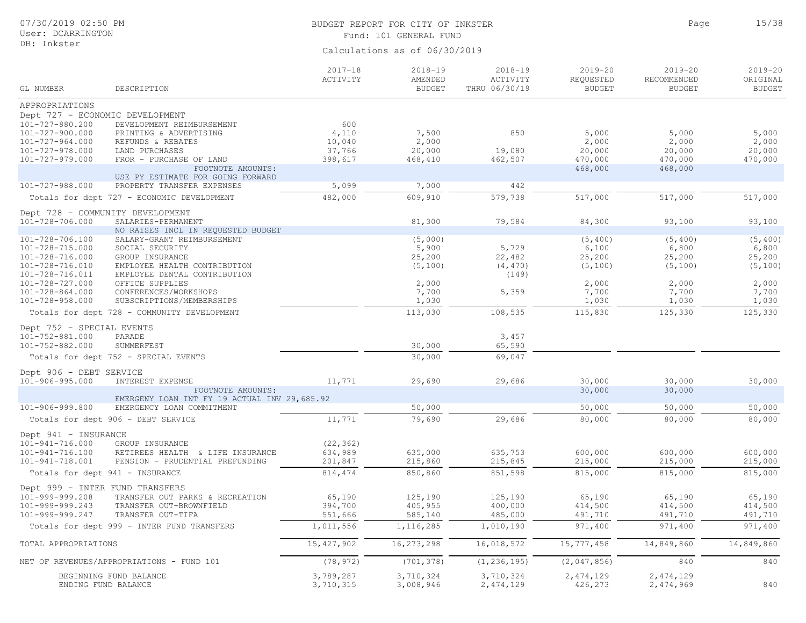## BUDGET REPORT FOR CITY OF INKSTER 15/38 Fund: 101 GENERAL FUND

Page

| GL NUMBER                          | DESCRIPTION                                                     | $2017 - 18$<br>ACTIVITY | $2018 - 19$<br>AMENDED<br><b>BUDGET</b> | $2018 - 19$<br>ACTIVITY<br>THRU 06/30/19 | $2019 - 20$<br>REQUESTED<br><b>BUDGET</b> | $2019 - 20$<br>RECOMMENDED<br><b>BUDGET</b> | $2019 - 20$<br>ORIGINAL<br><b>BUDGET</b> |
|------------------------------------|-----------------------------------------------------------------|-------------------------|-----------------------------------------|------------------------------------------|-------------------------------------------|---------------------------------------------|------------------------------------------|
| APPROPRIATIONS                     |                                                                 |                         |                                         |                                          |                                           |                                             |                                          |
| Dept 727 - ECONOMIC DEVELOPMENT    |                                                                 |                         |                                         |                                          |                                           |                                             |                                          |
| 101-727-880.200                    | DEVELOPMENT REIMBURSEMENT                                       | 600                     |                                         |                                          |                                           |                                             |                                          |
| 101-727-900.000                    | PRINTING & ADVERTISING                                          | 4,110                   | 7,500                                   | 850                                      | 5,000                                     | 5,000                                       | 5,000                                    |
| $101 - 727 - 964.000$              | REFUNDS & REBATES                                               | 10,040                  | 2,000                                   |                                          | 2,000                                     | 2,000                                       | 2,000                                    |
| 101-727-978.000                    | LAND PURCHASES                                                  | 37,766                  | 20,000                                  | 19,080                                   | 20,000                                    | 20,000                                      | 20,000                                   |
| 101-727-979.000                    | FROR - PURCHASE OF LAND                                         | 398,617                 | 468,410                                 | 462,507                                  | 470,000                                   | 470,000                                     | 470,000                                  |
|                                    | FOOTNOTE AMOUNTS:                                               |                         |                                         |                                          | 468,000                                   | 468,000                                     |                                          |
| 101-727-988.000                    | USE PY ESTIMATE FOR GOING FORWARD<br>PROPERTY TRANSFER EXPENSES | 5,099                   | 7,000                                   | 442                                      |                                           |                                             |                                          |
|                                    |                                                                 |                         |                                         |                                          |                                           |                                             |                                          |
|                                    | Totals for dept 727 - ECONOMIC DEVELOPMENT                      | 482,000                 | 609,910                                 | 579,738                                  | 517,000                                   | 517,000                                     | 517,000                                  |
|                                    | Dept 728 - COMMUNITY DEVELOPMENT                                |                         |                                         |                                          |                                           |                                             |                                          |
| 101-728-706.000                    | SALARIES-PERMANENT                                              |                         | 81,300                                  | 79,584                                   | 84,300                                    | 93,100                                      | 93,100                                   |
|                                    | NO RAISES INCL IN REQUESTED BUDGET                              |                         |                                         |                                          |                                           |                                             |                                          |
| 101-728-706.100<br>101-728-715.000 | SALARY-GRANT REIMBURSEMENT<br>SOCIAL SECURITY                   |                         | (5,000)<br>5,900                        | 5,729                                    | (5, 400)<br>6,100                         | (5, 400)<br>6,800                           | (5, 400)<br>6,800                        |
| 101-728-716.000                    | GROUP INSURANCE                                                 |                         | 25,200                                  | 22,482                                   | 25,200                                    | 25,200                                      | 25,200                                   |
| 101-728-716.010                    | EMPLOYEE HEALTH CONTRIBUTION                                    |                         | (5, 100)                                | (4, 470)                                 | (5, 100)                                  | (5, 100)                                    | (5, 100)                                 |
| 101-728-716.011                    | EMPLOYEE DENTAL CONTRIBUTION                                    |                         |                                         | (149)                                    |                                           |                                             |                                          |
| 101-728-727.000                    | OFFICE SUPPLIES                                                 |                         | 2,000                                   |                                          | 2,000                                     | 2,000                                       | 2,000                                    |
| $101 - 728 - 864.000$              | CONFERENCES/WORKSHOPS                                           |                         | 7,700                                   | 5,359                                    | 7,700                                     | 7,700                                       | 7,700                                    |
| 101-728-958.000                    | SUBSCRIPTIONS/MEMBERSHIPS                                       |                         | 1,030                                   |                                          | 1,030                                     | 1,030                                       | 1,030                                    |
|                                    | Totals for dept 728 - COMMUNITY DEVELOPMENT                     |                         | 113,030                                 | 108,535                                  | 115,830                                   | 125,330                                     | 125,330                                  |
| Dept 752 - SPECIAL EVENTS          |                                                                 |                         |                                         |                                          |                                           |                                             |                                          |
| 101-752-881.000                    | PARADE                                                          |                         |                                         | 3,457                                    |                                           |                                             |                                          |
| 101-752-882.000                    | SUMMERFEST                                                      |                         | 30,000                                  | 65,590                                   |                                           |                                             |                                          |
|                                    | Totals for dept 752 - SPECIAL EVENTS                            |                         | 30,000                                  | 69,047                                   |                                           |                                             |                                          |
| Dept 906 - DEBT SERVICE            |                                                                 |                         |                                         |                                          |                                           |                                             |                                          |
| $101 - 906 - 995.000$              | INTEREST EXPENSE                                                | 11,771                  | 29,690                                  | 29,686                                   | 30,000                                    | 30,000                                      | 30,000                                   |
|                                    | FOOTNOTE AMOUNTS:                                               |                         |                                         |                                          | 30,000                                    | 30,000                                      |                                          |
|                                    | EMERGENY LOAN INT FY 19 ACTUAL INV 29,685.92                    |                         |                                         |                                          |                                           |                                             |                                          |
| 101-906-999.800                    | EMERGENCY LOAN COMMITMENT                                       |                         | 50,000                                  |                                          | 50,000                                    | 50,000                                      | 50,000                                   |
|                                    | Totals for dept 906 - DEBT SERVICE                              | 11,771                  | 79,690                                  | 29,686                                   | 80,000                                    | 80,000                                      | 80,000                                   |
| Dept 941 - INSURANCE               |                                                                 |                         |                                         |                                          |                                           |                                             |                                          |
| 101-941-716.000                    | GROUP INSURANCE                                                 | (22, 362)               |                                         |                                          |                                           |                                             |                                          |
| 101-941-716.100                    | RETIREES HEALTH & LIFE INSURANCE                                | 634,989                 | 635,000                                 | 635,753                                  | 600,000                                   | 600,000                                     | 600,000                                  |
| $101 - 941 - 718.001$              | PENSION - PRUDENTIAL PREFUNDING                                 | 201,847                 | 215,860                                 | 215,845                                  | 215,000                                   | 215,000                                     | 215,000                                  |
|                                    | Totals for dept 941 - INSURANCE                                 | 814, 474                | 850,860                                 | 851,598                                  | 815,000                                   | 815,000                                     | 815,000                                  |
|                                    | Dept 999 - INTER FUND TRANSFERS                                 |                         |                                         |                                          |                                           |                                             |                                          |
| 101-999-999.208                    | TRANSFER OUT PARKS & RECREATION                                 | 65,190                  | 125,190                                 | 125,190                                  | 65,190                                    | 65,190                                      | 65,190                                   |
| 101-999-999.243                    | TRANSFER OUT-BROWNFIELD                                         | 394,700                 | 405,955                                 | 400,000                                  | 414,500                                   | 414,500                                     | 414,500                                  |
| 101-999-999.247                    | TRANSFER OUT-TIFA                                               | 551,666                 | 585,140                                 | 485,000                                  | 491,710                                   | 491,710                                     | 491,710                                  |
|                                    | Totals for dept 999 - INTER FUND TRANSFERS                      | 1,011,556               | 1,116,285                               | 1,010,190                                | 971,400                                   | 971,400                                     | 971,400                                  |
| TOTAL APPROPRIATIONS               |                                                                 | 15, 427, 902            | 16,273,298                              | 16,018,572                               | 15,777,458                                | 14,849,860                                  | 14,849,860                               |
|                                    | NET OF REVENUES/APPROPRIATIONS - FUND 101                       | (78, 972)               | (701, 378)                              | (1, 236, 195)                            | (2,047,856)                               | 840                                         | 840                                      |
|                                    | BEGINNING FUND BALANCE                                          | 3,789,287               | 3,710,324                               | 3,710,324                                | 2,474,129                                 | 2,474,129                                   |                                          |
|                                    | ENDING FUND BALANCE                                             | 3,710,315               | 3,008,946                               | 2,474,129                                | 426,273                                   | 2,474,969                                   | 840                                      |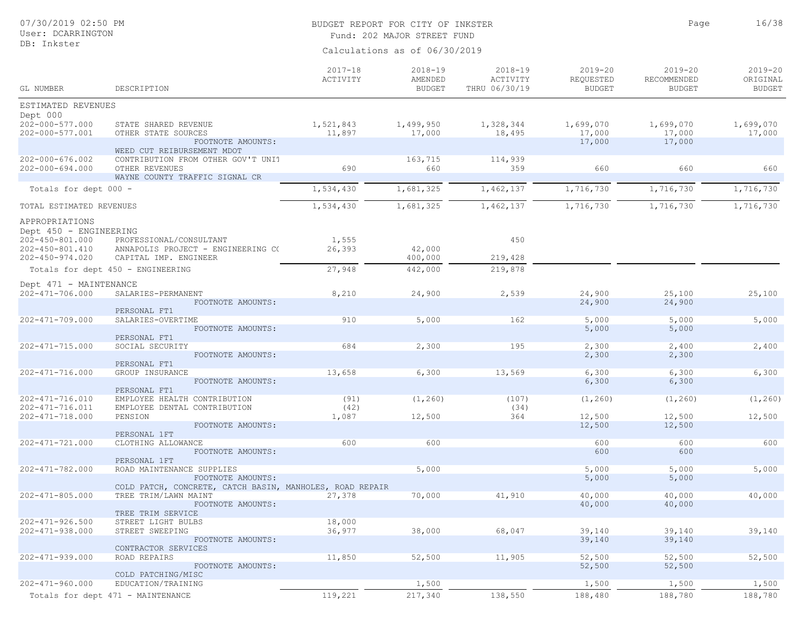## BUDGET REPORT FOR CITY OF INKSTER 16/38

Page

Fund: 202 MAJOR STREET FUND

| ESTIMATED REVENUES<br>Dept 000<br>202-000-577.000<br>1,699,070<br>STATE SHARED REVENUE<br>1,521,843<br>1,499,950<br>1,328,344<br>1,699,070<br>1,699,070<br>18,495<br>17,000<br>17,000<br>17,000<br>202-000-577.001<br>OTHER STATE SOURCES<br>11,897<br>17,000<br>17,000<br>17,000<br>FOOTNOTE AMOUNTS:<br>WEED CUT REIBURSEMENT MDOT<br>$202 - 000 - 676.002$<br>CONTRIBUTION FROM OTHER GOV'T UNIT<br>163,715<br>114,939<br>690<br>660<br>660<br>660<br>660<br>$202 - 000 - 694.000$<br>OTHER REVENUES<br>359<br>WAYNE COUNTY TRAFFIC SIGNAL CR<br>1,534,430<br>1,681,325<br>1,462,137<br>1,716,730<br>1,716,730<br>1,716,730<br>Totals for dept 000 -<br>1,534,430<br>1,681,325<br>1,462,137<br>1,716,730<br>1,716,730<br>1,716,730<br>TOTAL ESTIMATED REVENUES<br>APPROPRIATIONS<br>Dept 450 - ENGINEERING<br>450<br>$202 - 450 - 801.000$<br>PROFESSIONAL/CONSULTANT<br>1,555<br>26,393<br>42,000<br>202-450-801.410<br>ANNAPOLIS PROJECT - ENGINEERING CO<br>219,428<br>$202 - 450 - 974.020$<br>CAPITAL IMP. ENGINEER<br>400,000<br>27,948<br>442,000<br>219,878<br>Totals for dept 450 - ENGINEERING<br>Dept 471 - MAINTENANCE<br>$202 - 471 - 706.000$<br>8,210<br>2,539<br>24,900<br>25,100<br>24,900<br>25,100<br>SALARIES-PERMANENT<br>24,900<br>FOOTNOTE AMOUNTS:<br>24,900<br>PERSONAL FT1<br>910<br>162<br>5,000<br>5,000<br>5,000<br>$202 - 471 - 709.000$<br>5,000<br>SALARIES-OVERTIME<br>FOOTNOTE AMOUNTS:<br>5,000<br>5,000<br>PERSONAL FT1<br>684<br>195<br>$202 - 471 - 715.000$<br>SOCIAL SECURITY<br>2,300<br>2,300<br>2,400<br>2,400<br>2,300<br>2,300<br>FOOTNOTE AMOUNTS:<br>PERSONAL FT1<br>13,658<br>13,569<br>6,300<br>202-471-716.000<br>GROUP INSURANCE<br>6,300<br>6,300<br>6,300<br>FOOTNOTE AMOUNTS:<br>6,300<br>6,300<br>PERSONAL FT1<br>$202 - 471 - 716.010$<br>EMPLOYEE HEALTH CONTRIBUTION<br>(91)<br>(1, 260)<br>(107)<br>(1, 260)<br>(1, 260)<br>(1, 260)<br>202-471-716.011<br>(42)<br>(34)<br>EMPLOYEE DENTAL CONTRIBUTION<br>12,500<br>12,500<br>12,500<br>$202 - 471 - 718.000$<br>PENSION<br>1,087<br>12,500<br>364<br>FOOTNOTE AMOUNTS:<br>12,500<br>12,500<br>PERSONAL 1FT<br>600<br>600<br>600<br>600<br>600<br>202-471-721.000<br>CLOTHING ALLOWANCE<br>600<br>600<br>FOOTNOTE AMOUNTS:<br>PERSONAL 1FT<br>$202 - 471 - 782.000$<br>ROAD MAINTENANCE SUPPLIES<br>5,000<br>5,000<br>5,000<br>5,000<br>5,000<br>5,000<br>FOOTNOTE AMOUNTS:<br>COLD PATCH, CONCRETE, CATCH BASIN, MANHOLES, ROAD REPAIR<br>40,000<br>$202 - 471 - 805.000$<br>TREE TRIM/LAWN MAINT<br>27,378<br>70,000<br>41,910<br>40,000<br>40,000<br>FOOTNOTE AMOUNTS:<br>40,000<br>40,000<br>TREE TRIM SERVICE<br>$202 - 471 - 926.500$<br>18,000<br>STREET LIGHT BULBS<br>36,977<br>39,140<br>$202 - 471 - 938.000$<br>STREET SWEEPING<br>38,000<br>68,047<br>39,140<br>39,140<br>39,140<br>39,140<br>FOOTNOTE AMOUNTS:<br>CONTRACTOR SERVICES<br>52,500<br>11,905<br>52,500<br>52,500<br>52,500<br>$202 - 471 - 939.000$<br>ROAD REPAIRS<br>11,850<br>52,500<br>52,500<br>FOOTNOTE AMOUNTS:<br>COLD PATCHING/MISC<br>202-471-960.000<br>1,500<br>1,500<br>1,500<br>1,500<br>EDUCATION/TRAINING<br>119,221<br>138,550<br>217,340<br>188,480<br>188,780<br>188,780<br>Totals for dept 471 - MAINTENANCE | GL NUMBER | DESCRIPTION | $2017 - 18$<br>ACTIVITY | 2018-19<br>AMENDED<br><b>BUDGET</b> | $2018 - 19$<br>ACTIVITY<br>THRU 06/30/19 | $2019 - 20$<br>REQUESTED<br><b>BUDGET</b> | $2019 - 20$<br>RECOMMENDED<br><b>BUDGET</b> | $2019 - 20$<br>ORIGINAL<br><b>BUDGET</b> |
|----------------------------------------------------------------------------------------------------------------------------------------------------------------------------------------------------------------------------------------------------------------------------------------------------------------------------------------------------------------------------------------------------------------------------------------------------------------------------------------------------------------------------------------------------------------------------------------------------------------------------------------------------------------------------------------------------------------------------------------------------------------------------------------------------------------------------------------------------------------------------------------------------------------------------------------------------------------------------------------------------------------------------------------------------------------------------------------------------------------------------------------------------------------------------------------------------------------------------------------------------------------------------------------------------------------------------------------------------------------------------------------------------------------------------------------------------------------------------------------------------------------------------------------------------------------------------------------------------------------------------------------------------------------------------------------------------------------------------------------------------------------------------------------------------------------------------------------------------------------------------------------------------------------------------------------------------------------------------------------------------------------------------------------------------------------------------------------------------------------------------------------------------------------------------------------------------------------------------------------------------------------------------------------------------------------------------------------------------------------------------------------------------------------------------------------------------------------------------------------------------------------------------------------------------------------------------------------------------------------------------------------------------------------------------------------------------------------------------------------------------------------------------------------------------------------------------------------------------------------------------------------------------------------------------------------------------------------------------------------------------------------------------------------------------------------------------------------------------------------------------------------------------------------------------------------------------------------------------|-----------|-------------|-------------------------|-------------------------------------|------------------------------------------|-------------------------------------------|---------------------------------------------|------------------------------------------|
|                                                                                                                                                                                                                                                                                                                                                                                                                                                                                                                                                                                                                                                                                                                                                                                                                                                                                                                                                                                                                                                                                                                                                                                                                                                                                                                                                                                                                                                                                                                                                                                                                                                                                                                                                                                                                                                                                                                                                                                                                                                                                                                                                                                                                                                                                                                                                                                                                                                                                                                                                                                                                                                                                                                                                                                                                                                                                                                                                                                                                                                                                                                                                                                                                            |           |             |                         |                                     |                                          |                                           |                                             |                                          |
|                                                                                                                                                                                                                                                                                                                                                                                                                                                                                                                                                                                                                                                                                                                                                                                                                                                                                                                                                                                                                                                                                                                                                                                                                                                                                                                                                                                                                                                                                                                                                                                                                                                                                                                                                                                                                                                                                                                                                                                                                                                                                                                                                                                                                                                                                                                                                                                                                                                                                                                                                                                                                                                                                                                                                                                                                                                                                                                                                                                                                                                                                                                                                                                                                            |           |             |                         |                                     |                                          |                                           |                                             |                                          |
|                                                                                                                                                                                                                                                                                                                                                                                                                                                                                                                                                                                                                                                                                                                                                                                                                                                                                                                                                                                                                                                                                                                                                                                                                                                                                                                                                                                                                                                                                                                                                                                                                                                                                                                                                                                                                                                                                                                                                                                                                                                                                                                                                                                                                                                                                                                                                                                                                                                                                                                                                                                                                                                                                                                                                                                                                                                                                                                                                                                                                                                                                                                                                                                                                            |           |             |                         |                                     |                                          |                                           |                                             |                                          |
|                                                                                                                                                                                                                                                                                                                                                                                                                                                                                                                                                                                                                                                                                                                                                                                                                                                                                                                                                                                                                                                                                                                                                                                                                                                                                                                                                                                                                                                                                                                                                                                                                                                                                                                                                                                                                                                                                                                                                                                                                                                                                                                                                                                                                                                                                                                                                                                                                                                                                                                                                                                                                                                                                                                                                                                                                                                                                                                                                                                                                                                                                                                                                                                                                            |           |             |                         |                                     |                                          |                                           |                                             |                                          |
|                                                                                                                                                                                                                                                                                                                                                                                                                                                                                                                                                                                                                                                                                                                                                                                                                                                                                                                                                                                                                                                                                                                                                                                                                                                                                                                                                                                                                                                                                                                                                                                                                                                                                                                                                                                                                                                                                                                                                                                                                                                                                                                                                                                                                                                                                                                                                                                                                                                                                                                                                                                                                                                                                                                                                                                                                                                                                                                                                                                                                                                                                                                                                                                                                            |           |             |                         |                                     |                                          |                                           |                                             |                                          |
|                                                                                                                                                                                                                                                                                                                                                                                                                                                                                                                                                                                                                                                                                                                                                                                                                                                                                                                                                                                                                                                                                                                                                                                                                                                                                                                                                                                                                                                                                                                                                                                                                                                                                                                                                                                                                                                                                                                                                                                                                                                                                                                                                                                                                                                                                                                                                                                                                                                                                                                                                                                                                                                                                                                                                                                                                                                                                                                                                                                                                                                                                                                                                                                                                            |           |             |                         |                                     |                                          |                                           |                                             |                                          |
|                                                                                                                                                                                                                                                                                                                                                                                                                                                                                                                                                                                                                                                                                                                                                                                                                                                                                                                                                                                                                                                                                                                                                                                                                                                                                                                                                                                                                                                                                                                                                                                                                                                                                                                                                                                                                                                                                                                                                                                                                                                                                                                                                                                                                                                                                                                                                                                                                                                                                                                                                                                                                                                                                                                                                                                                                                                                                                                                                                                                                                                                                                                                                                                                                            |           |             |                         |                                     |                                          |                                           |                                             |                                          |
|                                                                                                                                                                                                                                                                                                                                                                                                                                                                                                                                                                                                                                                                                                                                                                                                                                                                                                                                                                                                                                                                                                                                                                                                                                                                                                                                                                                                                                                                                                                                                                                                                                                                                                                                                                                                                                                                                                                                                                                                                                                                                                                                                                                                                                                                                                                                                                                                                                                                                                                                                                                                                                                                                                                                                                                                                                                                                                                                                                                                                                                                                                                                                                                                                            |           |             |                         |                                     |                                          |                                           |                                             |                                          |
|                                                                                                                                                                                                                                                                                                                                                                                                                                                                                                                                                                                                                                                                                                                                                                                                                                                                                                                                                                                                                                                                                                                                                                                                                                                                                                                                                                                                                                                                                                                                                                                                                                                                                                                                                                                                                                                                                                                                                                                                                                                                                                                                                                                                                                                                                                                                                                                                                                                                                                                                                                                                                                                                                                                                                                                                                                                                                                                                                                                                                                                                                                                                                                                                                            |           |             |                         |                                     |                                          |                                           |                                             |                                          |
|                                                                                                                                                                                                                                                                                                                                                                                                                                                                                                                                                                                                                                                                                                                                                                                                                                                                                                                                                                                                                                                                                                                                                                                                                                                                                                                                                                                                                                                                                                                                                                                                                                                                                                                                                                                                                                                                                                                                                                                                                                                                                                                                                                                                                                                                                                                                                                                                                                                                                                                                                                                                                                                                                                                                                                                                                                                                                                                                                                                                                                                                                                                                                                                                                            |           |             |                         |                                     |                                          |                                           |                                             |                                          |
|                                                                                                                                                                                                                                                                                                                                                                                                                                                                                                                                                                                                                                                                                                                                                                                                                                                                                                                                                                                                                                                                                                                                                                                                                                                                                                                                                                                                                                                                                                                                                                                                                                                                                                                                                                                                                                                                                                                                                                                                                                                                                                                                                                                                                                                                                                                                                                                                                                                                                                                                                                                                                                                                                                                                                                                                                                                                                                                                                                                                                                                                                                                                                                                                                            |           |             |                         |                                     |                                          |                                           |                                             |                                          |
|                                                                                                                                                                                                                                                                                                                                                                                                                                                                                                                                                                                                                                                                                                                                                                                                                                                                                                                                                                                                                                                                                                                                                                                                                                                                                                                                                                                                                                                                                                                                                                                                                                                                                                                                                                                                                                                                                                                                                                                                                                                                                                                                                                                                                                                                                                                                                                                                                                                                                                                                                                                                                                                                                                                                                                                                                                                                                                                                                                                                                                                                                                                                                                                                                            |           |             |                         |                                     |                                          |                                           |                                             |                                          |
|                                                                                                                                                                                                                                                                                                                                                                                                                                                                                                                                                                                                                                                                                                                                                                                                                                                                                                                                                                                                                                                                                                                                                                                                                                                                                                                                                                                                                                                                                                                                                                                                                                                                                                                                                                                                                                                                                                                                                                                                                                                                                                                                                                                                                                                                                                                                                                                                                                                                                                                                                                                                                                                                                                                                                                                                                                                                                                                                                                                                                                                                                                                                                                                                                            |           |             |                         |                                     |                                          |                                           |                                             |                                          |
|                                                                                                                                                                                                                                                                                                                                                                                                                                                                                                                                                                                                                                                                                                                                                                                                                                                                                                                                                                                                                                                                                                                                                                                                                                                                                                                                                                                                                                                                                                                                                                                                                                                                                                                                                                                                                                                                                                                                                                                                                                                                                                                                                                                                                                                                                                                                                                                                                                                                                                                                                                                                                                                                                                                                                                                                                                                                                                                                                                                                                                                                                                                                                                                                                            |           |             |                         |                                     |                                          |                                           |                                             |                                          |
|                                                                                                                                                                                                                                                                                                                                                                                                                                                                                                                                                                                                                                                                                                                                                                                                                                                                                                                                                                                                                                                                                                                                                                                                                                                                                                                                                                                                                                                                                                                                                                                                                                                                                                                                                                                                                                                                                                                                                                                                                                                                                                                                                                                                                                                                                                                                                                                                                                                                                                                                                                                                                                                                                                                                                                                                                                                                                                                                                                                                                                                                                                                                                                                                                            |           |             |                         |                                     |                                          |                                           |                                             |                                          |
|                                                                                                                                                                                                                                                                                                                                                                                                                                                                                                                                                                                                                                                                                                                                                                                                                                                                                                                                                                                                                                                                                                                                                                                                                                                                                                                                                                                                                                                                                                                                                                                                                                                                                                                                                                                                                                                                                                                                                                                                                                                                                                                                                                                                                                                                                                                                                                                                                                                                                                                                                                                                                                                                                                                                                                                                                                                                                                                                                                                                                                                                                                                                                                                                                            |           |             |                         |                                     |                                          |                                           |                                             |                                          |
|                                                                                                                                                                                                                                                                                                                                                                                                                                                                                                                                                                                                                                                                                                                                                                                                                                                                                                                                                                                                                                                                                                                                                                                                                                                                                                                                                                                                                                                                                                                                                                                                                                                                                                                                                                                                                                                                                                                                                                                                                                                                                                                                                                                                                                                                                                                                                                                                                                                                                                                                                                                                                                                                                                                                                                                                                                                                                                                                                                                                                                                                                                                                                                                                                            |           |             |                         |                                     |                                          |                                           |                                             |                                          |
|                                                                                                                                                                                                                                                                                                                                                                                                                                                                                                                                                                                                                                                                                                                                                                                                                                                                                                                                                                                                                                                                                                                                                                                                                                                                                                                                                                                                                                                                                                                                                                                                                                                                                                                                                                                                                                                                                                                                                                                                                                                                                                                                                                                                                                                                                                                                                                                                                                                                                                                                                                                                                                                                                                                                                                                                                                                                                                                                                                                                                                                                                                                                                                                                                            |           |             |                         |                                     |                                          |                                           |                                             |                                          |
|                                                                                                                                                                                                                                                                                                                                                                                                                                                                                                                                                                                                                                                                                                                                                                                                                                                                                                                                                                                                                                                                                                                                                                                                                                                                                                                                                                                                                                                                                                                                                                                                                                                                                                                                                                                                                                                                                                                                                                                                                                                                                                                                                                                                                                                                                                                                                                                                                                                                                                                                                                                                                                                                                                                                                                                                                                                                                                                                                                                                                                                                                                                                                                                                                            |           |             |                         |                                     |                                          |                                           |                                             |                                          |
|                                                                                                                                                                                                                                                                                                                                                                                                                                                                                                                                                                                                                                                                                                                                                                                                                                                                                                                                                                                                                                                                                                                                                                                                                                                                                                                                                                                                                                                                                                                                                                                                                                                                                                                                                                                                                                                                                                                                                                                                                                                                                                                                                                                                                                                                                                                                                                                                                                                                                                                                                                                                                                                                                                                                                                                                                                                                                                                                                                                                                                                                                                                                                                                                                            |           |             |                         |                                     |                                          |                                           |                                             |                                          |
|                                                                                                                                                                                                                                                                                                                                                                                                                                                                                                                                                                                                                                                                                                                                                                                                                                                                                                                                                                                                                                                                                                                                                                                                                                                                                                                                                                                                                                                                                                                                                                                                                                                                                                                                                                                                                                                                                                                                                                                                                                                                                                                                                                                                                                                                                                                                                                                                                                                                                                                                                                                                                                                                                                                                                                                                                                                                                                                                                                                                                                                                                                                                                                                                                            |           |             |                         |                                     |                                          |                                           |                                             |                                          |
|                                                                                                                                                                                                                                                                                                                                                                                                                                                                                                                                                                                                                                                                                                                                                                                                                                                                                                                                                                                                                                                                                                                                                                                                                                                                                                                                                                                                                                                                                                                                                                                                                                                                                                                                                                                                                                                                                                                                                                                                                                                                                                                                                                                                                                                                                                                                                                                                                                                                                                                                                                                                                                                                                                                                                                                                                                                                                                                                                                                                                                                                                                                                                                                                                            |           |             |                         |                                     |                                          |                                           |                                             |                                          |
|                                                                                                                                                                                                                                                                                                                                                                                                                                                                                                                                                                                                                                                                                                                                                                                                                                                                                                                                                                                                                                                                                                                                                                                                                                                                                                                                                                                                                                                                                                                                                                                                                                                                                                                                                                                                                                                                                                                                                                                                                                                                                                                                                                                                                                                                                                                                                                                                                                                                                                                                                                                                                                                                                                                                                                                                                                                                                                                                                                                                                                                                                                                                                                                                                            |           |             |                         |                                     |                                          |                                           |                                             |                                          |
|                                                                                                                                                                                                                                                                                                                                                                                                                                                                                                                                                                                                                                                                                                                                                                                                                                                                                                                                                                                                                                                                                                                                                                                                                                                                                                                                                                                                                                                                                                                                                                                                                                                                                                                                                                                                                                                                                                                                                                                                                                                                                                                                                                                                                                                                                                                                                                                                                                                                                                                                                                                                                                                                                                                                                                                                                                                                                                                                                                                                                                                                                                                                                                                                                            |           |             |                         |                                     |                                          |                                           |                                             |                                          |
|                                                                                                                                                                                                                                                                                                                                                                                                                                                                                                                                                                                                                                                                                                                                                                                                                                                                                                                                                                                                                                                                                                                                                                                                                                                                                                                                                                                                                                                                                                                                                                                                                                                                                                                                                                                                                                                                                                                                                                                                                                                                                                                                                                                                                                                                                                                                                                                                                                                                                                                                                                                                                                                                                                                                                                                                                                                                                                                                                                                                                                                                                                                                                                                                                            |           |             |                         |                                     |                                          |                                           |                                             |                                          |
|                                                                                                                                                                                                                                                                                                                                                                                                                                                                                                                                                                                                                                                                                                                                                                                                                                                                                                                                                                                                                                                                                                                                                                                                                                                                                                                                                                                                                                                                                                                                                                                                                                                                                                                                                                                                                                                                                                                                                                                                                                                                                                                                                                                                                                                                                                                                                                                                                                                                                                                                                                                                                                                                                                                                                                                                                                                                                                                                                                                                                                                                                                                                                                                                                            |           |             |                         |                                     |                                          |                                           |                                             |                                          |
|                                                                                                                                                                                                                                                                                                                                                                                                                                                                                                                                                                                                                                                                                                                                                                                                                                                                                                                                                                                                                                                                                                                                                                                                                                                                                                                                                                                                                                                                                                                                                                                                                                                                                                                                                                                                                                                                                                                                                                                                                                                                                                                                                                                                                                                                                                                                                                                                                                                                                                                                                                                                                                                                                                                                                                                                                                                                                                                                                                                                                                                                                                                                                                                                                            |           |             |                         |                                     |                                          |                                           |                                             |                                          |
|                                                                                                                                                                                                                                                                                                                                                                                                                                                                                                                                                                                                                                                                                                                                                                                                                                                                                                                                                                                                                                                                                                                                                                                                                                                                                                                                                                                                                                                                                                                                                                                                                                                                                                                                                                                                                                                                                                                                                                                                                                                                                                                                                                                                                                                                                                                                                                                                                                                                                                                                                                                                                                                                                                                                                                                                                                                                                                                                                                                                                                                                                                                                                                                                                            |           |             |                         |                                     |                                          |                                           |                                             |                                          |
|                                                                                                                                                                                                                                                                                                                                                                                                                                                                                                                                                                                                                                                                                                                                                                                                                                                                                                                                                                                                                                                                                                                                                                                                                                                                                                                                                                                                                                                                                                                                                                                                                                                                                                                                                                                                                                                                                                                                                                                                                                                                                                                                                                                                                                                                                                                                                                                                                                                                                                                                                                                                                                                                                                                                                                                                                                                                                                                                                                                                                                                                                                                                                                                                                            |           |             |                         |                                     |                                          |                                           |                                             |                                          |
|                                                                                                                                                                                                                                                                                                                                                                                                                                                                                                                                                                                                                                                                                                                                                                                                                                                                                                                                                                                                                                                                                                                                                                                                                                                                                                                                                                                                                                                                                                                                                                                                                                                                                                                                                                                                                                                                                                                                                                                                                                                                                                                                                                                                                                                                                                                                                                                                                                                                                                                                                                                                                                                                                                                                                                                                                                                                                                                                                                                                                                                                                                                                                                                                                            |           |             |                         |                                     |                                          |                                           |                                             |                                          |
|                                                                                                                                                                                                                                                                                                                                                                                                                                                                                                                                                                                                                                                                                                                                                                                                                                                                                                                                                                                                                                                                                                                                                                                                                                                                                                                                                                                                                                                                                                                                                                                                                                                                                                                                                                                                                                                                                                                                                                                                                                                                                                                                                                                                                                                                                                                                                                                                                                                                                                                                                                                                                                                                                                                                                                                                                                                                                                                                                                                                                                                                                                                                                                                                                            |           |             |                         |                                     |                                          |                                           |                                             |                                          |
|                                                                                                                                                                                                                                                                                                                                                                                                                                                                                                                                                                                                                                                                                                                                                                                                                                                                                                                                                                                                                                                                                                                                                                                                                                                                                                                                                                                                                                                                                                                                                                                                                                                                                                                                                                                                                                                                                                                                                                                                                                                                                                                                                                                                                                                                                                                                                                                                                                                                                                                                                                                                                                                                                                                                                                                                                                                                                                                                                                                                                                                                                                                                                                                                                            |           |             |                         |                                     |                                          |                                           |                                             |                                          |
|                                                                                                                                                                                                                                                                                                                                                                                                                                                                                                                                                                                                                                                                                                                                                                                                                                                                                                                                                                                                                                                                                                                                                                                                                                                                                                                                                                                                                                                                                                                                                                                                                                                                                                                                                                                                                                                                                                                                                                                                                                                                                                                                                                                                                                                                                                                                                                                                                                                                                                                                                                                                                                                                                                                                                                                                                                                                                                                                                                                                                                                                                                                                                                                                                            |           |             |                         |                                     |                                          |                                           |                                             |                                          |
|                                                                                                                                                                                                                                                                                                                                                                                                                                                                                                                                                                                                                                                                                                                                                                                                                                                                                                                                                                                                                                                                                                                                                                                                                                                                                                                                                                                                                                                                                                                                                                                                                                                                                                                                                                                                                                                                                                                                                                                                                                                                                                                                                                                                                                                                                                                                                                                                                                                                                                                                                                                                                                                                                                                                                                                                                                                                                                                                                                                                                                                                                                                                                                                                                            |           |             |                         |                                     |                                          |                                           |                                             |                                          |
|                                                                                                                                                                                                                                                                                                                                                                                                                                                                                                                                                                                                                                                                                                                                                                                                                                                                                                                                                                                                                                                                                                                                                                                                                                                                                                                                                                                                                                                                                                                                                                                                                                                                                                                                                                                                                                                                                                                                                                                                                                                                                                                                                                                                                                                                                                                                                                                                                                                                                                                                                                                                                                                                                                                                                                                                                                                                                                                                                                                                                                                                                                                                                                                                                            |           |             |                         |                                     |                                          |                                           |                                             |                                          |
|                                                                                                                                                                                                                                                                                                                                                                                                                                                                                                                                                                                                                                                                                                                                                                                                                                                                                                                                                                                                                                                                                                                                                                                                                                                                                                                                                                                                                                                                                                                                                                                                                                                                                                                                                                                                                                                                                                                                                                                                                                                                                                                                                                                                                                                                                                                                                                                                                                                                                                                                                                                                                                                                                                                                                                                                                                                                                                                                                                                                                                                                                                                                                                                                                            |           |             |                         |                                     |                                          |                                           |                                             |                                          |
|                                                                                                                                                                                                                                                                                                                                                                                                                                                                                                                                                                                                                                                                                                                                                                                                                                                                                                                                                                                                                                                                                                                                                                                                                                                                                                                                                                                                                                                                                                                                                                                                                                                                                                                                                                                                                                                                                                                                                                                                                                                                                                                                                                                                                                                                                                                                                                                                                                                                                                                                                                                                                                                                                                                                                                                                                                                                                                                                                                                                                                                                                                                                                                                                                            |           |             |                         |                                     |                                          |                                           |                                             |                                          |
|                                                                                                                                                                                                                                                                                                                                                                                                                                                                                                                                                                                                                                                                                                                                                                                                                                                                                                                                                                                                                                                                                                                                                                                                                                                                                                                                                                                                                                                                                                                                                                                                                                                                                                                                                                                                                                                                                                                                                                                                                                                                                                                                                                                                                                                                                                                                                                                                                                                                                                                                                                                                                                                                                                                                                                                                                                                                                                                                                                                                                                                                                                                                                                                                                            |           |             |                         |                                     |                                          |                                           |                                             |                                          |
|                                                                                                                                                                                                                                                                                                                                                                                                                                                                                                                                                                                                                                                                                                                                                                                                                                                                                                                                                                                                                                                                                                                                                                                                                                                                                                                                                                                                                                                                                                                                                                                                                                                                                                                                                                                                                                                                                                                                                                                                                                                                                                                                                                                                                                                                                                                                                                                                                                                                                                                                                                                                                                                                                                                                                                                                                                                                                                                                                                                                                                                                                                                                                                                                                            |           |             |                         |                                     |                                          |                                           |                                             |                                          |
|                                                                                                                                                                                                                                                                                                                                                                                                                                                                                                                                                                                                                                                                                                                                                                                                                                                                                                                                                                                                                                                                                                                                                                                                                                                                                                                                                                                                                                                                                                                                                                                                                                                                                                                                                                                                                                                                                                                                                                                                                                                                                                                                                                                                                                                                                                                                                                                                                                                                                                                                                                                                                                                                                                                                                                                                                                                                                                                                                                                                                                                                                                                                                                                                                            |           |             |                         |                                     |                                          |                                           |                                             |                                          |
|                                                                                                                                                                                                                                                                                                                                                                                                                                                                                                                                                                                                                                                                                                                                                                                                                                                                                                                                                                                                                                                                                                                                                                                                                                                                                                                                                                                                                                                                                                                                                                                                                                                                                                                                                                                                                                                                                                                                                                                                                                                                                                                                                                                                                                                                                                                                                                                                                                                                                                                                                                                                                                                                                                                                                                                                                                                                                                                                                                                                                                                                                                                                                                                                                            |           |             |                         |                                     |                                          |                                           |                                             |                                          |
|                                                                                                                                                                                                                                                                                                                                                                                                                                                                                                                                                                                                                                                                                                                                                                                                                                                                                                                                                                                                                                                                                                                                                                                                                                                                                                                                                                                                                                                                                                                                                                                                                                                                                                                                                                                                                                                                                                                                                                                                                                                                                                                                                                                                                                                                                                                                                                                                                                                                                                                                                                                                                                                                                                                                                                                                                                                                                                                                                                                                                                                                                                                                                                                                                            |           |             |                         |                                     |                                          |                                           |                                             |                                          |
|                                                                                                                                                                                                                                                                                                                                                                                                                                                                                                                                                                                                                                                                                                                                                                                                                                                                                                                                                                                                                                                                                                                                                                                                                                                                                                                                                                                                                                                                                                                                                                                                                                                                                                                                                                                                                                                                                                                                                                                                                                                                                                                                                                                                                                                                                                                                                                                                                                                                                                                                                                                                                                                                                                                                                                                                                                                                                                                                                                                                                                                                                                                                                                                                                            |           |             |                         |                                     |                                          |                                           |                                             |                                          |
|                                                                                                                                                                                                                                                                                                                                                                                                                                                                                                                                                                                                                                                                                                                                                                                                                                                                                                                                                                                                                                                                                                                                                                                                                                                                                                                                                                                                                                                                                                                                                                                                                                                                                                                                                                                                                                                                                                                                                                                                                                                                                                                                                                                                                                                                                                                                                                                                                                                                                                                                                                                                                                                                                                                                                                                                                                                                                                                                                                                                                                                                                                                                                                                                                            |           |             |                         |                                     |                                          |                                           |                                             |                                          |
|                                                                                                                                                                                                                                                                                                                                                                                                                                                                                                                                                                                                                                                                                                                                                                                                                                                                                                                                                                                                                                                                                                                                                                                                                                                                                                                                                                                                                                                                                                                                                                                                                                                                                                                                                                                                                                                                                                                                                                                                                                                                                                                                                                                                                                                                                                                                                                                                                                                                                                                                                                                                                                                                                                                                                                                                                                                                                                                                                                                                                                                                                                                                                                                                                            |           |             |                         |                                     |                                          |                                           |                                             |                                          |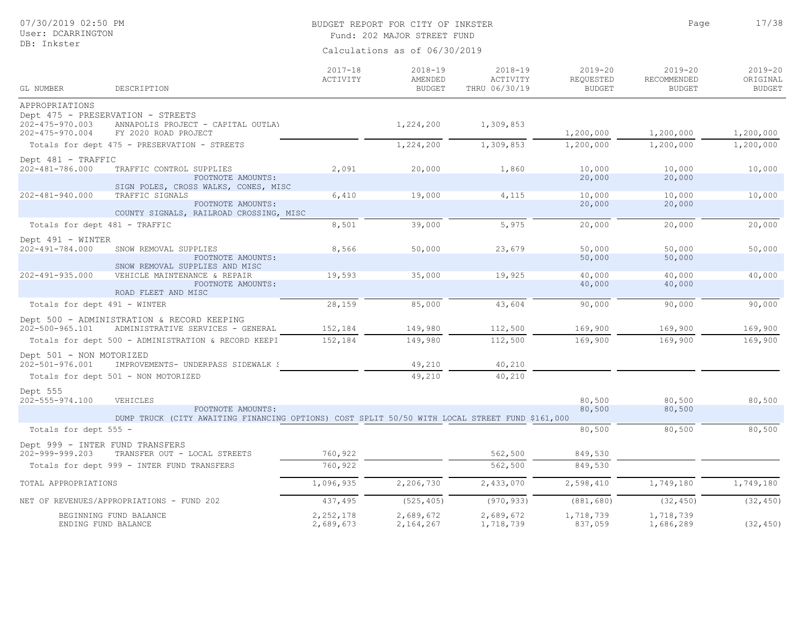# BUDGET REPORT FOR CITY OF INKSTER 17/38

Page

Fund: 202 MAJOR STREET FUND

| GL NUMBER                                      | DESCRIPTION                                                                                    | $2017 - 18$<br>ACTIVITY  | $2018 - 19$<br>AMENDED<br><b>BUDGET</b> | $2018 - 19$<br>ACTIVITY<br>THRU 06/30/19 | $2019 - 20$<br>REQUESTED<br><b>BUDGET</b> | $2019 - 20$<br>RECOMMENDED<br><b>BUDGET</b> | $2019 - 20$<br>ORIGINAL<br><b>BUDGET</b> |
|------------------------------------------------|------------------------------------------------------------------------------------------------|--------------------------|-----------------------------------------|------------------------------------------|-------------------------------------------|---------------------------------------------|------------------------------------------|
| APPROPRIATIONS                                 |                                                                                                |                          |                                         |                                          |                                           |                                             |                                          |
|                                                | Dept 475 - PRESERVATION - STREETS                                                              |                          |                                         |                                          |                                           |                                             |                                          |
| $202 - 475 - 970.003$<br>$202 - 475 - 970.004$ | ANNAPOLIS PROJECT - CAPITAL OUTLAY<br>FY 2020 ROAD PROJECT                                     |                          | 1,224,200                               | 1,309,853                                | 1,200,000                                 | 1,200,000                                   | 1,200,000                                |
|                                                | Totals for dept 475 - PRESERVATION - STREETS                                                   |                          | 1,224,200                               | 1,309,853                                | 1,200,000                                 | 1,200,000                                   | 1,200,000                                |
| Dept 481 - TRAFFIC                             |                                                                                                |                          |                                         |                                          |                                           |                                             |                                          |
| 202-481-786.000                                | TRAFFIC CONTROL SUPPLIES                                                                       | 2,091                    | 20,000                                  | 1,860                                    | 10,000                                    | 10,000                                      | 10,000                                   |
|                                                | FOOTNOTE AMOUNTS:<br>SIGN POLES, CROSS WALKS, CONES, MISC                                      |                          |                                         |                                          | 20,000                                    | 20,000                                      |                                          |
| $202 - 481 - 940.000$                          | TRAFFIC SIGNALS                                                                                | 6,410                    | 19,000                                  | 4,115                                    | 10,000                                    | 10,000                                      | 10,000                                   |
|                                                | FOOTNOTE AMOUNTS:<br>COUNTY SIGNALS, RAILROAD CROSSING, MISC                                   |                          |                                         |                                          | 20,000                                    | 20,000                                      |                                          |
| Totals for dept 481 - TRAFFIC                  |                                                                                                | 8,501                    | 39,000                                  | 5,975                                    | 20,000                                    | 20,000                                      | 20,000                                   |
| Dept 491 - WINTER                              |                                                                                                |                          |                                         |                                          |                                           |                                             |                                          |
| 202-491-784.000                                | SNOW REMOVAL SUPPLIES                                                                          | 8,566                    | 50,000                                  | 23,679                                   | 50,000                                    | 50,000                                      | 50,000                                   |
|                                                | FOOTNOTE AMOUNTS:                                                                              |                          |                                         |                                          | 50,000                                    | 50,000                                      |                                          |
| $202 - 491 - 935.000$                          | SNOW REMOVAL SUPPLIES AND MISC<br>VEHICLE MAINTENANCE & REPAIR                                 | 19,593                   | 35,000                                  | 19,925                                   | 40,000                                    | 40,000                                      | 40,000                                   |
|                                                | FOOTNOTE AMOUNTS:<br>ROAD FLEET AND MISC                                                       |                          |                                         |                                          | 40,000                                    | 40,000                                      |                                          |
| Totals for dept 491 - WINTER                   |                                                                                                | 28,159                   | 85,000                                  | 43,604                                   | 90,000                                    | 90,000                                      | 90,000                                   |
|                                                | Dept 500 - ADMINISTRATION & RECORD KEEPING                                                     |                          |                                         |                                          |                                           |                                             |                                          |
| 202-500-965.101                                | ADMINISTRATIVE SERVICES - GENERAL                                                              | 152,184                  | 149,980                                 | 112,500                                  | 169,900                                   | 169,900                                     | 169,900                                  |
|                                                | Totals for dept 500 - ADMINISTRATION & RECORD KEEPI                                            | 152,184                  | 149,980                                 | 112,500                                  | 169,900                                   | 169,900                                     | 169,900                                  |
| Dept 501 - NON MOTORIZED                       |                                                                                                |                          |                                         |                                          |                                           |                                             |                                          |
| 202-501-976.001                                | IMPROVEMENTS- UNDERPASS SIDEWALK {                                                             |                          | 49,210                                  | 40,210                                   |                                           |                                             |                                          |
|                                                | Totals for dept 501 - NON MOTORIZED                                                            |                          | 49,210                                  | 40,210                                   |                                           |                                             |                                          |
| Dept 555                                       |                                                                                                |                          |                                         |                                          |                                           |                                             |                                          |
| 202-555-974.100                                | VEHICLES<br>FOOTNOTE AMOUNTS:                                                                  |                          |                                         |                                          | 80,500<br>80,500                          | 80,500<br>80,500                            | 80,500                                   |
|                                                | DUMP TRUCK (CITY AWAITING FINANCING OPTIONS) COST SPLIT 50/50 WITH LOCAL STREET FUND \$161,000 |                          |                                         |                                          |                                           |                                             |                                          |
| Totals for dept 555 -                          |                                                                                                |                          |                                         |                                          | 80,500                                    | 80,500                                      | 80,500                                   |
| Dept 999 - INTER FUND TRANSFERS                |                                                                                                |                          |                                         |                                          |                                           |                                             |                                          |
| 202-999-999.203                                | TRANSFER OUT - LOCAL STREETS                                                                   | 760,922                  |                                         | 562,500                                  | 849,530                                   |                                             |                                          |
|                                                | Totals for dept 999 - INTER FUND TRANSFERS                                                     | 760,922                  |                                         | 562,500                                  | 849,530                                   |                                             |                                          |
| TOTAL APPROPRIATIONS                           |                                                                                                | 1,096,935                | 2,206,730                               | 2,433,070                                | 2,598,410                                 | 1,749,180                                   | 1,749,180                                |
|                                                | NET OF REVENUES/APPROPRIATIONS - FUND 202                                                      | 437,495                  | (525, 405)                              | (970, 933)                               | (881, 680)                                | (32, 450)                                   | (32, 450)                                |
| ENDING FUND BALANCE                            | BEGINNING FUND BALANCE                                                                         | 2, 252, 178<br>2,689,673 | 2,689,672<br>2,164,267                  | 2,689,672<br>1,718,739                   | 1,718,739<br>837,059                      | 1,718,739<br>1,686,289                      | (32, 450)                                |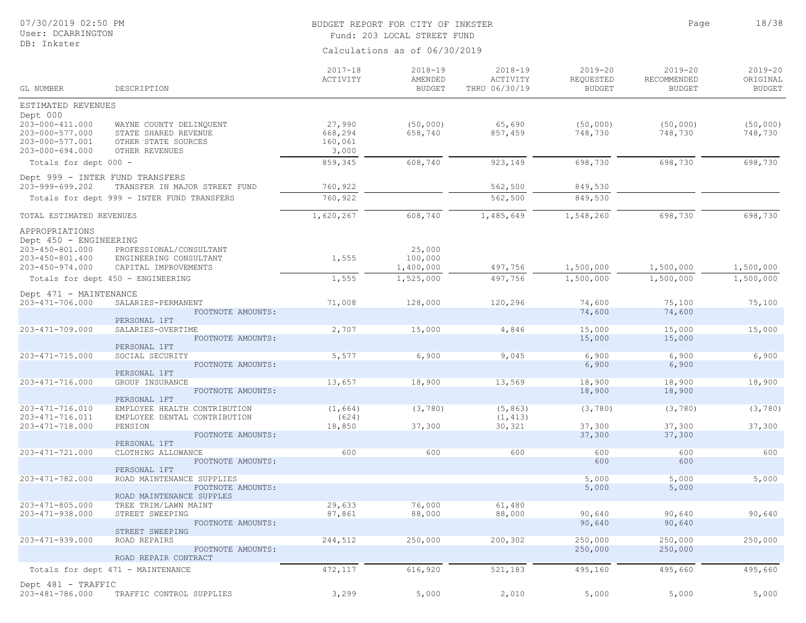## BUDGET REPORT FOR CITY OF INKSTER 18/38 Fund: 203 LOCAL STREET FUND

Page

| GL NUMBER                                                                                  | DESCRIPTION                                                                              | $2017 - 18$<br>ACTIVITY               | $2018 - 19$<br>AMENDED<br><b>BUDGET</b> | $2018 - 19$<br>ACTIVITY<br>THRU 06/30/19 | $2019 - 20$<br>REQUESTED<br><b>BUDGET</b> | $2019 - 20$<br>RECOMMENDED<br><b>BUDGET</b> | $2019 - 20$<br>ORIGINAL<br><b>BUDGET</b> |
|--------------------------------------------------------------------------------------------|------------------------------------------------------------------------------------------|---------------------------------------|-----------------------------------------|------------------------------------------|-------------------------------------------|---------------------------------------------|------------------------------------------|
| ESTIMATED REVENUES                                                                         |                                                                                          |                                       |                                         |                                          |                                           |                                             |                                          |
| Dept 000<br>203-000-411.000<br>203-000-577.000<br>203-000-577.001<br>$203 - 000 - 694.000$ | WAYNE COUNTY DELINQUENT<br>STATE SHARED REVENUE<br>OTHER STATE SOURCES<br>OTHER REVENUES | 27,990<br>668,294<br>160,061<br>3,000 | (50,000)<br>658,740                     | 65,690<br>857,459                        | (50, 000)<br>748,730                      | (50, 000)<br>748,730                        | (50, 000)<br>748,730                     |
| Totals for dept 000 -                                                                      |                                                                                          | 859,345                               | 608,740                                 | 923,149                                  | 698,730                                   | 698,730                                     | 698,730                                  |
| 203-999-699.202                                                                            | Dept 999 - INTER FUND TRANSFERS<br>TRANSFER IN MAJOR STREET FUND                         | 760,922                               |                                         | 562,500                                  | 849,530                                   |                                             |                                          |
|                                                                                            | Totals for dept 999 - INTER FUND TRANSFERS                                               | 760,922                               |                                         | 562,500                                  | 849,530                                   |                                             |                                          |
|                                                                                            |                                                                                          |                                       |                                         |                                          |                                           |                                             |                                          |
| TOTAL ESTIMATED REVENUES                                                                   |                                                                                          | 1,620,267                             | 608,740                                 | 1,485,649                                | 1,548,260                                 | 698,730                                     | 698,730                                  |
| APPROPRIATIONS<br>Dept 450 - ENGINEERING                                                   |                                                                                          |                                       |                                         |                                          |                                           |                                             |                                          |
| 203-450-801.000<br>203-450-801.400<br>$203 - 450 - 974.000$                                | PROFESSIONAL/CONSULTANT<br>ENGINEERING CONSULTANT<br>CAPITAL IMPROVEMENTS                | 1,555                                 | 25,000<br>100,000<br>1,400,000          | 497,756                                  | 1,500,000                                 | 1,500,000                                   | 1,500,000                                |
|                                                                                            | Totals for dept 450 - ENGINEERING                                                        | 1,555                                 | 1,525,000                               | 497,756                                  | 1,500,000                                 | 1,500,000                                   | 1,500,000                                |
| Dept 471 - MAINTENANCE                                                                     |                                                                                          |                                       |                                         |                                          |                                           |                                             |                                          |
| $203 - 471 - 706.000$                                                                      | SALARIES-PERMANENT<br>FOOTNOTE AMOUNTS:                                                  | 71,008                                | 128,000                                 | 120,296                                  | 74,600<br>74,600                          | 75,100<br>74,600                            | 75,100                                   |
|                                                                                            | PERSONAL 1FT                                                                             |                                       |                                         |                                          |                                           |                                             |                                          |
| 203-471-709.000                                                                            | SALARIES-OVERTIME<br>FOOTNOTE AMOUNTS:<br>PERSONAL 1FT                                   | 2,707                                 | 15,000                                  | 4,846                                    | 15,000<br>15,000                          | 15,000<br>15,000                            | 15,000                                   |
| 203-471-715.000                                                                            | SOCIAL SECURITY                                                                          | 5,577                                 | 6,900                                   | 9,045                                    | 6,900                                     | 6,900                                       | 6,900                                    |
|                                                                                            | FOOTNOTE AMOUNTS:<br>PERSONAL 1FT                                                        |                                       |                                         |                                          | 6,900                                     | 6,900                                       |                                          |
| $203 - 471 - 716.000$                                                                      | GROUP INSURANCE<br>FOOTNOTE AMOUNTS:<br>PERSONAL 1FT                                     | 13,657                                | 18,900                                  | 13,569                                   | 18,900<br>18,900                          | 18,900<br>18,900                            | 18,900                                   |
| $203 - 471 - 716.010$<br>203-471-716.011                                                   | EMPLOYEE HEALTH CONTRIBUTION<br>EMPLOYEE DENTAL CONTRIBUTION                             | (1, 664)<br>(624)                     | (3, 780)                                | (5, 863)<br>(1, 413)                     | (3, 780)                                  | (3, 780)                                    | (3, 780)                                 |
| $203 - 471 - 718.000$                                                                      | PENSION<br>FOOTNOTE AMOUNTS:<br>PERSONAL 1FT                                             | 18,850                                | 37,300                                  | 30,321                                   | 37,300<br>37,300                          | 37,300<br>37,300                            | 37,300                                   |
| $203 - 471 - 721.000$                                                                      | CLOTHING ALLOWANCE                                                                       | 600                                   | 600                                     | 600                                      | 600                                       | 600                                         | 600                                      |
|                                                                                            | FOOTNOTE AMOUNTS:<br>PERSONAL 1FT                                                        |                                       |                                         |                                          | 600                                       | 600                                         |                                          |
| 203-471-782.000                                                                            | ROAD MAINTENANCE SUPPLIES                                                                |                                       |                                         |                                          | 5,000                                     | 5,000                                       | 5,000                                    |
|                                                                                            | FOOTNOTE AMOUNTS:<br>ROAD MAINTENANCE SUPPLES                                            |                                       |                                         |                                          | 5,000                                     | 5,000                                       |                                          |
| $203 - 471 - 805.000$                                                                      | TREE TRIM/LAWN MAINT                                                                     | 29,633                                | 76,000                                  | 61,480                                   |                                           |                                             |                                          |
| 203-471-938.000                                                                            | STREET SWEEPING<br>FOOTNOTE AMOUNTS:<br>STREET SWEEPING                                  | 87,861                                | 88,000                                  | 88,000                                   | 90,640<br>90,640                          | 90,640<br>90,640                            | 90,640                                   |
| 203-471-939.000                                                                            | ROAD REPAIRS                                                                             | 244,512                               | 250,000                                 | 200,302                                  | 250,000                                   | 250,000                                     | 250,000                                  |
|                                                                                            | FOOTNOTE AMOUNTS:<br>ROAD REPAIR CONTRACT                                                |                                       |                                         |                                          | 250,000                                   | 250,000                                     |                                          |
|                                                                                            | Totals for dept 471 - MAINTENANCE                                                        | 472,117                               | 616,920                                 | 521,183                                  | 495,160                                   | 495,660                                     | 495,660                                  |
| Dept 481 - TRAFFIC<br>203-481-786.000                                                      | TRAFFIC CONTROL SUPPLIES                                                                 | 3,299                                 | 5,000                                   | 2,010                                    | 5,000                                     | 5,000                                       | 5,000                                    |
|                                                                                            |                                                                                          |                                       |                                         |                                          |                                           |                                             |                                          |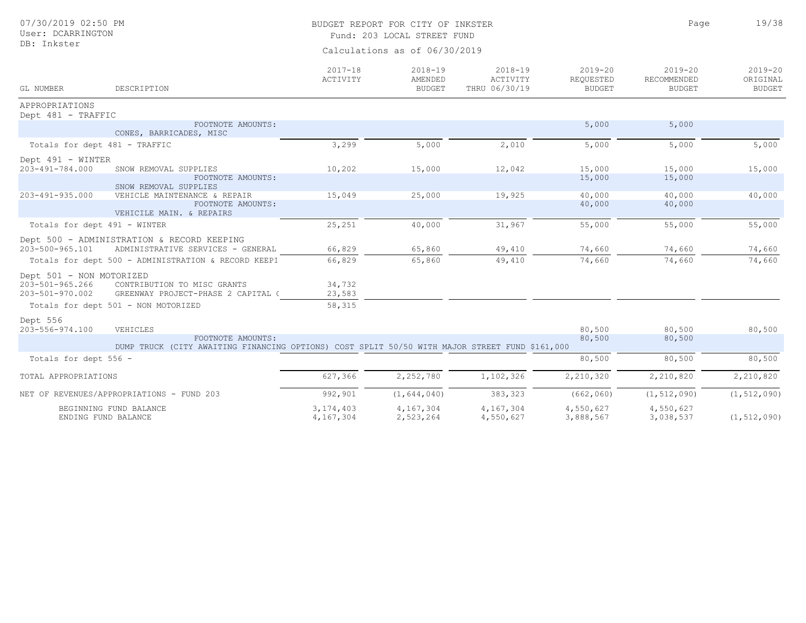| 07/30/2019 02:50 PM<br>User: DCARRINGTON                       |                                                                                                                     |                               | BUDGET REPORT FOR CITY OF INKSTER<br>Fund: 203 LOCAL STREET FUND |                                          | Page                                      | 19/38                                       |                                          |  |  |
|----------------------------------------------------------------|---------------------------------------------------------------------------------------------------------------------|-------------------------------|------------------------------------------------------------------|------------------------------------------|-------------------------------------------|---------------------------------------------|------------------------------------------|--|--|
| DB: Inkster                                                    |                                                                                                                     | Calculations as of 06/30/2019 |                                                                  |                                          |                                           |                                             |                                          |  |  |
| GL NUMBER                                                      | DESCRIPTION                                                                                                         | $2017 - 18$<br>ACTIVITY       | $2018 - 19$<br>AMENDED<br><b>BUDGET</b>                          | $2018 - 19$<br>ACTIVITY<br>THRU 06/30/19 | $2019 - 20$<br>REQUESTED<br><b>BUDGET</b> | $2019 - 20$<br>RECOMMENDED<br><b>BUDGET</b> | $2019 - 20$<br>ORIGINAL<br><b>BUDGET</b> |  |  |
| APPROPRIATIONS<br>Dept 481 - TRAFFIC                           |                                                                                                                     |                               |                                                                  |                                          |                                           |                                             |                                          |  |  |
|                                                                | FOOTNOTE AMOUNTS:<br>CONES, BARRICADES, MISC                                                                        |                               |                                                                  |                                          | 5,000                                     | 5,000                                       |                                          |  |  |
| Totals for dept 481 - TRAFFIC                                  |                                                                                                                     | 3,299                         | 5,000                                                            | 2,010                                    | 5,000                                     | 5,000                                       | 5,000                                    |  |  |
| Dept 491 - WINTER<br>203-491-784.000                           | SNOW REMOVAL SUPPLIES<br>FOOTNOTE AMOUNTS:<br>SNOW REMOVAL SUPPLIES                                                 | 10,202                        | 15,000                                                           | 12,042                                   | 15,000<br>15,000                          | 15,000<br>15,000                            | 15,000                                   |  |  |
| 203-491-935.000                                                | VEHICLE MAINTENANCE & REPAIR<br>FOOTNOTE AMOUNTS:<br>VEHICILE MAIN. & REPAIRS                                       | 15,049                        | 25,000                                                           | 19,925                                   | 40,000<br>40,000                          | 40,000<br>40,000                            | 40,000                                   |  |  |
| Totals for dept 491 - WINTER                                   |                                                                                                                     | 25,251                        | 40,000                                                           | 31,967                                   | 55,000                                    | 55,000                                      | 55,000                                   |  |  |
| 203-500-965.101                                                | Dept 500 - ADMINISTRATION & RECORD KEEPING<br>ADMINISTRATIVE SERVICES - GENERAL                                     | 66,829                        | 65,860                                                           | 49,410                                   | 74,660                                    | 74,660                                      | 74,660                                   |  |  |
|                                                                | Totals for dept 500 - ADMINISTRATION & RECORD KEEPI                                                                 | 66,829                        | 65,860                                                           | 49,410                                   | 74,660                                    | 74,660                                      | 74,660                                   |  |  |
| Dept 501 - NON MOTORIZED<br>203-501-965.266<br>203-501-970.002 | CONTRIBUTION TO MISC GRANTS<br>GREENWAY PROJECT-PHASE 2 CAPITAL (                                                   | 34,732<br>23,583              |                                                                  |                                          |                                           |                                             |                                          |  |  |
|                                                                | Totals for dept 501 - NON MOTORIZED                                                                                 | 58,315                        |                                                                  |                                          |                                           |                                             |                                          |  |  |
| Dept 556<br>203-556-974.100                                    | VEHICLES                                                                                                            |                               |                                                                  |                                          | 80,500                                    | 80,500                                      | 80,500                                   |  |  |
|                                                                | FOOTNOTE AMOUNTS:<br>DUMP TRUCK (CITY AWAITING FINANCING OPTIONS) COST SPLIT 50/50 WITH MAJOR STREET FUND \$161,000 |                               |                                                                  |                                          | 80,500                                    | 80,500                                      |                                          |  |  |
| Totals for dept 556 -                                          |                                                                                                                     |                               |                                                                  |                                          | 80,500                                    | 80,500                                      | 80,500                                   |  |  |
| TOTAL APPROPRIATIONS                                           |                                                                                                                     | 627,366                       | 2,252,780                                                        | 1,102,326                                | 2,210,320                                 | 2,210,820                                   | 2,210,820                                |  |  |
|                                                                | NET OF REVENUES/APPROPRIATIONS - FUND 203                                                                           | 992,901                       | (1, 644, 040)                                                    | 383,323                                  | (662, 060)                                | (1, 512, 090)                               | (1, 512, 090)                            |  |  |
|                                                                | BEGINNING FUND BALANCE<br>ENDING FUND BALANCE                                                                       | 3, 174, 403<br>4,167,304      | 4,167,304<br>2,523,264                                           | 4,167,304<br>4,550,627                   | 4,550,627<br>3,888,567                    | 4,550,627<br>3,038,537                      | (1, 512, 090)                            |  |  |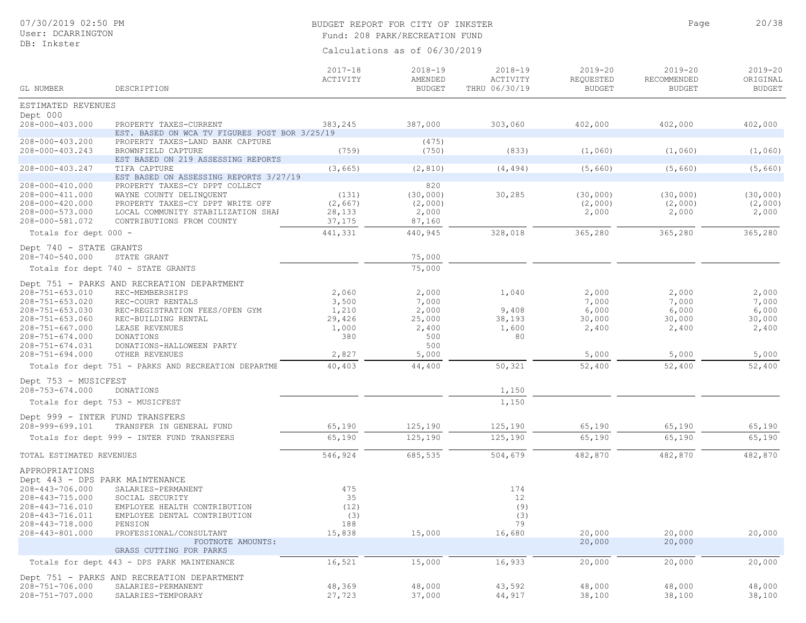## BUDGET REPORT FOR CITY OF INKSTER 20/38 Fund: 208 PARK/RECREATION FUND

Page

| GL NUMBER                          | DESCRIPTION                                                             | $2017 - 18$<br>ACTIVITY | $2018 - 19$<br>AMENDED<br><b>BUDGET</b> | $2018 - 19$<br>ACTIVITY<br>THRU 06/30/19 | 2019-20<br>REQUESTED<br><b>BUDGET</b> | $2019 - 20$<br>RECOMMENDED<br><b>BUDGET</b> | $2019 - 20$<br>ORIGINAL<br><b>BUDGET</b> |
|------------------------------------|-------------------------------------------------------------------------|-------------------------|-----------------------------------------|------------------------------------------|---------------------------------------|---------------------------------------------|------------------------------------------|
|                                    |                                                                         |                         |                                         |                                          |                                       |                                             |                                          |
| ESTIMATED REVENUES                 |                                                                         |                         |                                         |                                          |                                       |                                             |                                          |
| Dept 000<br>208-000-403.000        | PROPERTY TAXES-CURRENT<br>EST. BASED ON WCA TV FIGURES POST BOR 3/25/19 | 383,245                 | 387,000                                 | 303,060                                  | 402,000                               | 402,000                                     | 402,000                                  |
| 208-000-403.200<br>208-000-403.243 | PROPERTY TAXES-LAND BANK CAPTURE<br>BROWNFIELD CAPTURE                  | (759)                   | (475)<br>(750)                          | (833)                                    | (1,060)                               | (1,060)                                     | (1,060)                                  |
|                                    | EST BASED ON 219 ASSESSING REPORTS                                      |                         |                                         |                                          |                                       |                                             |                                          |
| 208-000-403.247                    | TIFA CAPTURE<br>EST BASED ON ASSESSING REPORTS 3/27/19                  | (3, 665)                | (2, 810)                                | (4, 494)                                 | (5, 660)                              | (5, 660)                                    | (5, 660)                                 |
| 208-000-410.000                    | PROPERTY TAXES-CY DPPT COLLECT                                          |                         | 820                                     |                                          |                                       |                                             |                                          |
| 208-000-411.000                    | WAYNE COUNTY DELINQUENT                                                 | (131)                   | (30,000)                                | 30,285                                   | (30, 000)                             | (30,000)                                    | (30,000)                                 |
| 208-000-420.000<br>208-000-573.000 | PROPERTY TAXES-CY DPPT WRITE OFF                                        | (2, 667)                | (2,000)                                 |                                          | (2,000)                               | (2,000)                                     | (2,000)                                  |
| 208-000-581.072                    | LOCAL COMMUNITY STABILIZATION SHAF<br>CONTRIBUTIONS FROM COUNTY         | 28,133<br>37,175        | 2,000<br>87,160                         |                                          | 2,000                                 | 2,000                                       | 2,000                                    |
| Totals for dept 000 -              |                                                                         | 441,331                 | 440,945                                 | 328,018                                  | 365,280                               | 365,280                                     | 365,280                                  |
| Dept 740 - STATE GRANTS            |                                                                         |                         |                                         |                                          |                                       |                                             |                                          |
| 208-740-540.000                    | STATE GRANT                                                             |                         | 75,000                                  |                                          |                                       |                                             |                                          |
|                                    | Totals for dept 740 - STATE GRANTS                                      |                         | 75,000                                  |                                          |                                       |                                             |                                          |
|                                    | Dept 751 - PARKS AND RECREATION DEPARTMENT                              |                         |                                         |                                          |                                       |                                             |                                          |
| $208 - 751 - 653.010$              | REC-MEMBERSHIPS                                                         | 2,060                   | 2,000                                   | 1,040                                    | 2,000                                 | 2,000                                       | 2,000                                    |
| $208 - 751 - 653.020$              | REC-COURT RENTALS                                                       | 3,500                   | 7,000                                   |                                          | 7,000                                 | 7,000                                       | 7,000                                    |
| $208 - 751 - 653.030$              | REC-REGISTRATION FEES/OPEN GYM                                          | 1,210                   | 2,000                                   | 9,408                                    | 6,000                                 | 6,000                                       | 6,000                                    |
| $208 - 751 - 653.060$              | REC-BUILDING RENTAL                                                     | 29,426                  | 25,000                                  | 38,193                                   | 30,000                                | 30,000                                      | 30,000                                   |
| $208 - 751 - 667.000$              | LEASE REVENUES                                                          | 1,000                   | 2,400                                   | 1,600                                    | 2,400                                 | 2,400                                       | 2,400                                    |
| $208 - 751 - 674.000$              | DONATIONS                                                               | 380                     | 500                                     | 80                                       |                                       |                                             |                                          |
| $208 - 751 - 674.031$              | DONATIONS-HALLOWEEN PARTY                                               |                         | 500                                     |                                          |                                       |                                             |                                          |
| $208 - 751 - 694.000$              | OTHER REVENUES                                                          | 2,827                   | 5,000                                   |                                          | 5,000                                 | 5,000                                       | 5,000                                    |
|                                    | Totals for dept 751 - PARKS AND RECREATION DEPARTME                     | 40,403                  | 44,400                                  | 50,321                                   | 52,400                                | 52,400                                      | 52,400                                   |
| Dept 753 - MUSICFEST               |                                                                         |                         |                                         |                                          |                                       |                                             |                                          |
| $208 - 753 - 674.000$              | DONATIONS                                                               |                         |                                         | 1,150                                    |                                       |                                             |                                          |
|                                    | Totals for dept 753 - MUSICFEST                                         |                         |                                         | 1,150                                    |                                       |                                             |                                          |
| Dept 999 - INTER FUND TRANSFERS    |                                                                         |                         |                                         |                                          |                                       |                                             |                                          |
| 208-999-699.101                    | TRANSFER IN GENERAL FUND                                                | 65,190                  | 125,190                                 | 125,190                                  | 65,190                                | 65,190                                      | 65,190                                   |
|                                    | Totals for dept 999 - INTER FUND TRANSFERS                              | 65,190                  | 125,190                                 | 125,190                                  | 65,190                                | 65,190                                      | 65,190                                   |
| TOTAL ESTIMATED REVENUES           |                                                                         | 546,924                 | 685,535                                 | 504,679                                  | 482,870                               | 482,870                                     | 482,870                                  |
| APPROPRIATIONS                     |                                                                         |                         |                                         |                                          |                                       |                                             |                                          |
| Dept 443 - DPS PARK MAINTENANCE    |                                                                         |                         |                                         |                                          |                                       |                                             |                                          |
| 208-443-706.000                    | SALARIES-PERMANENT                                                      | 475                     |                                         | 174                                      |                                       |                                             |                                          |
| 208-443-715.000                    | SOCIAL SECURITY                                                         | 35                      |                                         | 12                                       |                                       |                                             |                                          |
| 208-443-716.010                    | EMPLOYEE HEALTH CONTRIBUTION                                            | (12)                    |                                         | (9)                                      |                                       |                                             |                                          |
| 208-443-716.011<br>208-443-718.000 | EMPLOYEE DENTAL CONTRIBUTION                                            | (3)<br>188              |                                         | (3)<br>79                                |                                       |                                             |                                          |
| 208-443-801.000                    | PENSION<br>PROFESSIONAL/CONSULTANT                                      | 15,838                  | 15,000                                  | 16,680                                   | 20,000                                | 20,000                                      | 20,000                                   |
|                                    | FOOTNOTE AMOUNTS:                                                       |                         |                                         |                                          | 20,000                                | 20,000                                      |                                          |
|                                    | GRASS CUTTING FOR PARKS                                                 |                         |                                         |                                          |                                       |                                             |                                          |
|                                    | Totals for dept 443 - DPS PARK MAINTENANCE                              | 16,521                  | 15,000                                  | 16,933                                   | 20,000                                | 20,000                                      | 20,000                                   |
|                                    | Dept 751 - PARKS AND RECREATION DEPARTMENT                              |                         |                                         |                                          |                                       |                                             |                                          |
| 208-751-706.000<br>208-751-707.000 | SALARIES-PERMANENT<br>SALARIES-TEMPORARY                                | 48,369<br>27,723        | 48,000<br>37,000                        | 43,592<br>44,917                         | 48,000<br>38,100                      | 48,000<br>38,100                            | 48,000<br>38,100                         |
|                                    |                                                                         |                         |                                         |                                          |                                       |                                             |                                          |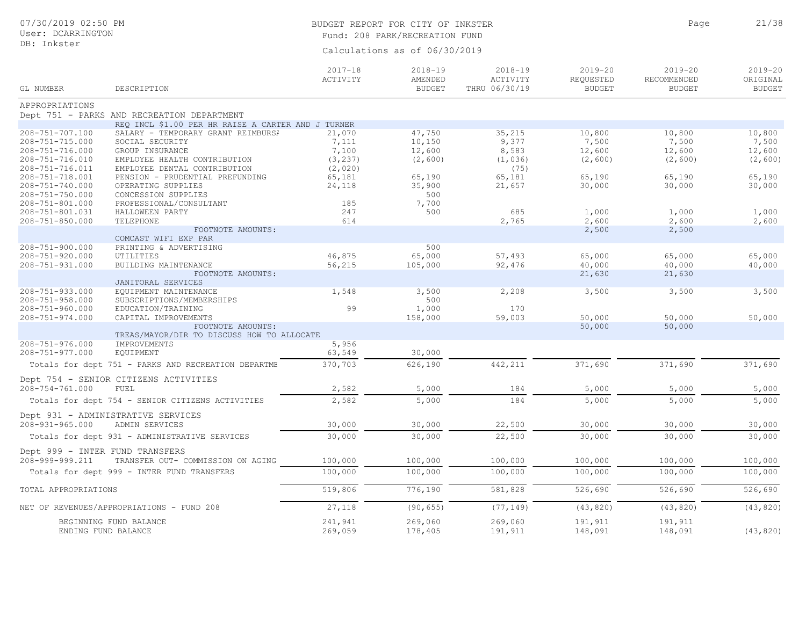## BUDGET REPORT FOR CITY OF INKSTER 21/38 Fund: 208 PARK/RECREATION FUND

Page

| GL NUMBER                       | DESCRIPTION                                                                                      | $2017 - 18$<br>ACTIVITY | $2018 - 19$<br>AMENDED<br><b>BUDGET</b> | $2018 - 19$<br>ACTIVITY<br>THRU 06/30/19 | $2019 - 20$<br>REQUESTED<br><b>BUDGET</b> | $2019 - 20$<br>RECOMMENDED<br><b>BUDGET</b> | $2019 - 20$<br>ORIGINAL<br><b>BUDGET</b> |
|---------------------------------|--------------------------------------------------------------------------------------------------|-------------------------|-----------------------------------------|------------------------------------------|-------------------------------------------|---------------------------------------------|------------------------------------------|
| APPROPRIATIONS                  |                                                                                                  |                         |                                         |                                          |                                           |                                             |                                          |
|                                 | Dept 751 - PARKS AND RECREATION DEPARTMENT<br>REQ INCL \$1.00 PER HR RAISE A CARTER AND J TURNER |                         |                                         |                                          |                                           |                                             |                                          |
| 208-751-707.100                 | SALARY - TEMPORARY GRANT REIMBURSI                                                               | 21,070                  | 47,750                                  | 35,215                                   | 10,800                                    | 10,800                                      | 10,800                                   |
| 208-751-715.000                 | SOCIAL SECURITY                                                                                  | 7,111                   | 10,150                                  | 9,377                                    | 7,500                                     | 7,500                                       | 7,500                                    |
| 208-751-716.000                 | GROUP INSURANCE                                                                                  | 7,100                   | 12,600                                  | 8,583                                    | 12,600                                    | 12,600                                      | 12,600                                   |
| 208-751-716.010                 | EMPLOYEE HEALTH CONTRIBUTION                                                                     | (3, 237)                | (2, 600)                                | (1, 036)                                 | (2, 600)                                  | (2, 600)                                    | (2, 600)                                 |
| 208-751-716.011                 | EMPLOYEE DENTAL CONTRIBUTION                                                                     | (2,020)                 |                                         | (75)                                     |                                           |                                             |                                          |
| 208-751-718.001                 | PENSION - PRUDENTIAL PREFUNDING                                                                  | 65,181                  | 65,190                                  | 65,181                                   | 65,190                                    | 65,190                                      | 65,190                                   |
| 208-751-740.000                 | OPERATING SUPPLIES                                                                               | 24,118                  | 35,900                                  | 21,657                                   | 30,000                                    | 30,000                                      | 30,000                                   |
| 208-751-750.000                 | CONCESSION SUPPLIES                                                                              |                         | 500                                     |                                          |                                           |                                             |                                          |
| 208-751-801.000                 | PROFESSIONAL/CONSULTANT                                                                          | 185                     | 7,700                                   |                                          |                                           |                                             |                                          |
| 208-751-801.031                 | HALLOWEEN PARTY                                                                                  | 247                     | 500                                     | 685                                      | 1,000                                     | 1,000                                       | 1,000                                    |
| 208-751-850.000                 | TELEPHONE                                                                                        | 614                     |                                         | 2,765                                    | 2,600                                     | 2,600                                       | 2,600                                    |
|                                 | FOOTNOTE AMOUNTS:                                                                                |                         |                                         |                                          | 2,500                                     | 2,500                                       |                                          |
|                                 | COMCAST WIFI EXP PAR                                                                             |                         |                                         |                                          |                                           |                                             |                                          |
| $208 - 751 - 900.000$           | PRINTING & ADVERTISING                                                                           |                         | 500                                     |                                          |                                           |                                             |                                          |
| 208-751-920.000                 | UTILITIES                                                                                        | 46,875                  | 65,000                                  | 57,493                                   | 65,000                                    | 65,000                                      | 65,000                                   |
| 208-751-931.000                 | BUILDING MAINTENANCE                                                                             | 56,215                  | 105,000                                 | 92,476                                   | 40,000                                    | 40,000                                      | 40,000                                   |
|                                 | FOOTNOTE AMOUNTS:<br>JANITORAL SERVICES                                                          |                         |                                         |                                          | 21,630                                    | 21,630                                      |                                          |
| 208-751-933.000                 | EQUIPMENT MAINTENANCE                                                                            | 1,548                   | 3,500                                   | 2,208                                    | 3,500                                     | 3,500                                       | 3,500                                    |
| $208 - 751 - 958.000$           | SUBSCRIPTIONS/MEMBERSHIPS                                                                        |                         | 500                                     |                                          |                                           |                                             |                                          |
| 208-751-960.000                 | EDUCATION/TRAINING                                                                               | 99                      | 1,000                                   | 170                                      |                                           |                                             |                                          |
| 208-751-974.000                 | CAPITAL IMPROVEMENTS                                                                             |                         | 158,000                                 | 59,003                                   | 50,000                                    | 50,000                                      | 50,000                                   |
|                                 | FOOTNOTE AMOUNTS:<br>TREAS/MAYOR/DIR TO DISCUSS HOW TO ALLOCATE                                  |                         |                                         |                                          | 50,000                                    | 50,000                                      |                                          |
| 208-751-976.000                 | IMPROVEMENTS                                                                                     | 5,956                   |                                         |                                          |                                           |                                             |                                          |
| 208-751-977.000                 | <b>EOUIPMENT</b>                                                                                 | 63,549                  | 30,000                                  |                                          |                                           |                                             |                                          |
|                                 | Totals for dept 751 - PARKS AND RECREATION DEPARTME                                              | 370,703                 | 626,190                                 | 442,211                                  | 371,690                                   | 371,690                                     | 371,690                                  |
|                                 | Dept 754 - SENIOR CITIZENS ACTIVITIES                                                            |                         |                                         |                                          |                                           |                                             |                                          |
| 208-754-761.000                 | FUEL                                                                                             | 2,582                   | 5,000                                   | 184                                      | 5,000                                     | 5,000                                       | 5,000                                    |
|                                 | Totals for dept 754 - SENIOR CITIZENS ACTIVITIES                                                 | 2,582                   | 5,000                                   | 184                                      | 5,000                                     | 5,000                                       | 5,000                                    |
|                                 | Dept 931 - ADMINISTRATIVE SERVICES                                                               |                         |                                         |                                          |                                           |                                             |                                          |
| $208 - 931 - 965.000$           | ADMIN SERVICES                                                                                   | 30,000                  | 30,000                                  | 22,500                                   | 30,000                                    | 30,000                                      | 30,000                                   |
|                                 | Totals for dept 931 - ADMINISTRATIVE SERVICES                                                    | 30,000                  | 30,000                                  | 22,500                                   | 30,000                                    | 30,000                                      | 30,000                                   |
|                                 |                                                                                                  |                         |                                         |                                          |                                           |                                             |                                          |
| Dept 999 - INTER FUND TRANSFERS |                                                                                                  |                         |                                         |                                          |                                           |                                             |                                          |
| 208-999-999.211                 | TRANSFER OUT- COMMISSION ON AGING                                                                | 100,000                 | 100,000                                 | 100,000                                  | 100,000                                   | 100,000                                     | 100,000                                  |
|                                 | Totals for dept 999 - INTER FUND TRANSFERS                                                       | 100,000                 | 100,000                                 | 100,000                                  | 100,000                                   | 100,000                                     | 100,000                                  |
| TOTAL APPROPRIATIONS            |                                                                                                  | 519,806                 | 776,190                                 | 581,828                                  | 526,690                                   | 526,690                                     | 526,690                                  |
|                                 | NET OF REVENUES/APPROPRIATIONS - FUND 208                                                        | 27,118                  | (90, 655)                               | (77, 149)                                | (43, 820)                                 | (43, 820)                                   | (43, 820)                                |
|                                 | BEGINNING FUND BALANCE                                                                           | 241,941                 | 269,060                                 | 269,060                                  | 191,911                                   | 191,911                                     |                                          |
| ENDING FUND BALANCE             |                                                                                                  | 269,059                 | 178,405                                 | 191,911                                  | 148,091                                   | 148,091                                     | (43, 820)                                |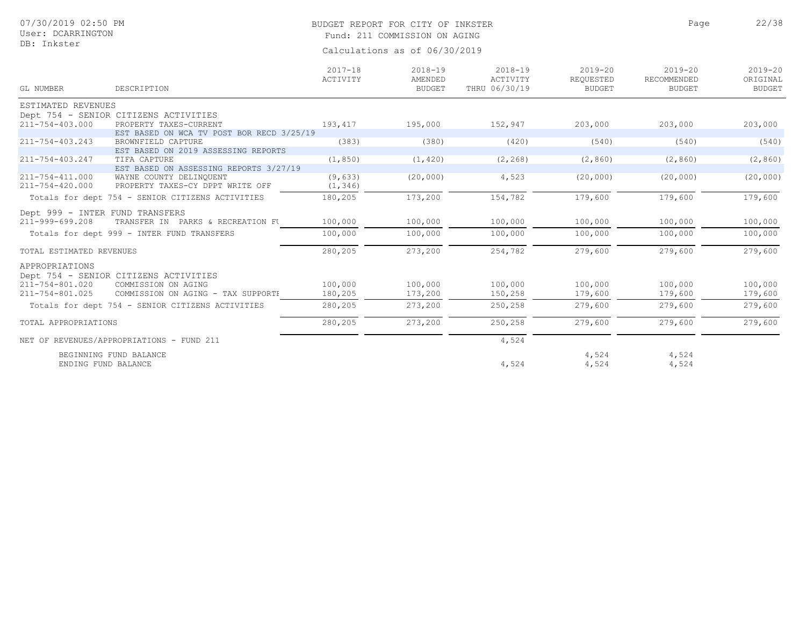# BUDGET REPORT FOR CITY OF INKSTER 22/38

Page

Fund: 211 COMMISSION ON AGING

| GL NUMBER                | DESCRIPTION                                                  | $2017 - 18$<br>ACTIVITY | $2018 - 19$<br>AMENDED<br><b>BUDGET</b> | $2018 - 19$<br>ACTIVITY<br>THRU 06/30/19 | $2019 - 20$<br>REQUESTED<br><b>BUDGET</b> | $2019 - 20$<br>RECOMMENDED<br><b>BUDGET</b> | $2019 - 20$<br>ORIGINAL<br><b>BUDGET</b> |
|--------------------------|--------------------------------------------------------------|-------------------------|-----------------------------------------|------------------------------------------|-------------------------------------------|---------------------------------------------|------------------------------------------|
| ESTIMATED REVENUES       |                                                              |                         |                                         |                                          |                                           |                                             |                                          |
|                          | Dept 754 - SENIOR CITIZENS ACTIVITIES                        |                         |                                         |                                          |                                           |                                             |                                          |
| 211-754-403.000          | PROPERTY TAXES-CURRENT                                       | 193,417                 | 195,000                                 | 152,947                                  | 203,000                                   | 203,000                                     | 203,000                                  |
|                          | EST BASED ON WCA TV POST BOR RECD 3/25/19                    |                         |                                         |                                          |                                           |                                             |                                          |
| 211-754-403.243          | BROWNFIELD CAPTURE                                           | (383)                   | (380)                                   | (420)                                    | (540)                                     | (540)                                       | (540)                                    |
|                          | EST BASED ON 2019 ASSESSING REPORTS                          |                         |                                         |                                          |                                           |                                             |                                          |
| 211-754-403.247          | TIFA CAPTURE                                                 | (1, 850)                | (1, 420)                                | (2, 268)                                 | (2, 860)                                  | (2, 860)                                    | (2, 860)                                 |
|                          | EST BASED ON ASSESSING REPORTS 3/27/19                       |                         |                                         |                                          |                                           |                                             |                                          |
| $211 - 754 - 411.000$    | WAYNE COUNTY DELINQUENT                                      | (9, 633)                | (20, 000)                               | 4,523                                    | (20, 000)                                 | (20, 000)                                   | (20, 000)                                |
| 211-754-420.000          | PROPERTY TAXES-CY DPPT WRITE OFF                             | (1, 346)                |                                         |                                          |                                           |                                             |                                          |
|                          | Totals for dept 754 - SENIOR CITIZENS ACTIVITIES             | 180,205                 | 173,200                                 | 154,782                                  | 179,600                                   | 179,600                                     | 179,600                                  |
|                          | Dept 999 - INTER FUND TRANSFERS                              |                         |                                         |                                          |                                           |                                             |                                          |
| 211-999-699.208          | TRANSFER IN PARKS & RECREATION FU                            | 100,000                 | 100,000                                 | 100,000                                  | 100,000                                   | 100,000                                     | 100,000                                  |
|                          | Totals for dept 999 - INTER FUND TRANSFERS                   | 100,000                 | 100,000                                 | 100,000                                  | 100,000                                   | 100,000                                     | 100,000                                  |
|                          |                                                              |                         |                                         |                                          |                                           |                                             |                                          |
| TOTAL ESTIMATED REVENUES |                                                              | 280,205                 | 273,200                                 | 254,782                                  | 279,600                                   | 279,600                                     | 279,600                                  |
| APPROPRIATIONS           |                                                              |                         |                                         |                                          |                                           |                                             |                                          |
|                          |                                                              |                         |                                         |                                          |                                           |                                             |                                          |
| 211-754-801.020          | Dept 754 - SENIOR CITIZENS ACTIVITIES<br>COMMISSION ON AGING | 100,000                 | 100,000                                 | 100,000                                  | 100,000                                   | 100,000                                     | 100,000                                  |
| 211-754-801.025          | COMMISSION ON AGING - TAX SUPPORTH                           | 180,205                 | 173,200                                 | 150,258                                  | 179,600                                   | 179,600                                     | 179,600                                  |
|                          |                                                              |                         |                                         |                                          |                                           |                                             |                                          |
|                          | Totals for dept 754 - SENIOR CITIZENS ACTIVITIES             | 280,205                 | 273,200                                 | 250,258                                  | 279,600                                   | 279,600                                     | 279,600                                  |
| TOTAL APPROPRIATIONS     |                                                              | 280,205                 | 273,200                                 | 250,258                                  | 279,600                                   | 279,600                                     | 279,600                                  |
|                          | NET OF REVENUES/APPROPRIATIONS - FUND 211                    |                         |                                         | 4,524                                    |                                           |                                             |                                          |
|                          | BEGINNING FUND BALANCE<br>ENDING FUND BALANCE                |                         |                                         | 4,524                                    | 4,524<br>4,524                            | 4,524<br>4,524                              |                                          |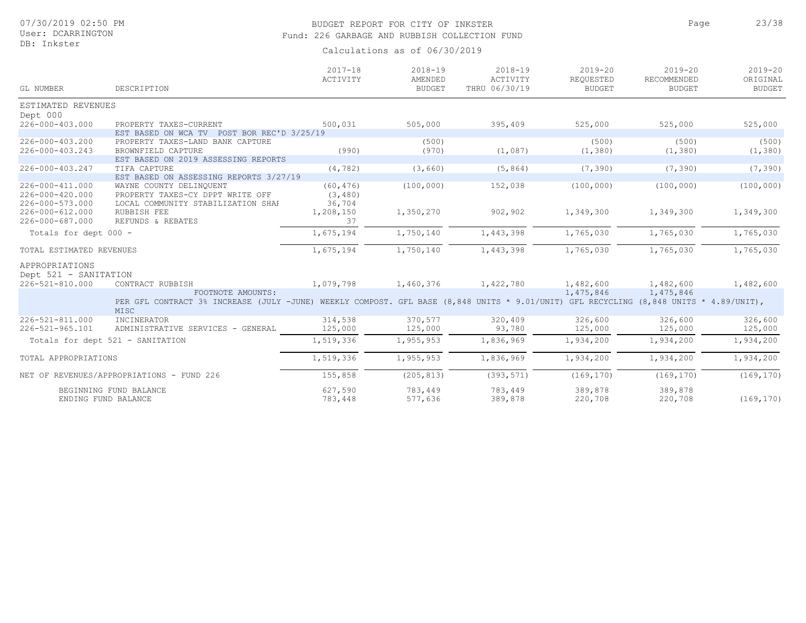## BUDGET REPORT FOR CITY OF INKSTER 23/38 Fund: 226 GARBAGE AND RUBBISH COLLECTION FUND

Calculations as of 06/30/2019

| GL NUMBER                                | DESCRIPTION                                                                                                                           | $2017 - 18$<br>ACTIVITY | $2018 - 19$<br>AMENDED<br><b>BUDGET</b> | $2018 - 19$<br>ACTIVITY<br>THRU 06/30/19 | $2019 - 20$<br>REQUESTED<br><b>BUDGET</b> | $2019 - 20$<br>RECOMMENDED<br><b>BUDGET</b> | $2019 - 20$<br>ORIGINAL<br><b>BUDGET</b> |
|------------------------------------------|---------------------------------------------------------------------------------------------------------------------------------------|-------------------------|-----------------------------------------|------------------------------------------|-------------------------------------------|---------------------------------------------|------------------------------------------|
| ESTIMATED REVENUES                       |                                                                                                                                       |                         |                                         |                                          |                                           |                                             |                                          |
| Dept 000                                 |                                                                                                                                       |                         |                                         |                                          |                                           |                                             |                                          |
| 226-000-403.000                          | PROPERTY TAXES-CURRENT<br>EST BASED ON WCA TV POST BOR REC'D 3/25/19                                                                  | 500,031                 | 505,000                                 | 395,409                                  | 525,000                                   | 525,000                                     | 525,000                                  |
| 226-000-403.200                          | PROPERTY TAXES-LAND BANK CAPTURE                                                                                                      |                         | (500)                                   |                                          | (500)                                     | (500)                                       | (500)                                    |
| 226-000-403.243                          | BROWNFIELD CAPTURE                                                                                                                    | (990)                   | (970)                                   | (1,087)                                  | (1, 380)                                  | (1, 380)                                    | (1, 380)                                 |
|                                          | EST BASED ON 2019 ASSESSING REPORTS                                                                                                   |                         |                                         |                                          |                                           |                                             |                                          |
| 226-000-403.247                          | TIFA CAPTURE                                                                                                                          | (4, 782)                | (3, 660)                                | (5, 864)                                 | (7, 390)                                  | (7, 390)                                    | (7, 390)                                 |
|                                          | EST BASED ON ASSESSING REPORTS 3/27/19                                                                                                |                         |                                         |                                          |                                           |                                             |                                          |
| 226-000-411.000                          | WAYNE COUNTY DELINQUENT                                                                                                               | (60, 476)               | (100, 000)                              | 152,038                                  | (100, 000)                                | (100, 000)                                  | (100, 000)                               |
| 226-000-420.000                          | PROPERTY TAXES-CY DPPT WRITE OFF                                                                                                      | (3, 480)                |                                         |                                          |                                           |                                             |                                          |
| 226-000-573.000                          | LOCAL COMMUNITY STABILIZATION SHAR                                                                                                    | 36,704                  |                                         |                                          |                                           |                                             |                                          |
| $226 - 000 - 612.000$                    | RUBBISH FEE                                                                                                                           | 1,208,150               | 1,350,270                               | 902,902                                  | 1,349,300                                 | 1,349,300                                   | 1,349,300                                |
| 226-000-687.000                          | REFUNDS & REBATES                                                                                                                     | 37                      |                                         |                                          |                                           |                                             |                                          |
| Totals for dept 000 -                    |                                                                                                                                       | 1,675,194               | 1,750,140                               | 1,443,398                                | 1,765,030                                 | 1,765,030                                   | 1,765,030                                |
| TOTAL ESTIMATED REVENUES                 |                                                                                                                                       | 1,675,194               | 1,750,140                               | 1,443,398                                | 1,765,030                                 | 1,765,030                                   | 1,765,030                                |
| APPROPRIATIONS                           |                                                                                                                                       |                         |                                         |                                          |                                           |                                             |                                          |
|                                          |                                                                                                                                       |                         |                                         |                                          |                                           |                                             |                                          |
| Dept 521 - SANITATION<br>226-521-810.000 | CONTRACT RUBBISH                                                                                                                      | 1,079,798               | 1,460,376                               | 1,422,780                                | 1,482,600                                 | 1,482,600                                   | 1,482,600                                |
|                                          | FOOTNOTE AMOUNTS:                                                                                                                     |                         |                                         |                                          | 1,475,846                                 | 1,475,846                                   |                                          |
|                                          | PER GFL CONTRACT 3% INCREASE (JULY -JUNE) WEEKLY COMPOST. GFL BASE (8,848 UNITS * 9.01/UNIT) GFL RECYCLING (8,848 UNITS * 4.89/UNIT), |                         |                                         |                                          |                                           |                                             |                                          |
|                                          | MISC                                                                                                                                  |                         |                                         |                                          |                                           |                                             |                                          |
| $226 - 521 - 811$ , 000                  | INCINERATOR                                                                                                                           | 314,538                 | 370,577                                 | 320,409                                  | 326,600                                   | 326,600                                     | 326,600                                  |
| 226-521-965.101                          | ADMINISTRATIVE SERVICES - GENERAL                                                                                                     | 125,000                 | 125,000                                 | 93,780                                   | 125,000                                   | 125,000                                     | 125,000                                  |
|                                          | Totals for dept 521 - SANITATION                                                                                                      | 1,519,336               | 1,955,953                               | 1,836,969                                | 1,934,200                                 | 1,934,200                                   | 1,934,200                                |
| TOTAL APPROPRIATIONS                     |                                                                                                                                       | 1,519,336               | 1,955,953                               | 1,836,969                                | 1,934,200                                 | 1,934,200                                   | 1,934,200                                |
|                                          |                                                                                                                                       |                         |                                         |                                          |                                           |                                             |                                          |
|                                          | NET OF REVENUES/APPROPRIATIONS - FUND 226                                                                                             | 155,858                 | (205, 813)                              | (393, 571)                               | (169, 170)                                | (169, 170)                                  | (169, 170)                               |
|                                          | BEGINNING FUND BALANCE                                                                                                                | 627,590                 | 783,449                                 | 783,449                                  | 389,878                                   | 389,878                                     |                                          |
|                                          | ENDING FUND BALANCE                                                                                                                   | 783,448                 | 577,636                                 | 389,878                                  | 220,708                                   | 220,708                                     | (169, 170)                               |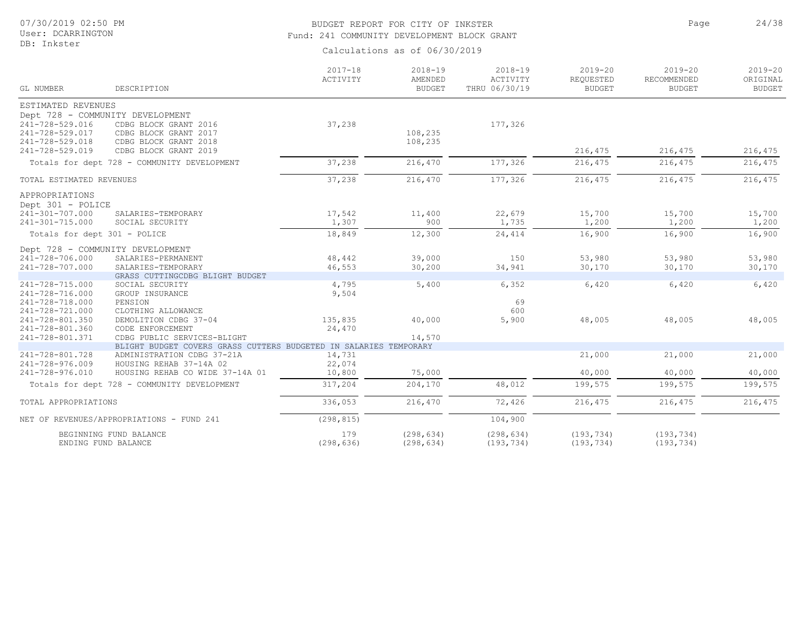#### BUDGET REPORT FOR CITY OF INKSTER 24/38 Fund: 241 COMMUNITY DEVELOPMENT BLOCK GRANT

Calculations as of 06/30/2019

| GL NUMBER                    | DESCRIPTION                                                                                      | $2017 - 18$<br>ACTIVITY | $2018 - 19$<br>AMENDED<br><b>BUDGET</b> | $2018 - 19$<br>ACTIVITY<br>THRU 06/30/19 | $2019 - 20$<br>REQUESTED<br>BUDGET | $2019 - 20$<br>RECOMMENDED<br><b>BUDGET</b> | $2019 - 20$<br>ORIGINAL<br><b>BUDGET</b> |
|------------------------------|--------------------------------------------------------------------------------------------------|-------------------------|-----------------------------------------|------------------------------------------|------------------------------------|---------------------------------------------|------------------------------------------|
| ESTIMATED REVENUES           |                                                                                                  |                         |                                         |                                          |                                    |                                             |                                          |
|                              | Dept 728 - COMMUNITY DEVELOPMENT                                                                 |                         |                                         |                                          |                                    |                                             |                                          |
| 241-728-529.016              | CDBG BLOCK GRANT 2016                                                                            | 37,238                  |                                         | 177,326                                  |                                    |                                             |                                          |
| 241-728-529.017              | CDBG BLOCK GRANT 2017                                                                            |                         | 108,235                                 |                                          |                                    |                                             |                                          |
| 241-728-529.018              | CDBG BLOCK GRANT 2018                                                                            |                         | 108,235                                 |                                          |                                    |                                             |                                          |
| 241-728-529.019              | CDBG BLOCK GRANT 2019                                                                            |                         |                                         |                                          | 216,475                            | 216,475                                     | 216,475                                  |
|                              | Totals for dept 728 - COMMUNITY DEVELOPMENT                                                      | 37,238                  | 216,470                                 | 177,326                                  | 216,475                            | 216,475                                     | 216,475                                  |
| TOTAL ESTIMATED REVENUES     |                                                                                                  | 37,238                  | 216,470                                 | 177,326                                  | 216,475                            | 216,475                                     | 216,475                                  |
| APPROPRIATIONS               |                                                                                                  |                         |                                         |                                          |                                    |                                             |                                          |
| Dept 301 - POLICE            |                                                                                                  |                         |                                         |                                          |                                    |                                             |                                          |
| 241-301-707.000              | SALARIES-TEMPORARY                                                                               | 17,542                  | 11,400                                  | 22,679                                   | 15,700                             | 15,700                                      | 15,700                                   |
| 241-301-715.000              | SOCIAL SECURITY                                                                                  | 1,307                   | 900                                     | 1,735                                    | 1,200                              | 1,200                                       | 1,200                                    |
| Totals for dept 301 - POLICE |                                                                                                  | 18,849                  | 12,300                                  | 24,414                                   | 16,900                             | 16,900                                      | 16,900                                   |
|                              | Dept 728 - COMMUNITY DEVELOPMENT                                                                 |                         |                                         |                                          |                                    |                                             |                                          |
| 241-728-706.000              | SALARIES-PERMANENT                                                                               | 48,442                  | 39,000                                  | 150                                      | 53,980                             | 53,980                                      | 53,980                                   |
| 241-728-707.000              | SALARIES-TEMPORARY                                                                               | 46,553                  | 30,200                                  | 34,941                                   | 30,170                             | 30,170                                      | 30,170                                   |
|                              | GRASS CUTTINGCDBG BLIGHT BUDGET                                                                  |                         |                                         |                                          |                                    |                                             |                                          |
| 241-728-715.000              | SOCIAL SECURITY                                                                                  | 4,795                   | 5,400                                   | 6,352                                    | 6,420                              | 6,420                                       | 6,420                                    |
| 241-728-716.000              | GROUP INSURANCE                                                                                  | 9,504                   |                                         |                                          |                                    |                                             |                                          |
| 241-728-718.000              | PENSION                                                                                          |                         |                                         | 69                                       |                                    |                                             |                                          |
| 241-728-721.000              | CLOTHING ALLOWANCE                                                                               |                         |                                         | 600                                      |                                    |                                             |                                          |
| 241-728-801.350              | DEMOLITION CDBG 37-04                                                                            | 135,835                 | 40,000                                  | 5,900                                    | 48,005                             | 48,005                                      | 48,005                                   |
| 241-728-801.360              | CODE ENFORCEMENT                                                                                 | 24,470                  |                                         |                                          |                                    |                                             |                                          |
| 241-728-801.371              | CDBG PUBLIC SERVICES-BLIGHT<br>BLIGHT BUDGET COVERS GRASS CUTTERS BUDGETED IN SALARIES TEMPORARY |                         | 14,570                                  |                                          |                                    |                                             |                                          |
| 241-728-801.728              | ADMINISTRATION CDBG 37-21A                                                                       | 14,731                  |                                         |                                          | 21,000                             | 21,000                                      | 21,000                                   |
| 241-728-976.009              | HOUSING REHAB 37-14A 02                                                                          | 22,074                  |                                         |                                          |                                    |                                             |                                          |
| 241-728-976.010              | HOUSING REHAB CO WIDE 37-14A 01                                                                  | 10,800                  | 75,000                                  |                                          | 40,000                             | 40,000                                      | 40,000                                   |
|                              | Totals for dept 728 - COMMUNITY DEVELOPMENT                                                      | 317,204                 | 204,170                                 | 48,012                                   | 199,575                            | 199,575                                     | 199,575                                  |
|                              |                                                                                                  |                         |                                         |                                          |                                    |                                             |                                          |
| TOTAL APPROPRIATIONS         |                                                                                                  | 336,053                 | 216,470                                 | 72,426                                   | 216,475                            | 216,475                                     | 216,475                                  |
|                              | NET OF REVENUES/APPROPRIATIONS - FUND 241                                                        | (298, 815)              |                                         | 104,900                                  |                                    |                                             |                                          |
|                              | BEGINNING FUND BALANCE                                                                           | 179                     | (298, 634)                              | (298, 634)                               | (193, 734)                         | (193, 734)                                  |                                          |
|                              | ENDING FUND BALANCE                                                                              | (298, 636)              | (298, 634)                              | (193, 734)                               | (193, 734)                         | (193, 734)                                  |                                          |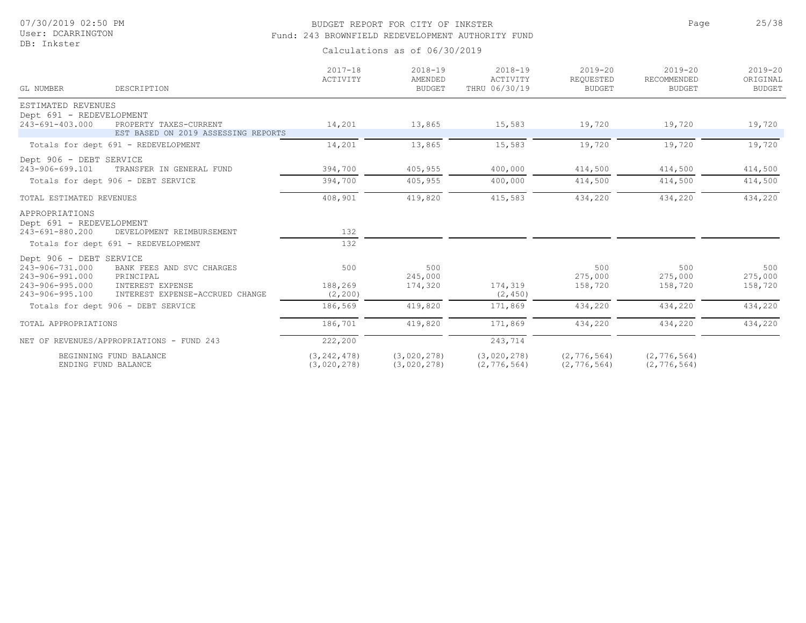## BUDGET REPORT FOR CITY OF INKSTER 25/38 Fund: 243 BROWNFIELD REDEVELOPMENT AUTHORITY FUND

Page

| GL NUMBER<br>DESCRIPTION                           | $2017 - 18$<br>ACTIVITY      | $2018 - 19$<br>AMENDED<br>BUDGET | $2018 - 19$<br>ACTIVITY<br>THRU 06/30/19 | $2019 - 20$<br>REQUESTED<br><b>BUDGET</b> | $2019 - 20$<br>RECOMMENDED<br><b>BUDGET</b> | $2019 - 20$<br>ORIGINAL<br><b>BUDGET</b> |
|----------------------------------------------------|------------------------------|----------------------------------|------------------------------------------|-------------------------------------------|---------------------------------------------|------------------------------------------|
| ESTIMATED REVENUES                                 |                              |                                  |                                          |                                           |                                             |                                          |
| Dept 691 - REDEVELOPMENT                           |                              |                                  |                                          |                                           |                                             |                                          |
| 243-691-403.000<br>PROPERTY TAXES-CURRENT          | 14,201                       | 13,865                           | 15,583                                   | 19,720                                    | 19,720                                      | 19,720                                   |
| EST BASED ON 2019 ASSESSING REPORTS                |                              |                                  |                                          |                                           |                                             |                                          |
| Totals for dept 691 - REDEVELOPMENT                | 14,201                       | 13,865                           | 15,583                                   | 19,720                                    | 19,720                                      | 19,720                                   |
| Dept 906 - DEBT SERVICE                            |                              |                                  |                                          |                                           |                                             |                                          |
| 243-906-699.101<br>TRANSFER IN GENERAL FUND        | 394,700                      | 405,955                          | 400,000                                  | 414,500                                   | 414,500                                     | 414,500                                  |
| Totals for dept 906 - DEBT SERVICE                 | 394,700                      | 405,955                          | 400,000                                  | 414,500                                   | 414,500                                     | 414,500                                  |
| TOTAL ESTIMATED REVENUES                           | 408,901                      | 419,820                          | 415,583                                  | 434,220                                   | 434,220                                     | 434,220                                  |
| APPROPRIATIONS                                     |                              |                                  |                                          |                                           |                                             |                                          |
| Dept 691 - REDEVELOPMENT                           |                              |                                  |                                          |                                           |                                             |                                          |
| 243-691-880.200<br>DEVELOPMENT REIMBURSEMENT       | 132                          |                                  |                                          |                                           |                                             |                                          |
| Totals for dept 691 - REDEVELOPMENT                | 132                          |                                  |                                          |                                           |                                             |                                          |
| Dept 906 - DEBT SERVICE                            |                              |                                  |                                          |                                           |                                             |                                          |
| 243-906-731.000<br>BANK FEES AND SVC CHARGES       | 500                          | 500                              |                                          | 500                                       | 500                                         | 500                                      |
| 243-906-991.000<br>PRINCIPAL                       |                              | 245,000                          |                                          | 275,000                                   | 275,000                                     | 275,000                                  |
| 243-906-995.000<br>INTEREST EXPENSE                | 188,269                      | 174,320                          | 174,319                                  | 158,720                                   | 158,720                                     | 158,720                                  |
| 243-906-995.100<br>INTEREST EXPENSE-ACCRUED CHANGE | (2, 200)                     |                                  | (2, 450)                                 |                                           |                                             |                                          |
| Totals for dept 906 - DEBT SERVICE                 | 186,569                      | 419,820                          | 171,869                                  | 434,220                                   | 434,220                                     | 434,220                                  |
| TOTAL APPROPRIATIONS                               | 186,701                      | 419,820                          | 171,869                                  | 434,220                                   | 434,220                                     | 434,220                                  |
| NET OF REVENUES/APPROPRIATIONS - FUND 243          | 222,200                      |                                  | 243,714                                  |                                           |                                             |                                          |
| BEGINNING FUND BALANCE<br>ENDING FUND BALANCE      | (3, 242, 478)<br>(3,020,278) | (3,020,278)<br>(3,020,278)       | (3,020,278)<br>(2, 776, 564)             | (2, 776, 564)<br>(2, 776, 564)            | (2, 776, 564)<br>(2, 776, 564)              |                                          |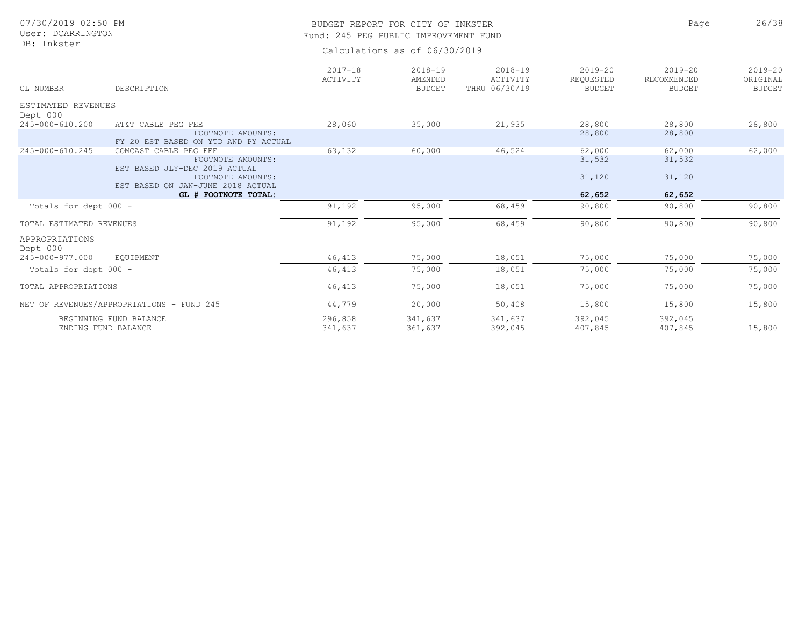#### BUDGET REPORT FOR CITY OF INKSTER 26/38 Fund: 245 PEG PUBLIC IMPROVEMENT FUND

Page

| GL NUMBER                                     | DESCRIPTION                                                                                      | $2017 - 18$<br>ACTIVITY | $2018 - 19$<br>AMENDED<br><b>BUDGET</b> | $2018 - 19$<br>ACTIVITY<br>THRU 06/30/19 | $2019 - 20$<br>REQUESTED<br><b>BUDGET</b> | $2019 - 20$<br>RECOMMENDED<br><b>BUDGET</b> | $2019 - 20$<br>ORIGINAL<br><b>BUDGET</b> |
|-----------------------------------------------|--------------------------------------------------------------------------------------------------|-------------------------|-----------------------------------------|------------------------------------------|-------------------------------------------|---------------------------------------------|------------------------------------------|
| ESTIMATED REVENUES<br>Dept 000                |                                                                                                  |                         |                                         |                                          |                                           |                                             |                                          |
| 245-000-610.200                               | AT&T CABLE PEG FEE<br>FOOTNOTE AMOUNTS:<br>FY 20 EST BASED ON YTD AND PY ACTUAL                  | 28,060                  | 35,000                                  | 21,935                                   | 28,800<br>28,800                          | 28,800<br>28,800                            | 28,800                                   |
| 245-000-610.245                               | COMCAST CABLE PEG FEE<br>FOOTNOTE AMOUNTS:<br>EST BASED JLY-DEC 2019 ACTUAL<br>FOOTNOTE AMOUNTS: | 63,132                  | 60,000                                  | 46,524                                   | 62,000<br>31,532<br>31,120                | 62,000<br>31,532<br>31,120                  | 62,000                                   |
|                                               | EST BASED ON JAN-JUNE 2018 ACTUAL<br>GL # FOOTNOTE TOTAL:                                        |                         |                                         |                                          | 62,652                                    | 62,652                                      |                                          |
| Totals for dept 000 -                         |                                                                                                  | 91,192                  | 95,000                                  | 68,459                                   | 90,800                                    | 90,800                                      | 90,800                                   |
| TOTAL ESTIMATED REVENUES                      |                                                                                                  | 91,192                  | 95,000                                  | 68,459                                   | 90,800                                    | 90,800                                      | 90,800                                   |
| APPROPRIATIONS<br>Dept 000<br>245-000-977.000 | EOUIPMENT                                                                                        | 46, 413                 | 75,000                                  | 18,051                                   | 75,000                                    | 75,000                                      | 75,000                                   |
| Totals for dept 000 -                         |                                                                                                  | 46, 413                 | 75,000                                  | 18,051                                   | 75,000                                    | 75,000                                      | 75,000                                   |
| TOTAL APPROPRIATIONS                          |                                                                                                  | 46,413                  | 75,000                                  | 18,051                                   | 75,000                                    | 75,000                                      | 75,000                                   |
|                                               | NET OF REVENUES/APPROPRIATIONS - FUND 245                                                        | 44,779                  | 20,000                                  | 50,408                                   | 15,800                                    | 15,800                                      | 15,800                                   |
|                                               | BEGINNING FUND BALANCE<br>ENDING FUND BALANCE                                                    | 296,858<br>341,637      | 341,637<br>361,637                      | 341,637<br>392,045                       | 392,045<br>407,845                        | 392,045<br>407,845                          | 15,800                                   |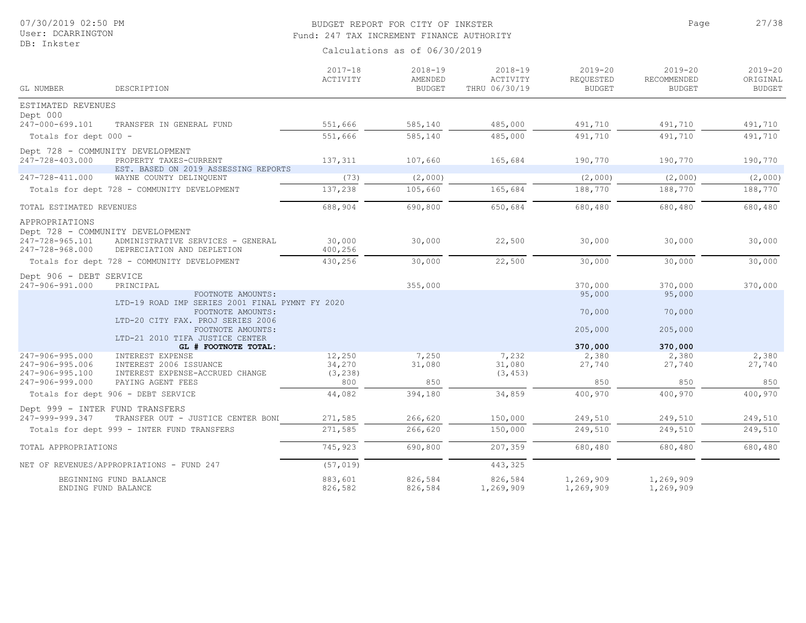## BUDGET REPORT FOR CITY OF INKSTER 27/38 Fund: 247 TAX INCREMENT FINANCE AUTHORITY

Calculations as of 06/30/2019

| GL NUMBER                          | DESCRIPTION                                                           | $2017 - 18$<br>ACTIVITY | $2018 - 19$<br>AMENDED<br><b>BUDGET</b> | $2018 - 19$<br>ACTIVITY<br>THRU 06/30/19 | $2019 - 20$<br>REQUESTED<br><b>BUDGET</b> | $2019 - 20$<br>RECOMMENDED<br><b>BUDGET</b> | $2019 - 20$<br>ORIGINAL<br><b>BUDGET</b> |
|------------------------------------|-----------------------------------------------------------------------|-------------------------|-----------------------------------------|------------------------------------------|-------------------------------------------|---------------------------------------------|------------------------------------------|
| ESTIMATED REVENUES                 |                                                                       |                         |                                         |                                          |                                           |                                             |                                          |
| Dept 000                           |                                                                       |                         |                                         |                                          |                                           |                                             |                                          |
| 247-000-699.101                    | TRANSFER IN GENERAL FUND                                              | 551,666                 | 585,140                                 | 485,000                                  | 491,710                                   | 491,710                                     | 491,710                                  |
| Totals for dept 000 -              |                                                                       | 551,666                 | 585,140                                 | 485,000                                  | 491,710                                   | 491,710                                     | 491,710                                  |
|                                    | Dept 728 - COMMUNITY DEVELOPMENT                                      |                         |                                         |                                          |                                           |                                             |                                          |
| 247-728-403.000                    | PROPERTY TAXES-CURRENT                                                | 137,311                 | 107,660                                 | 165,684                                  | 190,770                                   | 190,770                                     | 190,770                                  |
|                                    | EST. BASED ON 2019 ASSESSING REPORTS                                  |                         |                                         |                                          |                                           |                                             |                                          |
| 247-728-411.000                    | WAYNE COUNTY DELINQUENT                                               | (73)                    | (2,000)                                 |                                          | (2,000)                                   | (2,000)                                     | (2,000)                                  |
|                                    | Totals for dept 728 - COMMUNITY DEVELOPMENT                           | 137,238                 | 105,660                                 | 165,684                                  | 188,770                                   | 188,770                                     | 188,770                                  |
| TOTAL ESTIMATED REVENUES           |                                                                       | 688,904                 | 690,800                                 | 650,684                                  | 680,480                                   | 680,480                                     | 680,480                                  |
| APPROPRIATIONS<br>247-728-965.101  | Dept 728 - COMMUNITY DEVELOPMENT<br>ADMINISTRATIVE SERVICES - GENERAL | 30,000                  | 30,000                                  | 22,500                                   | 30,000                                    | 30,000                                      | 30,000                                   |
| 247-728-968.000                    | DEPRECIATION AND DEPLETION                                            | 400,256                 |                                         |                                          |                                           |                                             |                                          |
|                                    | Totals for dept 728 - COMMUNITY DEVELOPMENT                           | 430,256                 | 30,000                                  | 22,500                                   | 30,000                                    | 30,000                                      | 30,000                                   |
| Dept 906 - DEBT SERVICE            |                                                                       |                         |                                         |                                          |                                           |                                             |                                          |
| 247-906-991.000                    | PRINCIPAL                                                             |                         | 355,000                                 |                                          | 370,000                                   | 370,000                                     | 370,000                                  |
|                                    | FOOTNOTE AMOUNTS:<br>LTD-19 ROAD IMP SERIES 2001 FINAL PYMNT FY 2020  |                         |                                         |                                          | 95,000                                    | 95,000                                      |                                          |
|                                    | FOOTNOTE AMOUNTS:<br>LTD-20 CITY FAX. PROJ SERIES 2006                |                         |                                         |                                          | 70,000                                    | 70,000                                      |                                          |
|                                    | FOOTNOTE AMOUNTS:<br>LTD-21 2010 TIFA JUSTICE CENTER                  |                         |                                         |                                          | 205,000                                   | 205,000                                     |                                          |
|                                    | GL # FOOTNOTE TOTAL:                                                  |                         |                                         |                                          | 370,000                                   | 370,000                                     |                                          |
| $247 - 906 - 995.000$              | INTEREST EXPENSE                                                      | 12,250                  | 7,250                                   | 7,232                                    | 2,380                                     | 2,380                                       | 2,380                                    |
| 247-906-995.006<br>247-906-995.100 | INTEREST 2006 ISSUANCE<br>INTEREST EXPENSE-ACCRUED CHANGE             | 34,270                  | 31,080                                  | 31,080                                   | 27,740                                    | 27,740                                      | 27,740                                   |
| 247-906-999.000                    | PAYING AGENT FEES                                                     | (3, 238)<br>800         | 850                                     | (3, 453)                                 | 850                                       | 850                                         | 850                                      |
|                                    | Totals for dept 906 - DEBT SERVICE                                    | 44,082                  | 394,180                                 | 34,859                                   | 400,970                                   | 400,970                                     | 400,970                                  |
|                                    |                                                                       |                         |                                         |                                          |                                           |                                             |                                          |
|                                    | Dept 999 - INTER FUND TRANSFERS                                       |                         |                                         |                                          |                                           |                                             |                                          |
| 247-999-999.347                    | TRANSFER OUT - JUSTICE CENTER BONI                                    | 271,585                 | 266,620                                 | 150,000                                  | 249,510                                   | 249,510                                     | 249,510                                  |
|                                    | Totals for dept 999 - INTER FUND TRANSFERS                            | 271,585                 | 266,620                                 | 150,000                                  | 249,510                                   | 249,510                                     | 249,510                                  |
| TOTAL APPROPRIATIONS               |                                                                       | 745,923                 | 690,800                                 | 207,359                                  | 680,480                                   | 680,480                                     | 680,480                                  |
|                                    | NET OF REVENUES/APPROPRIATIONS - FUND 247                             | (57, 019)               |                                         | 443,325                                  |                                           |                                             |                                          |
|                                    | BEGINNING FUND BALANCE<br>ENDING FUND BALANCE                         | 883,601<br>826,582      | 826,584<br>826,584                      | 826,584<br>1,269,909                     | 1,269,909<br>1,269,909                    | 1,269,909<br>1,269,909                      |                                          |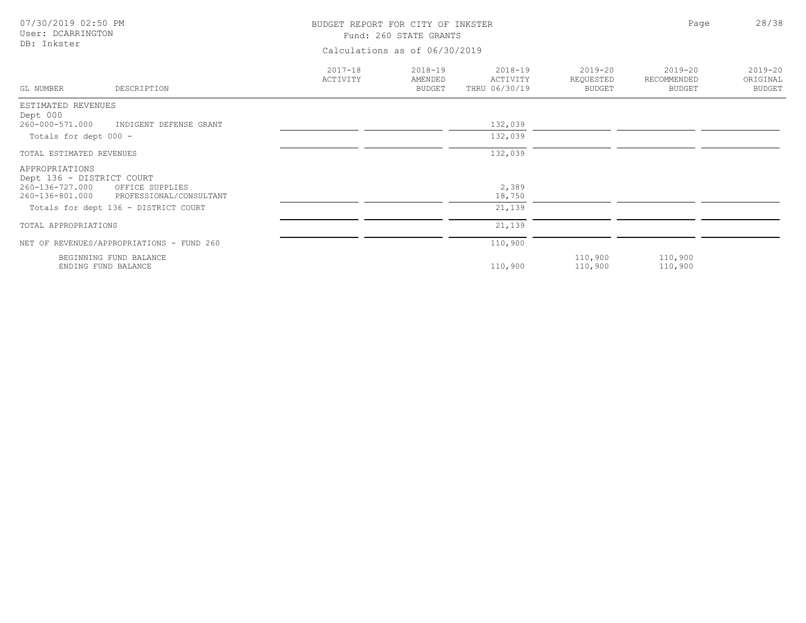| 07/30/2019 02:50 PM<br>User: DCARRINGTON<br>DB: Inkster                          |                         | BUDGET REPORT FOR CITY OF INKSTER<br>Fund: 260 STATE GRANTS<br>Calculations as of 06/30/2019 |                                      |                                           |                                             |                                          |  |
|----------------------------------------------------------------------------------|-------------------------|----------------------------------------------------------------------------------------------|--------------------------------------|-------------------------------------------|---------------------------------------------|------------------------------------------|--|
| GL NUMBER<br>DESCRIPTION                                                         | $2017 - 18$<br>ACTIVITY | $2018 - 19$<br>AMENDED<br><b>BUDGET</b>                                                      | 2018-19<br>ACTIVITY<br>THRU 06/30/19 | $2019 - 20$<br>REQUESTED<br><b>BUDGET</b> | $2019 - 20$<br>RECOMMENDED<br><b>BUDGET</b> | $2019 - 20$<br>ORIGINAL<br><b>BUDGET</b> |  |
| ESTIMATED REVENUES                                                               |                         |                                                                                              |                                      |                                           |                                             |                                          |  |
| Dept 000<br>260-000-571.000<br>INDIGENT DEFENSE GRANT                            |                         |                                                                                              | 132,039                              |                                           |                                             |                                          |  |
| Totals for dept 000 -                                                            |                         |                                                                                              | 132,039                              |                                           |                                             |                                          |  |
| TOTAL ESTIMATED REVENUES                                                         |                         |                                                                                              | 132,039                              |                                           |                                             |                                          |  |
| APPROPRIATIONS<br>Dept 136 - DISTRICT COURT                                      |                         |                                                                                              |                                      |                                           |                                             |                                          |  |
| 260-136-727.000<br>OFFICE SUPPLIES<br>PROFESSIONAL/CONSULTANT<br>260-136-801.000 |                         |                                                                                              | 2,389<br>18,750                      |                                           |                                             |                                          |  |
| Totals for dept 136 - DISTRICT COURT                                             |                         |                                                                                              | 21,139                               |                                           |                                             |                                          |  |
| TOTAL APPROPRIATIONS                                                             |                         |                                                                                              | 21,139                               |                                           |                                             |                                          |  |
| NET OF REVENUES/APPROPRIATIONS - FUND 260                                        |                         |                                                                                              | 110,900                              |                                           |                                             |                                          |  |
| BEGINNING FUND BALANCE<br>ENDING FUND BALANCE                                    |                         |                                                                                              | 110,900                              | 110,900<br>110,900                        | 110,900<br>110,900                          |                                          |  |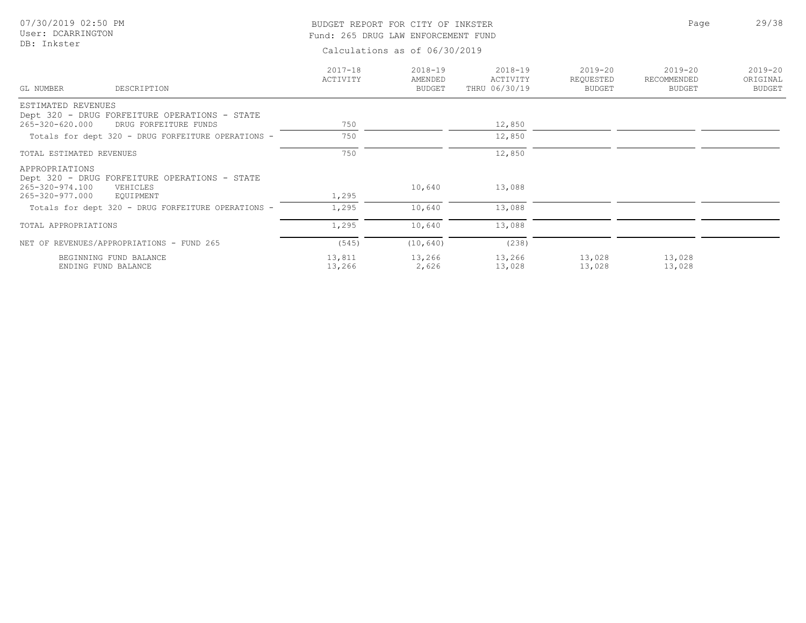## BUDGET REPORT FOR CITY OF INKSTER 29/38 Fund: 265 DRUG LAW ENFORCEMENT FUND

Page

| GL NUMBER                                            | DESCRIPTION                                                            | $2017 - 18$<br>ACTIVITY | $2018 - 19$<br>AMENDED<br>BUDGET | $2018 - 19$<br>ACTIVITY<br>THRU 06/30/19 | $2019 - 20$<br>REQUESTED<br>BUDGET | $2019 - 20$<br>RECOMMENDED<br><b>BUDGET</b> | $2019 - 20$<br>ORIGINAL<br><b>BUDGET</b> |
|------------------------------------------------------|------------------------------------------------------------------------|-------------------------|----------------------------------|------------------------------------------|------------------------------------|---------------------------------------------|------------------------------------------|
| ESTIMATED REVENUES                                   |                                                                        |                         |                                  |                                          |                                    |                                             |                                          |
|                                                      | Dept 320 - DRUG FORFEITURE OPERATIONS - STATE                          |                         |                                  |                                          |                                    |                                             |                                          |
| 265-320-620.000                                      | DRUG FORFEITURE FUNDS                                                  | 750                     |                                  | 12,850                                   |                                    |                                             |                                          |
|                                                      | Totals for dept 320 - DRUG FORFEITURE OPERATIONS -                     | 750                     |                                  | 12,850                                   |                                    |                                             |                                          |
| TOTAL ESTIMATED REVENUES                             |                                                                        | 750                     |                                  | 12,850                                   |                                    |                                             |                                          |
| APPROPRIATIONS<br>265-320-974.100<br>265-320-977.000 | Dept 320 - DRUG FORFEITURE OPERATIONS - STATE<br>VEHICLES<br>EQUIPMENT | 1,295                   | 10,640                           | 13,088                                   |                                    |                                             |                                          |
|                                                      | Totals for dept 320 - DRUG FORFEITURE OPERATIONS -                     | 1,295                   | 10,640                           | 13,088                                   |                                    |                                             |                                          |
| TOTAL APPROPRIATIONS                                 |                                                                        | 1,295                   | 10,640                           | 13,088                                   |                                    |                                             |                                          |
|                                                      | NET OF REVENUES/APPROPRIATIONS - FUND 265                              | (545)                   | (10, 640)                        | (238)                                    |                                    |                                             |                                          |
|                                                      | BEGINNING FUND BALANCE<br>ENDING FUND BALANCE                          | 13,811<br>13,266        | 13,266<br>2,626                  | 13,266<br>13,028                         | 13,028<br>13,028                   | 13,028<br>13,028                            |                                          |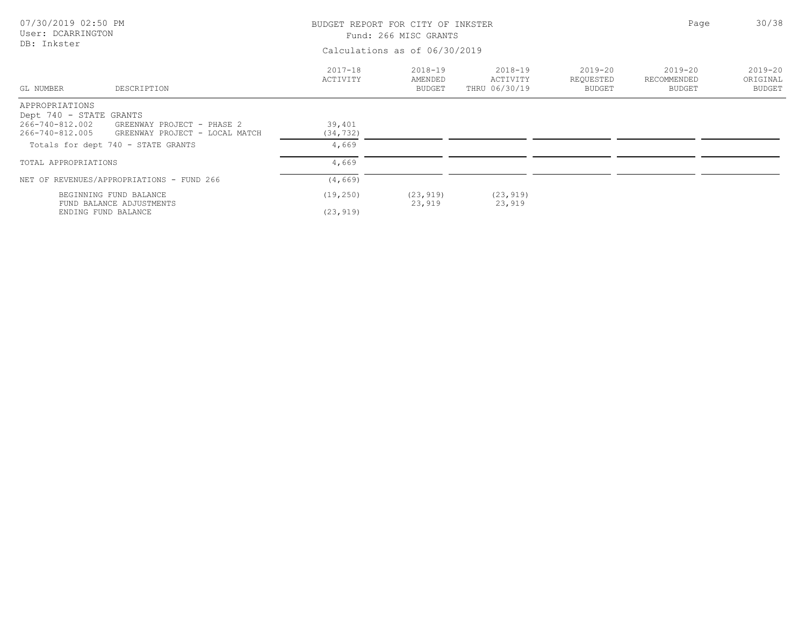| 07/30/2019 02:50 PM<br>User: DCARRINGTON<br>DB: Inkster                                            |                         | BUDGET REPORT FOR CITY OF INKSTER<br>Fund: 266 MISC GRANTS |                                          |                                    |                                      |                                          |  |
|----------------------------------------------------------------------------------------------------|-------------------------|------------------------------------------------------------|------------------------------------------|------------------------------------|--------------------------------------|------------------------------------------|--|
|                                                                                                    |                         | Calculations as of 06/30/2019                              |                                          |                                    |                                      |                                          |  |
| GL NUMBER<br>DESCRIPTION                                                                           | $2017 - 18$<br>ACTIVITY | $2018 - 19$<br>AMENDED<br>BUDGET                           | $2018 - 19$<br>ACTIVITY<br>THRU 06/30/19 | $2019 - 20$<br>REQUESTED<br>BUDGET | $2019 - 20$<br>RECOMMENDED<br>BUDGET | $2019 - 20$<br>ORIGINAL<br><b>BUDGET</b> |  |
| APPROPRIATIONS                                                                                     |                         |                                                            |                                          |                                    |                                      |                                          |  |
| Dept 740 - STATE GRANTS                                                                            |                         |                                                            |                                          |                                    |                                      |                                          |  |
| 266-740-812.002<br>GREENWAY PROJECT - PHASE 2<br>266-740-812.005<br>GREENWAY PROJECT - LOCAL MATCH | 39,401<br>(34, 732)     |                                                            |                                          |                                    |                                      |                                          |  |
| Totals for dept 740 - STATE GRANTS                                                                 | 4,669                   |                                                            |                                          |                                    |                                      |                                          |  |
| TOTAL APPROPRIATIONS                                                                               | 4,669                   |                                                            |                                          |                                    |                                      |                                          |  |
| NET OF REVENUES/APPROPRIATIONS - FUND 266                                                          | (4, 669)                |                                                            |                                          |                                    |                                      |                                          |  |
| BEGINNING FUND BALANCE                                                                             | (19, 250)               | (23, 919)                                                  | (23, 919)                                |                                    |                                      |                                          |  |
| FUND BALANCE ADJUSTMENTS<br>ENDING FUND BALANCE                                                    | (23, 919)               | 23,919                                                     | 23,919                                   |                                    |                                      |                                          |  |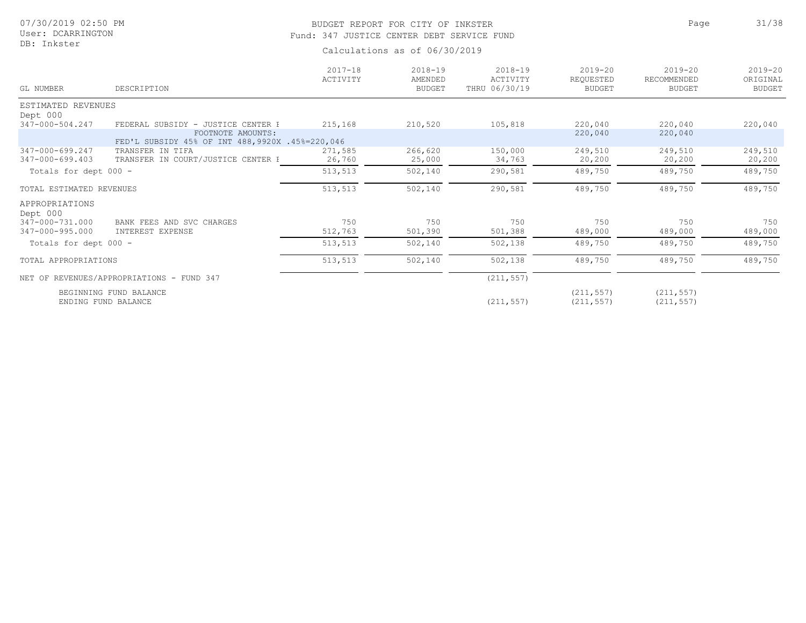## BUDGET REPORT FOR CITY OF INKSTER 31/38 Fund: 347 JUSTICE CENTER DEBT SERVICE FUND

| GL NUMBER                | DESCRIPTION                                                            | $2017 - 18$<br>ACTIVITY | $2018 - 19$<br>AMENDED<br><b>BUDGET</b> | $2018 - 19$<br>ACTIVITY<br>THRU 06/30/19 | $2019 - 20$<br>REQUESTED<br>BUDGET | $2019 - 20$<br>RECOMMENDED<br><b>BUDGET</b> | $2019 - 20$<br>ORIGINAL<br><b>BUDGET</b> |
|--------------------------|------------------------------------------------------------------------|-------------------------|-----------------------------------------|------------------------------------------|------------------------------------|---------------------------------------------|------------------------------------------|
| ESTIMATED REVENUES       |                                                                        |                         |                                         |                                          |                                    |                                             |                                          |
| Dept 000                 |                                                                        |                         |                                         |                                          |                                    |                                             |                                          |
| 347-000-504.247          | FEDERAL SUBSIDY - JUSTICE CENTER P                                     | 215,168                 | 210,520                                 | 105,818                                  | 220,040                            | 220,040                                     | 220,040                                  |
|                          | FOOTNOTE AMOUNTS:<br>FED'L SUBSIDY 45% OF INT 488, 9920X .45%=220, 046 |                         |                                         |                                          | 220,040                            | 220,040                                     |                                          |
| 347-000-699.247          | TRANSFER IN TIFA                                                       | 271,585                 | 266,620                                 | 150,000                                  | 249,510                            | 249,510                                     | 249,510                                  |
| 347-000-699.403          | TRANSFER IN COURT/JUSTICE CENTER H                                     | 26,760                  | 25,000                                  | 34,763                                   | 20,200                             | 20,200                                      | 20,200                                   |
| Totals for dept 000 -    |                                                                        | 513,513                 | 502,140                                 | 290,581                                  | 489,750                            | 489,750                                     | 489,750                                  |
| TOTAL ESTIMATED REVENUES |                                                                        | 513,513                 | 502,140                                 | 290,581                                  | 489,750                            | 489,750                                     | 489,750                                  |
| APPROPRIATIONS           |                                                                        |                         |                                         |                                          |                                    |                                             |                                          |
| Dept 000                 |                                                                        |                         |                                         |                                          |                                    |                                             |                                          |
| 347-000-731.000          | BANK FEES AND SVC CHARGES                                              | 750                     | 750                                     | 750                                      | 750                                | 750                                         | 750                                      |
| 347-000-995.000          | INTEREST EXPENSE                                                       | 512,763                 | 501,390                                 | 501,388                                  | 489,000                            | 489,000                                     | 489,000                                  |
| Totals for dept 000 -    |                                                                        | 513,513                 | 502,140                                 | 502,138                                  | 489,750                            | 489,750                                     | 489,750                                  |
| TOTAL APPROPRIATIONS     |                                                                        | 513,513                 | 502,140                                 | 502,138                                  | 489,750                            | 489,750                                     | 489,750                                  |
|                          | NET OF REVENUES/APPROPRIATIONS - FUND 347                              |                         |                                         | (211, 557)                               |                                    |                                             |                                          |
|                          | BEGINNING FUND BALANCE<br>ENDING FUND BALANCE                          |                         |                                         | (211, 557)                               | (211, 557)<br>(211, 557)           | (211, 557)<br>(211, 557)                    |                                          |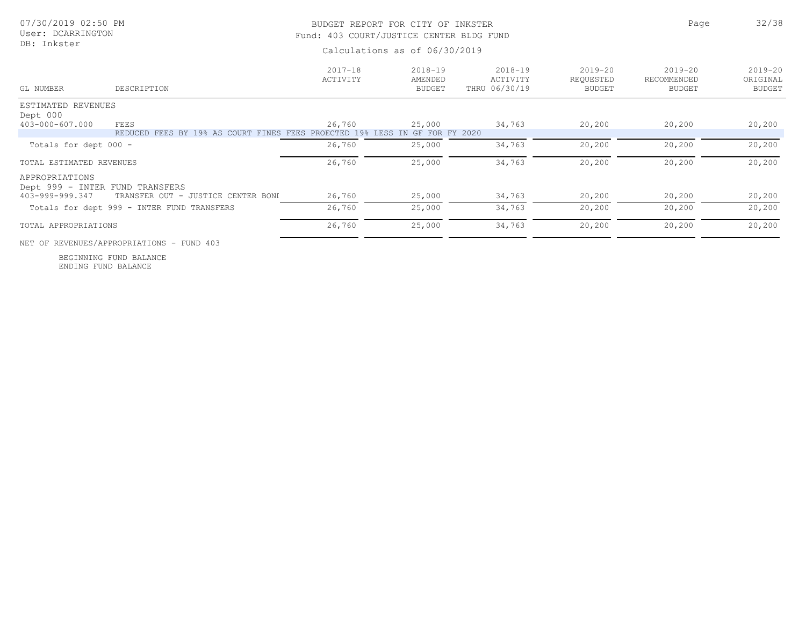| 07/30/2019 02:50 PM<br>User: DCARRINGTON<br>DB: Inkster |                                                    | BUDGET REPORT FOR CITY OF INKSTER<br>Fund: 403 COURT/JUSTICE CENTER BLDG FUND<br>Calculations as of 06/30/2019 | Page                                    | 32/38                                    |                                           |                                             |                                          |
|---------------------------------------------------------|----------------------------------------------------|----------------------------------------------------------------------------------------------------------------|-----------------------------------------|------------------------------------------|-------------------------------------------|---------------------------------------------|------------------------------------------|
| GL NUMBER                                               | DESCRIPTION                                        | $2017 - 18$<br>ACTIVITY                                                                                        | $2018 - 19$<br>AMENDED<br><b>BUDGET</b> | $2018 - 19$<br>ACTIVITY<br>THRU 06/30/19 | $2019 - 20$<br>REQUESTED<br><b>BUDGET</b> | $2019 - 20$<br>RECOMMENDED<br><b>BUDGET</b> | $2019 - 20$<br>ORIGINAL<br><b>BUDGET</b> |
| ESTIMATED REVENUES<br>Dept 000                          |                                                    |                                                                                                                |                                         |                                          |                                           |                                             |                                          |
| 403-000-607.000                                         | FEES<br>FEES BY 19% AS COURT FINES FEES<br>REDUCED | 26,760<br>PROECTED 19%<br>LESS                                                                                 | 25,000<br>IN GF FOR FY 2020             | 34,763                                   | 20,200                                    | 20,200                                      | 20,200                                   |
| Totals for dept 000 -                                   |                                                    | 26,760                                                                                                         | 25,000                                  | 34,763                                   | 20,200                                    | 20,200                                      | 20,200                                   |
| TOTAL ESTIMATED REVENUES                                |                                                    | 26,760                                                                                                         | 25,000                                  | 34,763                                   | 20,200                                    | 20,200                                      | 20,200                                   |
| APPROPRIATIONS<br>Dept 999 - INTER FUND TRANSFERS       |                                                    |                                                                                                                |                                         |                                          |                                           |                                             |                                          |
| 403-999-999.347                                         | TRANSFER OUT - JUSTICE CENTER BONI                 | 26,760                                                                                                         | 25,000                                  | 34,763                                   | 20,200                                    | 20,200                                      | 20,200                                   |
|                                                         | Totals for dept 999 - INTER FUND TRANSFERS         | 26,760                                                                                                         | 25,000                                  | 34,763                                   | 20,200                                    | 20,200                                      | 20,200                                   |
| TOTAL APPROPRIATIONS                                    |                                                    | 26,760                                                                                                         | 25,000                                  | 34,763                                   | 20,200                                    | 20,200                                      | 20,200                                   |

NET OF REVENUES/APPROPRIATIONS - FUND 403

ENDING FUND BALANCE BEGINNING FUND BALANCE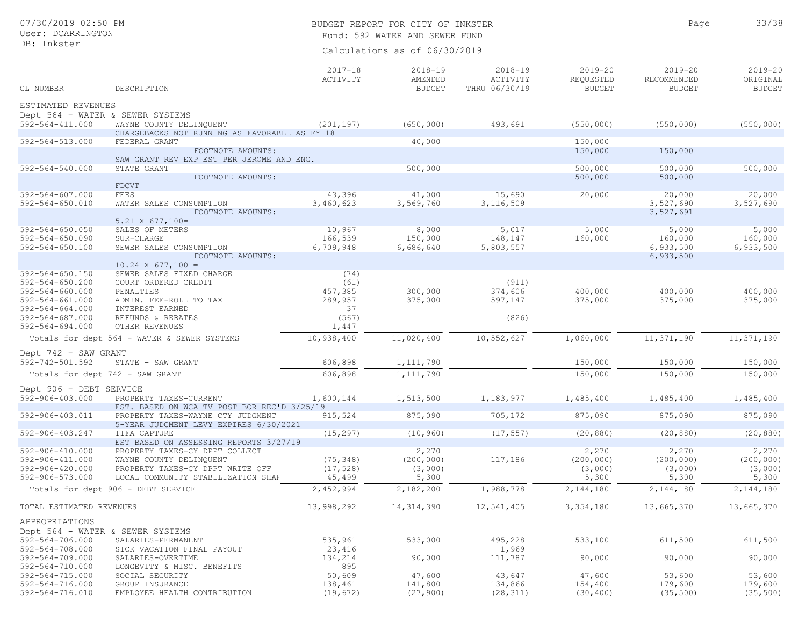# BUDGET REPORT FOR CITY OF INKSTER 33/38

Page

Fund: 592 WATER AND SEWER FUND

| GL NUMBER                                      | DESCRIPTION                                                    | $2017 - 18$<br>ACTIVITY | $2018 - 19$<br>AMENDED<br><b>BUDGET</b> | $2018 - 19$<br>ACTIVITY<br>THRU 06/30/19 | $2019 - 20$<br>REQUESTED<br><b>BUDGET</b> | $2019 - 20$<br>RECOMMENDED<br><b>BUDGET</b> | $2019 - 20$<br>ORIGINAL<br><b>BUDGET</b> |
|------------------------------------------------|----------------------------------------------------------------|-------------------------|-----------------------------------------|------------------------------------------|-------------------------------------------|---------------------------------------------|------------------------------------------|
| ESTIMATED REVENUES                             |                                                                |                         |                                         |                                          |                                           |                                             |                                          |
| Dept 564 - WATER & SEWER SYSTEMS               |                                                                |                         |                                         |                                          |                                           |                                             |                                          |
| $592 - 564 - 411.000$                          | WAYNE COUNTY DELINQUENT                                        | (201, 197)              | (650, 000)                              | 493,691                                  | (550, 000)                                | (550, 000)                                  | (550, 000)                               |
| 592-564-513.000                                | CHARGEBACKS NOT RUNNING AS FAVORABLE AS FY 18<br>FEDERAL GRANT |                         | 40,000                                  |                                          | 150,000                                   |                                             |                                          |
|                                                | FOOTNOTE AMOUNTS:                                              |                         |                                         |                                          | 150,000                                   | 150,000                                     |                                          |
|                                                | SAW GRANT REV EXP EST PER JEROME AND ENG.                      |                         |                                         |                                          |                                           |                                             |                                          |
| 592-564-540.000                                | STATE GRANT                                                    |                         | 500,000                                 |                                          | 500,000                                   | 500,000                                     | 500,000                                  |
|                                                | FOOTNOTE AMOUNTS:<br><b>FDCVT</b>                              |                         |                                         |                                          | 500,000                                   | 500,000                                     |                                          |
| $592 - 564 - 607.000$                          | FEES                                                           | 43,396                  | 41,000                                  | 15,690                                   | 20,000                                    | 20,000                                      | 20,000                                   |
| $592 - 564 - 650.010$                          | WATER SALES CONSUMPTION                                        | 3,460,623               | 3,569,760                               | 3, 116, 509                              |                                           | 3,527,690                                   | 3,527,690                                |
|                                                | FOOTNOTE AMOUNTS:                                              |                         |                                         |                                          |                                           | 3,527,691                                   |                                          |
|                                                | $5.21 \times 677,100 =$                                        |                         |                                         |                                          |                                           |                                             |                                          |
| $592 - 564 - 650.050$<br>$592 - 564 - 650.090$ | SALES OF METERS<br>SUR-CHARGE                                  | 10,967<br>166,539       | 8,000<br>150,000                        | 5,017<br>148,147                         | 5,000<br>160,000                          | 5,000<br>160,000                            | 5,000<br>160,000                         |
| $592 - 564 - 650.100$                          | SEWER SALES CONSUMPTION                                        | 6,709,948               | 6,686,640                               | 5,803,557                                |                                           | 6,933,500                                   | 6,933,500                                |
|                                                | FOOTNOTE AMOUNTS:                                              |                         |                                         |                                          |                                           | 6,933,500                                   |                                          |
|                                                | $10.24 \times 677,100 =$                                       |                         |                                         |                                          |                                           |                                             |                                          |
| $592 - 564 - 650.150$                          | SEWER SALES FIXED CHARGE<br>COURT ORDERED CREDIT               | (74)                    |                                         |                                          |                                           |                                             |                                          |
| $592 - 564 - 650.200$<br>$592 - 564 - 660.000$ | PENALTIES                                                      | (61)<br>457,385         | 300,000                                 | (911)<br>374,606                         | 400,000                                   | 400,000                                     | 400,000                                  |
| $592 - 564 - 661.000$                          | ADMIN. FEE-ROLL TO TAX                                         | 289,957                 | 375,000                                 | 597,147                                  | 375,000                                   | 375,000                                     | 375,000                                  |
| $592 - 564 - 664.000$                          | INTEREST EARNED                                                | 37                      |                                         |                                          |                                           |                                             |                                          |
| $592 - 564 - 687.000$                          | REFUNDS & REBATES                                              | (567)                   |                                         | (826)                                    |                                           |                                             |                                          |
| $592 - 564 - 694.000$                          | OTHER REVENUES                                                 | 1,447                   |                                         |                                          |                                           |                                             |                                          |
|                                                | Totals for dept 564 - WATER & SEWER SYSTEMS                    | 10,938,400              | 11,020,400                              | 10,552,627                               | 1,060,000                                 | 11, 371, 190                                | 11, 371, 190                             |
| Dept 742 - SAW GRANT                           |                                                                |                         |                                         |                                          |                                           |                                             |                                          |
| 592-742-501.592                                | STATE - SAW GRANT                                              | 606,898                 | 1, 111, 790                             |                                          | 150,000                                   | 150,000                                     | 150,000                                  |
| Totals for dept 742 - SAW GRANT                |                                                                | 606,898                 | 1, 111, 790                             |                                          | 150,000                                   | 150,000                                     | 150,000                                  |
| Dept 906 - DEBT SERVICE                        |                                                                |                         |                                         |                                          |                                           |                                             |                                          |
| 592-906-403.000                                | PROPERTY TAXES-CURRENT                                         | 1,600,144               | 1,513,500                               | 1,183,977                                | 1,485,400                                 | 1,485,400                                   | 1,485,400                                |
|                                                | EST. BASED ON WCA TV POST BOR REC'D 3/25/19                    |                         |                                         |                                          |                                           |                                             |                                          |
| 592-906-403.011                                | PROPERTY TAXES-WAYNE CTY JUDGMENT                              | 915,524                 | 875,090                                 | 705,172                                  | 875,090                                   | 875,090                                     | 875,090                                  |
|                                                | 5-YEAR JUDGMENT LEVY EXPIRES 6/30/2021                         |                         |                                         |                                          |                                           |                                             |                                          |
| 592-906-403.247                                | TIFA CAPTURE<br>EST BASED ON ASSESSING REPORTS 3/27/19         | (15, 297)               | (10, 960)                               | (17, 557)                                | (20, 880)                                 | (20, 880)                                   | (20, 880)                                |
| 592-906-410.000                                | PROPERTY TAXES-CY DPPT COLLECT                                 |                         | 2,270                                   |                                          | 2,270                                     | 2,270                                       | 2,270                                    |
| $592 - 906 - 411.000$                          | WAYNE COUNTY DELINQUENT                                        | (75, 348)               | (200, 000)                              | 117,186                                  | (200, 000)                                | (200, 000)                                  | (200, 000)                               |
| 592-906-420.000                                | PROPERTY TAXES-CY DPPT WRITE OFF                               | (17, 528)               | (3,000)                                 |                                          | (3,000)                                   | (3,000)                                     | (3,000)                                  |
| 592-906-573.000                                | LOCAL COMMUNITY STABILIZATION SHAP                             | 45,499                  | 5,300                                   |                                          | 5,300                                     | 5,300                                       | 5,300                                    |
|                                                | Totals for dept 906 - DEBT SERVICE                             | 2,452,994               | 2,182,200                               | 1,988,778                                | 2,144,180                                 | 2,144,180                                   | 2,144,180                                |
| TOTAL ESTIMATED REVENUES                       |                                                                | 13,998,292              | 14, 314, 390                            | 12,541,405                               | 3,354,180                                 | 13,665,370                                  | 13,665,370                               |
| APPROPRIATIONS                                 |                                                                |                         |                                         |                                          |                                           |                                             |                                          |
| Dept 564 - WATER & SEWER SYSTEMS               |                                                                |                         |                                         |                                          |                                           |                                             |                                          |
| 592-564-706.000                                | SALARIES-PERMANENT                                             | 535,961                 | 533,000                                 | 495,228                                  | 533,100                                   | 611,500                                     | 611,500                                  |
| 592-564-708.000                                | SICK VACATION FINAL PAYOUT                                     | 23,416                  |                                         | 1,969                                    |                                           |                                             |                                          |
| $592 - 564 - 709.000$<br>592-564-710.000       | SALARIES-OVERTIME                                              | 134,214<br>895          | 90,000                                  | 111,787                                  | 90,000                                    | 90,000                                      | 90,000                                   |
| 592-564-715.000                                | LONGEVITY & MISC. BENEFITS<br>SOCIAL SECURITY                  | 50,609                  | 47,600                                  | 43,647                                   | 47,600                                    | 53,600                                      | 53,600                                   |
| 592-564-716.000                                | GROUP INSURANCE                                                | 138,461                 | 141,800                                 | 134,866                                  | 154,400                                   | 179,600                                     | 179,600                                  |
| 592-564-716.010                                | EMPLOYEE HEALTH CONTRIBUTION                                   | (19, 672)               | (27, 900)                               | (28, 311)                                | (30, 400)                                 | (35, 500)                                   | (35, 500)                                |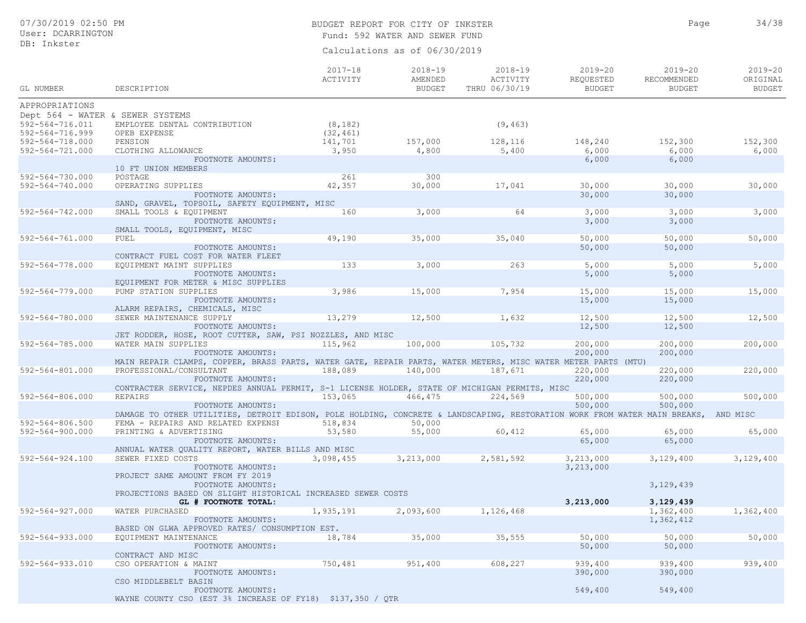## BUDGET REPORT FOR CITY OF INKSTER 34/38 Fund: 592 WATER AND SEWER FUND

Page

| GL NUMBER                                                                          | DESCRIPTION                                                                                                                                                              | $2017 - 18$<br>ACTIVITY | $2018 - 19$<br>AMENDED<br><b>BUDGET</b> | $2018 - 19$<br>ACTIVITY<br>THRU 06/30/19 | $2019 - 20$<br>REQUESTED<br><b>BUDGET</b> | $2019 - 20$<br>RECOMMENDED<br><b>BUDGET</b> | $2019 - 20$<br>ORIGINAL<br><b>BUDGET</b> |
|------------------------------------------------------------------------------------|--------------------------------------------------------------------------------------------------------------------------------------------------------------------------|-------------------------|-----------------------------------------|------------------------------------------|-------------------------------------------|---------------------------------------------|------------------------------------------|
| APPROPRIATIONS                                                                     |                                                                                                                                                                          |                         |                                         |                                          |                                           |                                             |                                          |
| Dept 564 - WATER & SEWER SYSTEMS<br>$592 - 564 - 716.011$<br>$592 - 564 - 716.999$ | EMPLOYEE DENTAL CONTRIBUTION<br>OPEB EXPENSE                                                                                                                             | (8, 182)<br>(32, 461)   |                                         | (9, 463)                                 |                                           |                                             |                                          |
| 592-564-718.000<br>592-564-721.000                                                 | PENSION<br>CLOTHING ALLOWANCE                                                                                                                                            | 141,701<br>3,950        | 157,000<br>4,800                        | 128,116<br>5,400                         | 148,240<br>6,000                          | 152,300<br>6,000                            | 152,300<br>6,000                         |
|                                                                                    | FOOTNOTE AMOUNTS:<br>10 FT UNION MEMBERS                                                                                                                                 |                         |                                         |                                          | 6,000                                     | 6,000                                       |                                          |
| 592-564-730.000<br>592-564-740.000                                                 | POSTAGE<br>OPERATING SUPPLIES<br>FOOTNOTE AMOUNTS:                                                                                                                       | 261<br>42,357           | 300<br>30,000                           | 17,041                                   | 30,000<br>30,000                          | 30,000<br>30,000                            | 30,000                                   |
| $592 - 564 - 742.000$                                                              | SAND, GRAVEL, TOPSOIL, SAFETY EQUIPMENT, MISC<br>SMALL TOOLS & EQUIPMENT                                                                                                 | 160                     | 3,000                                   | 64                                       | 3,000                                     | 3,000                                       | 3,000                                    |
|                                                                                    | FOOTNOTE AMOUNTS:<br>SMALL TOOLS, EQUIPMENT, MISC                                                                                                                        |                         |                                         |                                          | 3,000                                     | 3,000                                       |                                          |
| 592-564-761.000                                                                    | FUEL<br>FOOTNOTE AMOUNTS:<br>CONTRACT FUEL COST FOR WATER FLEET                                                                                                          | 49,190                  | 35,000                                  | 35,040                                   | 50,000<br>50,000                          | 50,000<br>50,000                            | 50,000                                   |
| 592-564-778.000                                                                    | EQUIPMENT MAINT SUPPLIES<br>FOOTNOTE AMOUNTS:<br>EQUIPMENT FOR METER & MISC SUPPLIES                                                                                     | 133                     | 3,000                                   | 263                                      | 5,000<br>5,000                            | 5,000<br>5,000                              | 5,000                                    |
| 592-564-779.000                                                                    | PUMP STATION SUPPLIES<br>FOOTNOTE AMOUNTS:<br>ALARM REPAIRS, CHEMICALS, MISC                                                                                             | 3,986                   | 15,000                                  | 7,954                                    | 15,000<br>15,000                          | 15,000<br>15,000                            | 15,000                                   |
| 592-564-780.000                                                                    | SEWER MAINTENANCE SUPPLY<br>FOOTNOTE AMOUNTS:<br>JET RODDER, HOSE, ROOT CUTTER, SAW, PSI NOZZLES, AND MISC                                                               | 13,279                  | 12,500                                  | 1,632                                    | 12,500<br>12,500                          | 12,500<br>12,500                            | 12,500                                   |
| 592-564-785.000                                                                    | WATER MAIN SUPPLIES<br>FOOTNOTE AMOUNTS:<br>MAIN REPAIR CLAMPS, COPPER, BRASS PARTS, WATER GATE, REPAIR PARTS, WATER METERS, MISC WATER METER PARTS (MTU)                | 115,962                 | 100,000                                 | 105,732                                  | 200,000<br>200,000                        | 200,000<br>200,000                          | 200,000                                  |
| 592-564-801.000                                                                    | PROFESSIONAL/CONSULTANT<br>FOOTNOTE AMOUNTS:                                                                                                                             | 188,089                 | 140,000                                 | 187,671                                  | 220,000<br>220,000                        | 220,000<br>220,000                          | 220,000                                  |
|                                                                                    | CONTRACTER SERVICE, NEPDES ANNUAL PERMIT, S-1 LICENSE HOLDER, STATE OF MICHIGAN PERMITS, MISC                                                                            |                         |                                         |                                          |                                           |                                             |                                          |
| 592-564-806.000                                                                    | REPAIRS<br>FOOTNOTE AMOUNTS:                                                                                                                                             | 153,065                 | 466,475                                 | 224,569                                  | 500,000<br>500,000                        | 500,000<br>500,000                          | 500,000                                  |
| 592-564-806.500                                                                    | DAMAGE TO OTHER UTILITIES, DETROIT EDISON, POLE HOLDING, CONCRETE & LANDSCAPING, RESTORATION WORK FROM WATER MAIN BREAKS, AND MISC<br>FEMA - REPAIRS AND RELATED EXPENSE | 518,834                 | 50,000                                  |                                          |                                           |                                             |                                          |
| 592-564-900.000                                                                    | PRINTING & ADVERTISING<br>FOOTNOTE AMOUNTS:<br>ANNUAL WATER QUALITY REPORT, WATER BILLS AND MISC                                                                         | 53,580                  | 55,000                                  | 60,412                                   | 65,000<br>65,000                          | 65,000<br>65,000                            | 65,000                                   |
| 592-564-924.100                                                                    | SEWER FIXED COSTS<br>FOOTNOTE AMOUNTS:                                                                                                                                   | 3,098,455               | 3,213,000                               | 2,581,592                                | 3,213,000<br>3,213,000                    | 3,129,400                                   | 3,129,400                                |
|                                                                                    | PROJECT SAME AMOUNT FROM FY 2019<br>FOOTNOTE AMOUNTS:<br>PROJECTIONS BASED ON SLIGHT HISTORICAL INCREASED SEWER COSTS                                                    |                         |                                         |                                          |                                           | 3, 129, 439                                 |                                          |
| 592-564-927.000                                                                    | GL # FOOTNOTE TOTAL:<br>WATER PURCHASED<br>FOOTNOTE AMOUNTS:                                                                                                             | 1,935,191               | 2,093,600                               | 1,126,468                                | 3,213,000                                 | 3,129,439<br>1,362,400<br>1,362,412         | 1,362,400                                |
| 592-564-933.000                                                                    | BASED ON GLWA APPROVED RATES/ CONSUMPTION EST.<br>EQUIPMENT MAINTENANCE                                                                                                  | 18,784                  | 35,000                                  | 35,555                                   | 50,000                                    | 50,000                                      | 50,000                                   |
|                                                                                    | FOOTNOTE AMOUNTS:<br>CONTRACT AND MISC                                                                                                                                   |                         |                                         |                                          | 50,000                                    | 50,000                                      |                                          |
| 592-564-933.010                                                                    | CSO OPERATION & MAINT<br>FOOTNOTE AMOUNTS:<br>CSO MIDDLEBELT BASIN                                                                                                       | 750,481                 | 951,400                                 | 608,227                                  | 939,400<br>390,000                        | 939,400<br>390,000                          | 939,400                                  |
|                                                                                    | FOOTNOTE AMOUNTS:<br>WAYNE COUNTY CSO (EST 3% INCREASE OF FY18) \$137,350 / QTR                                                                                          |                         |                                         |                                          | 549,400                                   | 549,400                                     |                                          |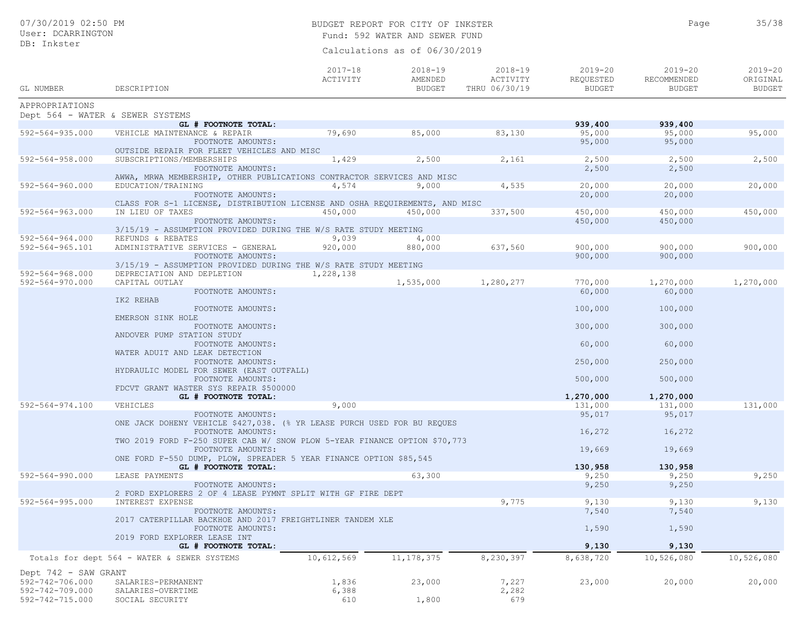## BUDGET REPORT FOR CITY OF INKSTER 35/38 Fund: 592 WATER AND SEWER FUND

Calculations as of 06/30/2019

| GL NUMBER                          | DESCRIPTION                                                                                   | $2017 - 18$<br>ACTIVITY | $2018 - 19$<br>AMENDED<br><b>BUDGET</b> | 2018-19<br>ACTIVITY<br>THRU 06/30/19 | $2019 - 20$<br>REQUESTED<br><b>BUDGET</b> | $2019 - 20$<br>RECOMMENDED<br><b>BUDGET</b> | $2019 - 20$<br>ORIGINAL<br><b>BUDGET</b> |
|------------------------------------|-----------------------------------------------------------------------------------------------|-------------------------|-----------------------------------------|--------------------------------------|-------------------------------------------|---------------------------------------------|------------------------------------------|
| APPROPRIATIONS                     |                                                                                               |                         |                                         |                                      |                                           |                                             |                                          |
|                                    | Dept 564 - WATER & SEWER SYSTEMS                                                              |                         |                                         |                                      |                                           |                                             |                                          |
|                                    | GL # FOOTNOTE TOTAL:                                                                          |                         |                                         |                                      | 939,400                                   | 939,400                                     |                                          |
| $592 - 564 - 935.000$              | VEHICLE MAINTENANCE & REPAIR                                                                  | 79,690                  | 85,000                                  | 83,130                               | 95,000                                    | 95,000                                      | 95,000                                   |
|                                    | FOOTNOTE AMOUNTS:                                                                             |                         |                                         |                                      | 95,000                                    | 95,000                                      |                                          |
| $592 - 564 - 958.000$              | OUTSIDE REPAIR FOR FLEET VEHICLES AND MISC<br>SUBSCRIPTIONS/MEMBERSHIPS                       |                         |                                         |                                      |                                           |                                             |                                          |
|                                    | FOOTNOTE AMOUNTS:                                                                             | 1,429                   | 2,500                                   | 2,161                                | 2,500<br>2,500                            | 2,500<br>2,500                              | 2,500                                    |
|                                    | AWWA, MRWA MEMBERSHIP, OTHER PUBLICATIONS CONTRACTOR SERVICES AND MISC                        |                         |                                         |                                      |                                           |                                             |                                          |
| $592 - 564 - 960.000$              | EDUCATION/TRAINING                                                                            | 4,574                   | 9,000                                   | 4,535                                | 20,000                                    | 20,000                                      | 20,000                                   |
|                                    | FOOTNOTE AMOUNTS:                                                                             |                         |                                         |                                      | 20,000                                    | 20,000                                      |                                          |
|                                    | CLASS FOR S-1 LICENSE, DISTRIBUTION LICENSE AND OSHA REQUIREMENTS, AND MISC                   |                         |                                         |                                      |                                           |                                             |                                          |
| 592-564-963.000                    | IN LIEU OF TAXES                                                                              | 450,000                 | 450,000                                 | 337,500                              | 450,000                                   | 450,000                                     | 450,000                                  |
|                                    | FOOTNOTE AMOUNTS:                                                                             |                         |                                         |                                      | 450,000                                   | 450,000                                     |                                          |
|                                    | 3/15/19 - ASSUMPTION PROVIDED DURING THE W/S RATE STUDY MEETING                               |                         |                                         |                                      |                                           |                                             |                                          |
| $592 - 564 - 964.000$              | REFUNDS & REBATES                                                                             | 9,039                   | 4,000                                   |                                      |                                           |                                             |                                          |
| 592-564-965.101                    | ADMINISTRATIVE SERVICES - GENERAL                                                             | 920,000                 | 880,000                                 | 637,560                              | 900,000                                   | 900,000                                     | 900,000                                  |
|                                    | FOOTNOTE AMOUNTS:                                                                             |                         |                                         |                                      | 900,000                                   | 900,000                                     |                                          |
| $592 - 564 - 968.000$              | 3/15/19 - ASSUMPTION PROVIDED DURING THE W/S RATE STUDY MEETING<br>DEPRECIATION AND DEPLETION |                         |                                         |                                      |                                           |                                             |                                          |
| 592-564-970.000                    | CAPITAL OUTLAY                                                                                | 1,228,138               | 1,535,000                               | 1,280,277                            | 770,000                                   | 1,270,000                                   | 1,270,000                                |
|                                    | FOOTNOTE AMOUNTS:                                                                             |                         |                                         |                                      | 60,000                                    | 60,000                                      |                                          |
|                                    | IK2 REHAB                                                                                     |                         |                                         |                                      |                                           |                                             |                                          |
|                                    | FOOTNOTE AMOUNTS:                                                                             |                         |                                         |                                      | 100,000                                   | 100,000                                     |                                          |
|                                    | EMERSON SINK HOLE                                                                             |                         |                                         |                                      |                                           |                                             |                                          |
|                                    | FOOTNOTE AMOUNTS:                                                                             |                         |                                         |                                      | 300,000                                   | 300,000                                     |                                          |
|                                    | ANDOVER PUMP STATION STUDY                                                                    |                         |                                         |                                      |                                           |                                             |                                          |
|                                    | FOOTNOTE AMOUNTS:                                                                             |                         |                                         |                                      | 60,000                                    | 60,000                                      |                                          |
|                                    | WATER ADUIT AND LEAK DETECTION                                                                |                         |                                         |                                      |                                           |                                             |                                          |
|                                    | FOOTNOTE AMOUNTS:                                                                             |                         |                                         |                                      | 250,000                                   | 250,000                                     |                                          |
|                                    | HYDRAULIC MODEL FOR SEWER (EAST OUTFALL)                                                      |                         |                                         |                                      | 500,000                                   | 500,000                                     |                                          |
|                                    | FOOTNOTE AMOUNTS:<br>FDCVT GRANT WASTER SYS REPAIR \$500000                                   |                         |                                         |                                      |                                           |                                             |                                          |
|                                    | GL # FOOTNOTE TOTAL:                                                                          |                         |                                         |                                      | 1,270,000                                 | 1,270,000                                   |                                          |
| 592-564-974.100                    | VEHICLES                                                                                      | 9,000                   |                                         |                                      | 131,000                                   | 131,000                                     | 131,000                                  |
|                                    | FOOTNOTE AMOUNTS:                                                                             |                         |                                         |                                      | 95,017                                    | 95,017                                      |                                          |
|                                    | ONE JACK DOHENY VEHICLE \$427,038. (% YR LEASE PURCH USED FOR BU REQUES                       |                         |                                         |                                      |                                           |                                             |                                          |
|                                    | FOOTNOTE AMOUNTS:                                                                             |                         |                                         |                                      | 16,272                                    | 16,272                                      |                                          |
|                                    | TWO 2019 FORD F-250 SUPER CAB W/ SNOW PLOW 5-YEAR FINANCE OPTION \$70,773                     |                         |                                         |                                      |                                           |                                             |                                          |
|                                    | FOOTNOTE AMOUNTS:                                                                             |                         |                                         |                                      | 19,669                                    | 19,669                                      |                                          |
|                                    | ONE FORD F-550 DUMP, PLOW, SPREADER 5 YEAR FINANCE OPTION \$85,545                            |                         |                                         |                                      |                                           |                                             |                                          |
| $592 - 564 - 990.000$              | GL # FOOTNOTE TOTAL:                                                                          |                         |                                         |                                      | 130,958                                   | 130,958                                     |                                          |
|                                    | LEASE PAYMENTS<br>FOOTNOTE AMOUNTS:                                                           |                         | 63,300                                  |                                      | 9,250<br>9,250                            | 9,250<br>9,250                              | 9,250                                    |
|                                    | 2 FORD EXPLORERS 2 OF 4 LEASE PYMNT SPLIT WITH GF FIRE DEPT                                   |                         |                                         |                                      |                                           |                                             |                                          |
| $592 - 564 - 995.000$              | INTEREST EXPENSE                                                                              |                         |                                         | 9,775                                | 9,130                                     | 9,130                                       | 9,130                                    |
|                                    | FOOTNOTE AMOUNTS:                                                                             |                         |                                         |                                      | 7,540                                     | 7,540                                       |                                          |
|                                    | 2017 CATERPILLAR BACKHOE AND 2017 FREIGHTLINER TANDEM XLE                                     |                         |                                         |                                      |                                           |                                             |                                          |
|                                    | FOOTNOTE AMOUNTS:                                                                             |                         |                                         |                                      | 1,590                                     | 1,590                                       |                                          |
|                                    | 2019 FORD EXPLORER LEASE INT                                                                  |                         |                                         |                                      |                                           |                                             |                                          |
|                                    | GL # FOOTNOTE TOTAL:                                                                          |                         |                                         |                                      | 9,130                                     | 9,130                                       |                                          |
|                                    | Totals for dept 564 - WATER & SEWER SYSTEMS                                                   | 10,612,569              | 11, 178, 375                            | 8,230,397                            | 8,638,720                                 | 10,526,080                                  | 10,526,080                               |
|                                    |                                                                                               |                         |                                         |                                      |                                           |                                             |                                          |
| Dept 742 - SAW GRANT               |                                                                                               |                         |                                         |                                      |                                           |                                             |                                          |
| 592-742-706.000<br>592-742-709.000 | SALARIES-PERMANENT<br>SALARIES-OVERTIME                                                       | 1,836<br>6,388          | 23,000                                  | 7,227<br>2,282                       | 23,000                                    | 20,000                                      | 20,000                                   |
| 592-742-715.000                    | SOCIAL SECURITY                                                                               | 610                     | 1,800                                   | 679                                  |                                           |                                             |                                          |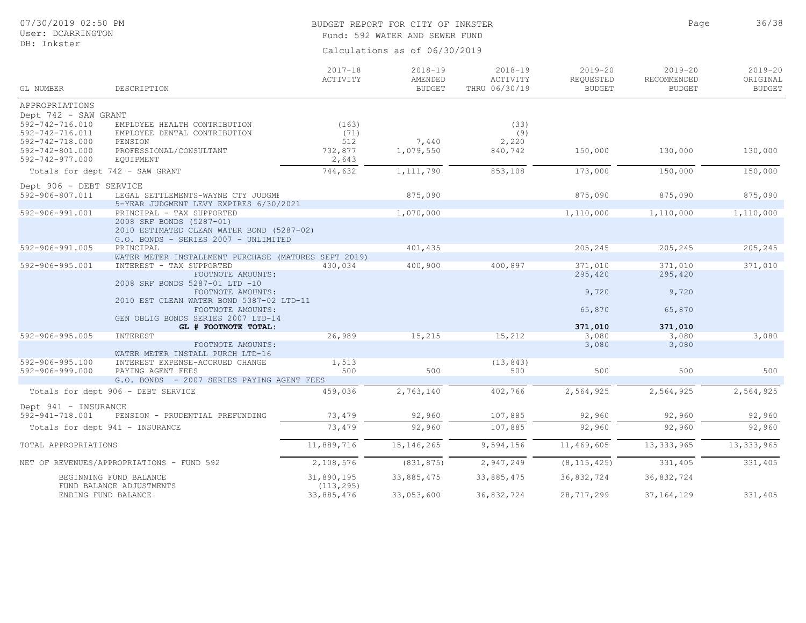## BUDGET REPORT FOR CITY OF INKSTER 36/38 Fund: 592 WATER AND SEWER FUND

Calculations as of 06/30/2019

| GL NUMBER                                                                | DESCRIPTION                                                                                                   | $2017 - 18$<br>ACTIVITY         | 2018-19<br>AMENDED<br><b>BUDGET</b> | $2018 - 19$<br>ACTIVITY<br>THRU 06/30/19 | $2019 - 20$<br>REQUESTED<br><b>BUDGET</b> | $2019 - 20$<br>RECOMMENDED<br><b>BUDGET</b> | $2019 - 20$<br>ORIGINAL<br><b>BUDGET</b> |
|--------------------------------------------------------------------------|---------------------------------------------------------------------------------------------------------------|---------------------------------|-------------------------------------|------------------------------------------|-------------------------------------------|---------------------------------------------|------------------------------------------|
| APPROPRIATIONS                                                           |                                                                                                               |                                 |                                     |                                          |                                           |                                             |                                          |
| Dept 742 - SAW GRANT                                                     |                                                                                                               |                                 |                                     |                                          |                                           |                                             |                                          |
| 592-742-716.010<br>592-742-716.011<br>592-742-718.000<br>592-742-801.000 | EMPLOYEE HEALTH CONTRIBUTION<br>EMPLOYEE DENTAL CONTRIBUTION<br>PENSION<br>PROFESSIONAL/CONSULTANT            | (163)<br>(71)<br>512<br>732,877 | 7,440<br>1,079,550                  | (33)<br>(9)<br>2,220<br>840,742          | 150,000                                   | 130,000                                     | 130,000                                  |
| 592-742-977.000                                                          | EQUIPMENT<br>Totals for dept 742 - SAW GRANT                                                                  | 2,643<br>744,632                | 1, 111, 790                         | 853,108                                  | 173,000                                   | 150,000                                     | 150,000                                  |
|                                                                          |                                                                                                               |                                 |                                     |                                          |                                           |                                             |                                          |
| Dept 906 - DEBT SERVICE<br>592-906-807.011                               | LEGAL SETTLEMENTS-WAYNE CTY JUDGME                                                                            |                                 | 875,090                             |                                          | 875,090                                   | 875,090                                     | 875,090                                  |
|                                                                          | 5-YEAR JUDGMENT LEVY EXPIRES 6/30/2021                                                                        |                                 |                                     |                                          |                                           |                                             |                                          |
| 592-906-991.001                                                          | PRINCIPAL - TAX SUPPORTED                                                                                     |                                 | 1,070,000                           |                                          | 1,110,000                                 | 1,110,000                                   | 1,110,000                                |
|                                                                          | 2008 SRF BONDS (5287-01)<br>2010 ESTIMATED CLEAN WATER BOND (5287-02)<br>G.O. BONDS - SERIES 2007 - UNLIMITED |                                 |                                     |                                          |                                           |                                             |                                          |
| 592-906-991.005                                                          | PRINCIPAL                                                                                                     |                                 | 401,435                             |                                          | 205,245                                   | 205,245                                     | 205,245                                  |
|                                                                          | WATER METER INSTALLMENT PURCHASE (MATURES SEPT 2019)                                                          |                                 |                                     |                                          |                                           |                                             |                                          |
| 592-906-995.001                                                          | INTEREST - TAX SUPPORTED<br>FOOTNOTE AMOUNTS:<br>2008 SRF BONDS 5287-01 LTD -10                               | 430,034                         | 400,900                             | 400,897                                  | 371,010<br>295,420                        | 371,010<br>295,420                          | 371,010                                  |
|                                                                          | FOOTNOTE AMOUNTS:<br>2010 EST CLEAN WATER BOND 5387-02 LTD-11                                                 |                                 |                                     |                                          | 9,720                                     | 9,720                                       |                                          |
|                                                                          | FOOTNOTE AMOUNTS:<br>GEN OBLIG BONDS SERIES 2007 LTD-14                                                       |                                 |                                     |                                          | 65,870                                    | 65,870                                      |                                          |
|                                                                          | GL # FOOTNOTE TOTAL:                                                                                          |                                 |                                     |                                          | 371,010                                   | 371,010                                     |                                          |
| $592 - 906 - 995.005$                                                    | INTEREST                                                                                                      | 26,989                          | 15,215                              | 15,212                                   | 3,080                                     | 3,080                                       | 3,080                                    |
|                                                                          | FOOTNOTE AMOUNTS:<br>WATER METER INSTALL PURCH LTD-16                                                         |                                 |                                     |                                          | 3,080                                     | 3,080                                       |                                          |
| $592 - 906 - 995.100$<br>592-906-999.000                                 | INTEREST EXPENSE-ACCRUED CHANGE<br>PAYING AGENT FEES                                                          | 1,513<br>500                    | 500                                 | (13, 843)<br>500                         | 500                                       | 500                                         | 500                                      |
|                                                                          | G.O. BONDS - 2007 SERIES PAYING AGENT FEES                                                                    |                                 |                                     |                                          |                                           |                                             |                                          |
|                                                                          | Totals for dept 906 - DEBT SERVICE                                                                            | 459,036                         | 2,763,140                           | 402,766                                  | 2,564,925                                 | 2,564,925                                   | 2,564,925                                |
| Dept 941 - INSURANCE                                                     |                                                                                                               |                                 |                                     |                                          |                                           |                                             |                                          |
| 592-941-718.001<br>PENSION - PRUDENTIAL PREFUNDING                       |                                                                                                               | 73,479                          | 92,960                              | 107,885                                  | 92,960                                    | 92,960                                      | 92,960                                   |
| Totals for dept 941 - INSURANCE                                          |                                                                                                               | 73,479                          | 92,960                              | 107,885                                  | 92,960                                    | 92,960                                      | 92,960                                   |
| TOTAL APPROPRIATIONS                                                     |                                                                                                               | 11,889,716                      | 15, 146, 265                        | 9,594,156                                | 11,469,605                                | 13, 333, 965                                | 13, 333, 965                             |
| NET OF REVENUES/APPROPRIATIONS - FUND 592                                |                                                                                                               | 2,108,576                       | (831, 875)                          | 2,947,249                                | (8, 115, 425)                             | 331,405                                     | 331,405                                  |
| BEGINNING FUND BALANCE<br>FUND BALANCE ADJUSTMENTS                       |                                                                                                               | 31,890,195<br>(113, 295)        | 33,885,475                          | 33,885,475                               | 36,832,724                                | 36,832,724                                  |                                          |
| ENDING FUND BALANCE                                                      |                                                                                                               | 33,885,476                      | 33,053,600                          | 36,832,724                               | 28,717,299                                | 37, 164, 129                                | 331,405                                  |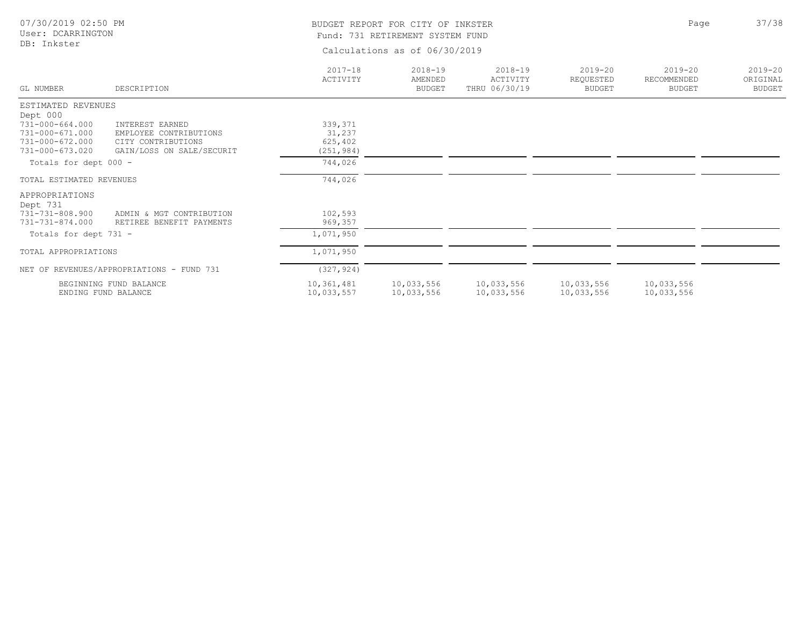| 07/30/2019 02:50 PM<br>User: DCARRINGTON                                             |                                                                                              | BUDGET REPORT FOR CITY OF INKSTER<br>Fund: 731 RETIREMENT SYSTEM FUND | Page                                    | 37/38                                    |                                           |                                             |                                          |
|--------------------------------------------------------------------------------------|----------------------------------------------------------------------------------------------|-----------------------------------------------------------------------|-----------------------------------------|------------------------------------------|-------------------------------------------|---------------------------------------------|------------------------------------------|
| DB: Inkster                                                                          |                                                                                              | Calculations as of 06/30/2019                                         |                                         |                                          |                                           |                                             |                                          |
| GL NUMBER                                                                            | DESCRIPTION                                                                                  | $2017 - 18$<br>ACTIVITY                                               | $2018 - 19$<br>AMENDED<br><b>BUDGET</b> | $2018 - 19$<br>ACTIVITY<br>THRU 06/30/19 | $2019 - 20$<br>REQUESTED<br><b>BUDGET</b> | $2019 - 20$<br>RECOMMENDED<br><b>BUDGET</b> | $2019 - 20$<br>ORIGINAL<br><b>BUDGET</b> |
| ESTIMATED REVENUES                                                                   |                                                                                              |                                                                       |                                         |                                          |                                           |                                             |                                          |
| Dept 000<br>731-000-664.000<br>731-000-671.000<br>731-000-672.000<br>731-000-673.020 | INTEREST EARNED<br>EMPLOYEE CONTRIBUTIONS<br>CITY CONTRIBUTIONS<br>GAIN/LOSS ON SALE/SECURIT | 339, 371<br>31,237<br>625,402<br>(251, 984)                           |                                         |                                          |                                           |                                             |                                          |
| Totals for dept 000 -                                                                |                                                                                              | 744,026                                                               |                                         |                                          |                                           |                                             |                                          |
| TOTAL ESTIMATED REVENUES                                                             |                                                                                              | 744,026                                                               |                                         |                                          |                                           |                                             |                                          |
| APPROPRIATIONS<br>Dept 731                                                           |                                                                                              |                                                                       |                                         |                                          |                                           |                                             |                                          |
| 731-731-808.900<br>731-731-874.000                                                   | ADMIN & MGT CONTRIBUTION<br>RETIREE BENEFIT PAYMENTS                                         | 102,593<br>969,357                                                    |                                         |                                          |                                           |                                             |                                          |
| Totals for dept 731 -                                                                |                                                                                              | 1,071,950                                                             |                                         |                                          |                                           |                                             |                                          |
| TOTAL APPROPRIATIONS                                                                 |                                                                                              | 1,071,950                                                             |                                         |                                          |                                           |                                             |                                          |
| NET OF REVENUES/APPROPRIATIONS - FUND 731                                            |                                                                                              | (327, 924)                                                            |                                         |                                          |                                           |                                             |                                          |
| BEGINNING FUND BALANCE<br>ENDING FUND BALANCE                                        |                                                                                              | 10,361,481<br>10,033,557                                              | 10,033,556<br>10,033,556                | 10,033,556<br>10,033,556                 | 10,033,556<br>10,033,556                  | 10,033,556<br>10,033,556                    |                                          |